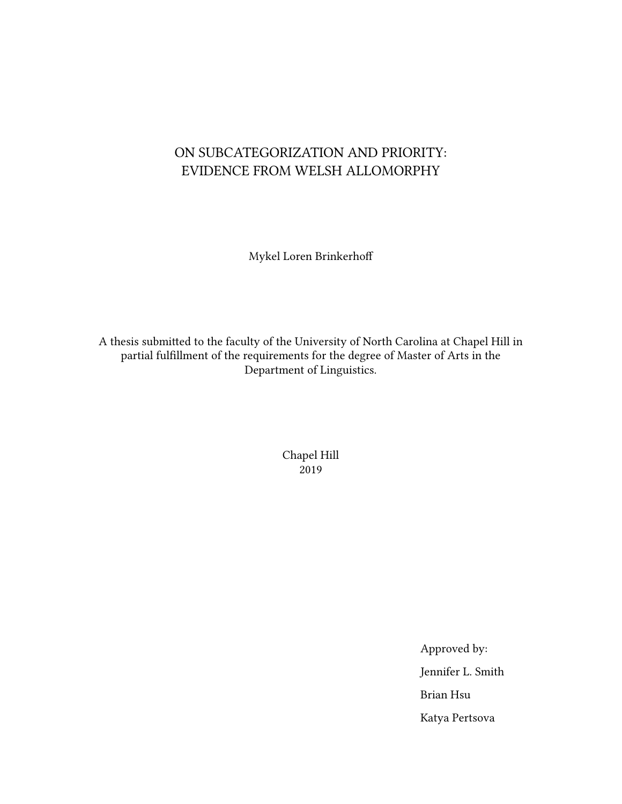## ON SUBCATEGORIZATION AND PRIORITY: EVIDENCE FROM WELSH ALLOMORPHY

Mykel Loren Brinkerhoff

A thesis submitted to the faculty of the University of North Carolina at Chapel Hill in partial fulfillment of the requirements for the degree of Master of Arts in the Department of Linguistics.

> Chapel Hill 2019

> > Approved by: Jennifer L. Smith Brian Hsu Katya Pertsova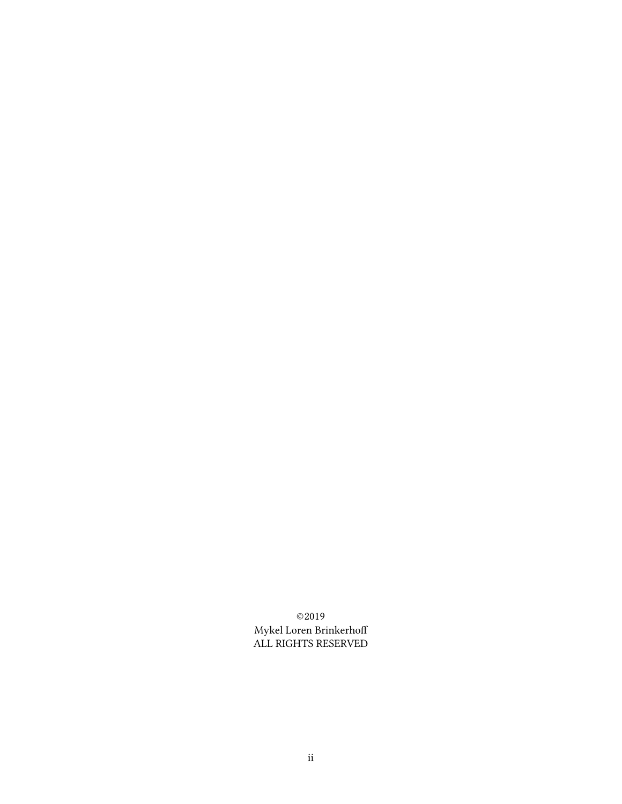©2019 Mykel Loren Brinkerhoff ALL RIGHTS RESERVED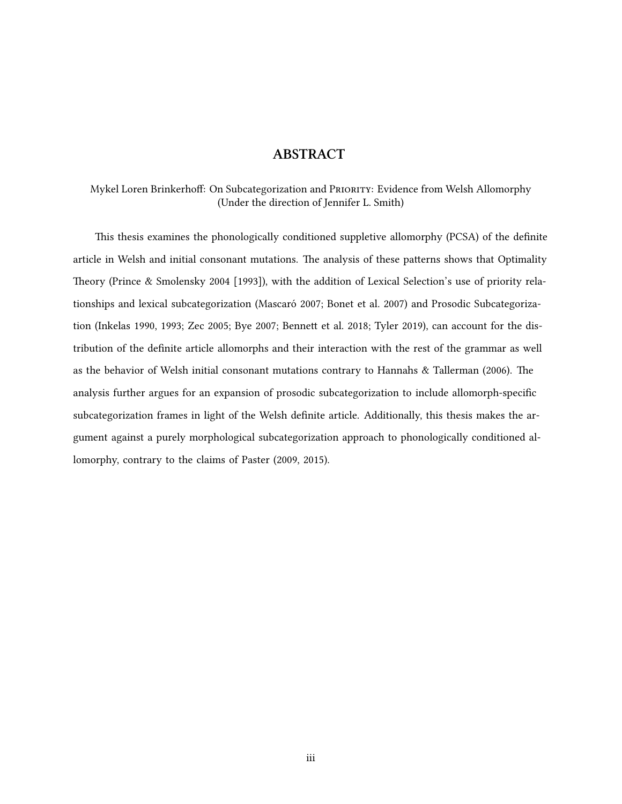## **ABSTRACT**

Mykel Loren Brinkerhoff: On Subcategorization and PRioRity: Evidence from Welsh Allomorphy (Under the direction of Jennifer L. Smith)

This thesis examines the phonologically conditioned suppletive allomorphy (PCSA) of the definite article in Welsh and initial consonant mutations. The analysis of these patterns shows that Optimality Theory([Prince & Smolensky](#page-86-0) [2004 \[1993\]](#page-86-0)), with the addition of Lexical Selection's use of priority relationships and lexical subcategorization [\(Mascaró](#page-85-0) [2007;](#page-85-0) [Bonet et al.](#page-83-0) [2007](#page-83-0)) and Prosodic Subcategorization([Inkelas](#page-84-0) [1990](#page-84-0), [1993;](#page-84-1) [Zec](#page-86-1) [2005](#page-86-1); [Bye](#page-83-1) [2007;](#page-83-1) [Bennett et al.](#page-83-2) [2018;](#page-83-2) [Tyler](#page-86-2) [2019](#page-86-2)), can account for the distribution of the definite article allomorphs and their interaction with the rest of the grammar as well as the behavior of Welsh initial consonant mutations contrary to [Hannahs & Tallerman](#page-84-2) ([2006\)](#page-84-2). The analysis further argues for an expansion of prosodic subcategorization to include allomorph-specific subcategorization frames in light of the Welsh definite article. Additionally, this thesis makes the argument against a purely morphological subcategorization approach to phonologically conditioned allomorphy, contrary to the claims of [Paster](#page-85-1) [\(2009,](#page-85-1) [2015](#page-85-2)).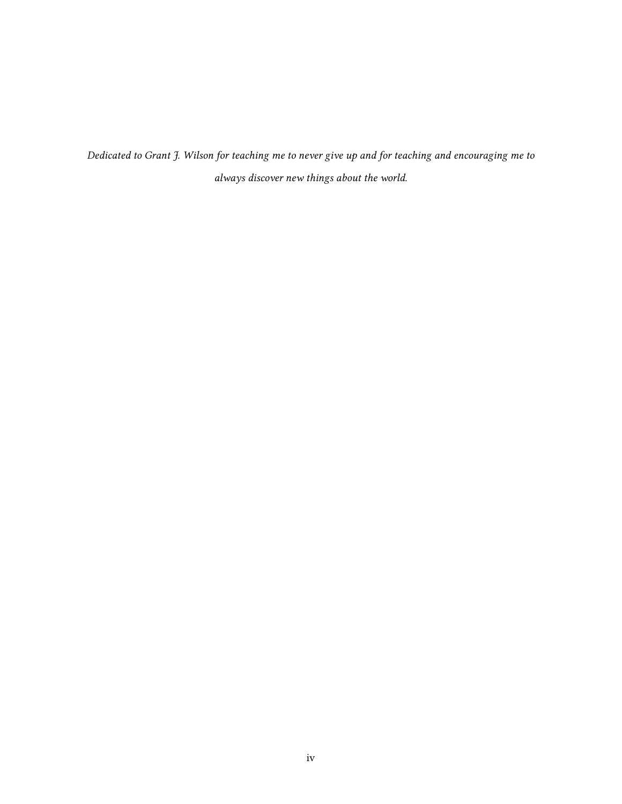*Dedicated to Grant J. Wilson for teaching me to never give up and for teaching and encouraging me to always discover new things about the world.*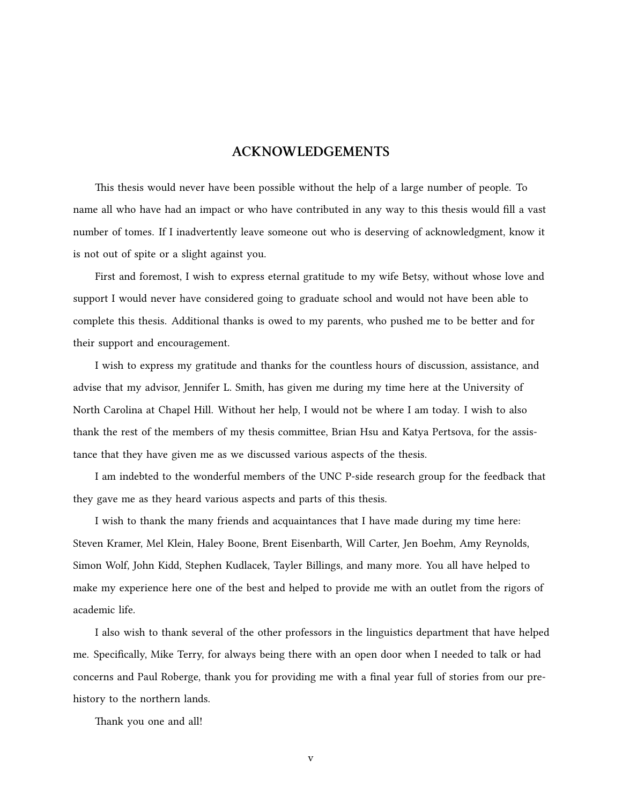## **ACKNOWLEDGEMENTS**

This thesis would never have been possible without the help of a large number of people. To name all who have had an impact or who have contributed in any way to this thesis would fill a vast number of tomes. If I inadvertently leave someone out who is deserving of acknowledgment, know it is not out of spite or a slight against you.

First and foremost, I wish to express eternal gratitude to my wife Betsy, without whose love and support I would never have considered going to graduate school and would not have been able to complete this thesis. Additional thanks is owed to my parents, who pushed me to be better and for their support and encouragement.

I wish to express my gratitude and thanks for the countless hours of discussion, assistance, and advise that my advisor, Jennifer L. Smith, has given me during my time here at the University of North Carolina at Chapel Hill. Without her help, I would not be where I am today. I wish to also thank the rest of the members of my thesis committee, Brian Hsu and Katya Pertsova, for the assistance that they have given me as we discussed various aspects of the thesis.

I am indebted to the wonderful members of the UNC P-side research group for the feedback that they gave me as they heard various aspects and parts of this thesis.

I wish to thank the many friends and acquaintances that I have made during my time here: Steven Kramer, Mel Klein, Haley Boone, Brent Eisenbarth, Will Carter, Jen Boehm, Amy Reynolds, Simon Wolf, John Kidd, Stephen Kudlacek, Tayler Billings, and many more. You all have helped to make my experience here one of the best and helped to provide me with an outlet from the rigors of academic life.

I also wish to thank several of the other professors in the linguistics department that have helped me. Specifically, Mike Terry, for always being there with an open door when I needed to talk or had concerns and Paul Roberge, thank you for providing me with a final year full of stories from our prehistory to the northern lands.

Thank you one and all!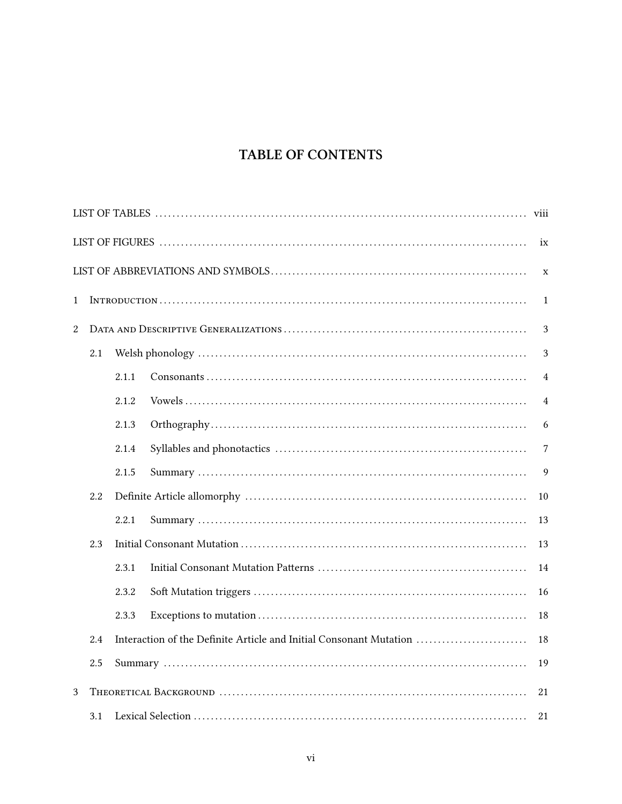## TABLE OF CONTENTS

| viii   |                                                                           |       |  |                |  |  |  |  |  |
|--------|---------------------------------------------------------------------------|-------|--|----------------|--|--|--|--|--|
|        |                                                                           |       |  | ix             |  |  |  |  |  |
|        |                                                                           |       |  | $\mathbf X$    |  |  |  |  |  |
| 1<br>1 |                                                                           |       |  |                |  |  |  |  |  |
| 2      |                                                                           |       |  | 3              |  |  |  |  |  |
|        | 2.1                                                                       |       |  | 3              |  |  |  |  |  |
|        |                                                                           | 2.1.1 |  | 4              |  |  |  |  |  |
|        |                                                                           | 2.1.2 |  | $\overline{4}$ |  |  |  |  |  |
|        |                                                                           | 2.1.3 |  | 6              |  |  |  |  |  |
|        |                                                                           | 2.1.4 |  | 7              |  |  |  |  |  |
|        |                                                                           | 2.1.5 |  | 9              |  |  |  |  |  |
|        | 2.2                                                                       |       |  | 10             |  |  |  |  |  |
|        |                                                                           | 2.2.1 |  | 13             |  |  |  |  |  |
|        | 2.3                                                                       |       |  | 13             |  |  |  |  |  |
|        |                                                                           | 2.3.1 |  | 14             |  |  |  |  |  |
|        |                                                                           | 2.3.2 |  | 16             |  |  |  |  |  |
|        |                                                                           | 2.3.3 |  | 18             |  |  |  |  |  |
|        | Interaction of the Definite Article and Initial Consonant Mutation<br>2.4 |       |  |                |  |  |  |  |  |
|        | 2.5                                                                       |       |  | 19             |  |  |  |  |  |
| 3      |                                                                           |       |  | 21             |  |  |  |  |  |
|        | 3.1                                                                       |       |  | 21             |  |  |  |  |  |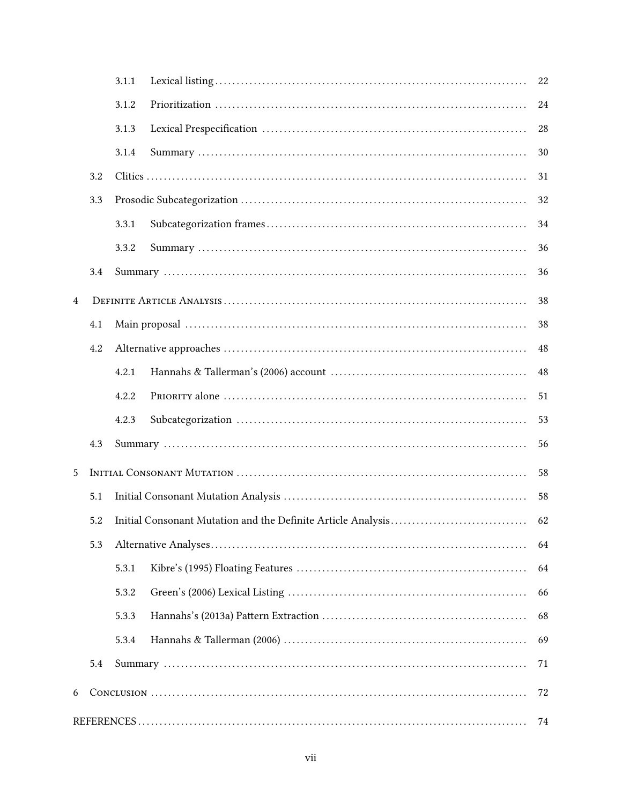|   |     | 3.1.1 | 22 |
|---|-----|-------|----|
|   |     | 3.1.2 | 24 |
|   |     | 3.1.3 | 28 |
|   |     | 3.1.4 | 30 |
|   | 3.2 |       | 31 |
|   | 3.3 |       | 32 |
|   |     | 3.3.1 | 34 |
|   |     | 3.3.2 | 36 |
|   | 3.4 |       | 36 |
| 4 |     |       | 38 |
|   | 4.1 |       | 38 |
|   | 4.2 |       | 48 |
|   |     | 4.2.1 | 48 |
|   |     | 4.2.2 | 51 |
|   |     | 4.2.3 | 53 |
|   | 4.3 |       | 56 |
| 5 |     |       | 58 |
|   | 5.1 |       | 58 |
|   | 5.2 |       | 62 |
|   | 5.3 |       | 64 |
|   |     | 5.3.1 | 64 |
|   |     | 5.3.2 | 66 |
|   |     | 5.3.3 | 68 |
|   |     | 5.3.4 | 69 |
|   | 5.4 |       | 71 |
| 6 |     |       | 72 |
|   |     |       | 74 |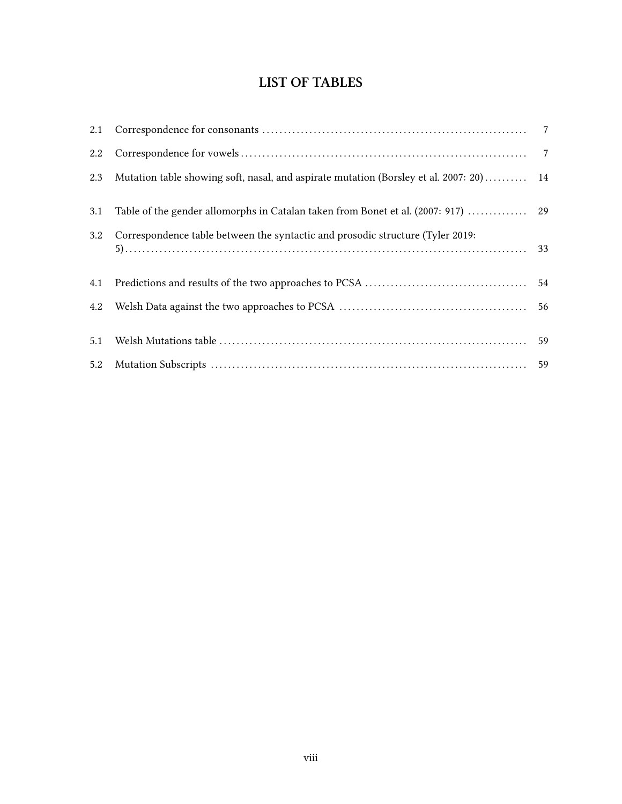## **LIST OF TABLES**

<span id="page-7-0"></span>

| 2.1 |                                                                                        |  |
|-----|----------------------------------------------------------------------------------------|--|
| 2.2 |                                                                                        |  |
| 2.3 | Mutation table showing soft, nasal, and aspirate mutation (Borsley et al. 2007: 20) 14 |  |
| 3.1 |                                                                                        |  |
| 3.2 | Correspondence table between the syntactic and prosodic structure (Tyler 2019:         |  |
| 4.1 |                                                                                        |  |
| 4.2 |                                                                                        |  |
| 5.1 |                                                                                        |  |
| 5.2 |                                                                                        |  |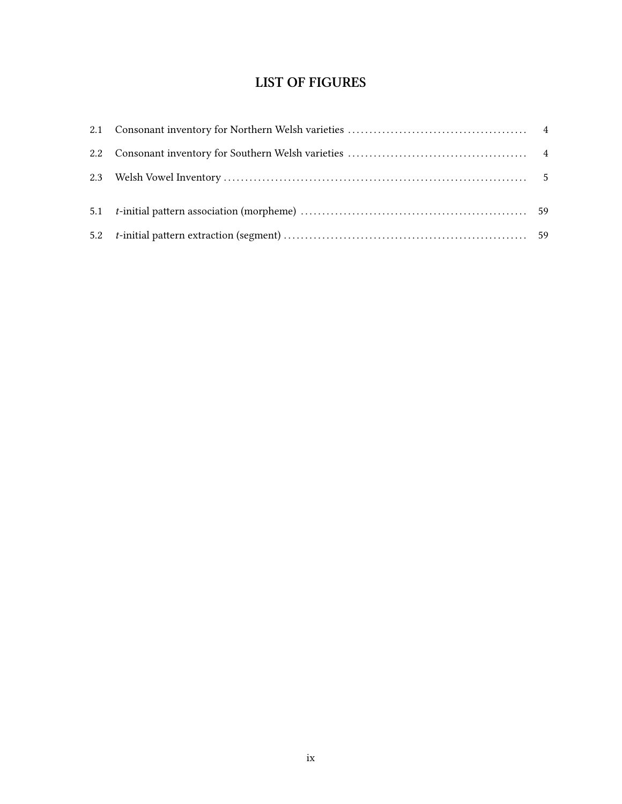# **LIST OF FIGURES**

<span id="page-8-0"></span>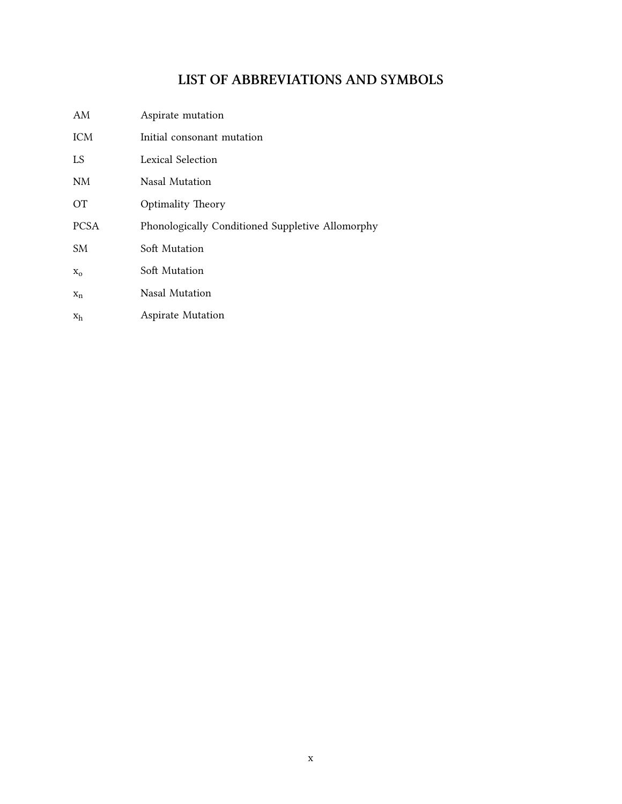## **LIST OF ABBREVIATIONS AND SYMBOLS**

<span id="page-9-0"></span>

| AM          | Aspirate mutation                                |
|-------------|--------------------------------------------------|
| <b>ICM</b>  | Initial consonant mutation                       |
| LS          | Lexical Selection                                |
| NM          | Nasal Mutation                                   |
| OТ          | <b>Optimality Theory</b>                         |
| <b>PCSA</b> | Phonologically Conditioned Suppletive Allomorphy |
| SM.         | Soft Mutation                                    |
| $X_{O}$     | Soft Mutation                                    |
| $X_n$       | Nasal Mutation                                   |
| $x_h$       | <b>Aspirate Mutation</b>                         |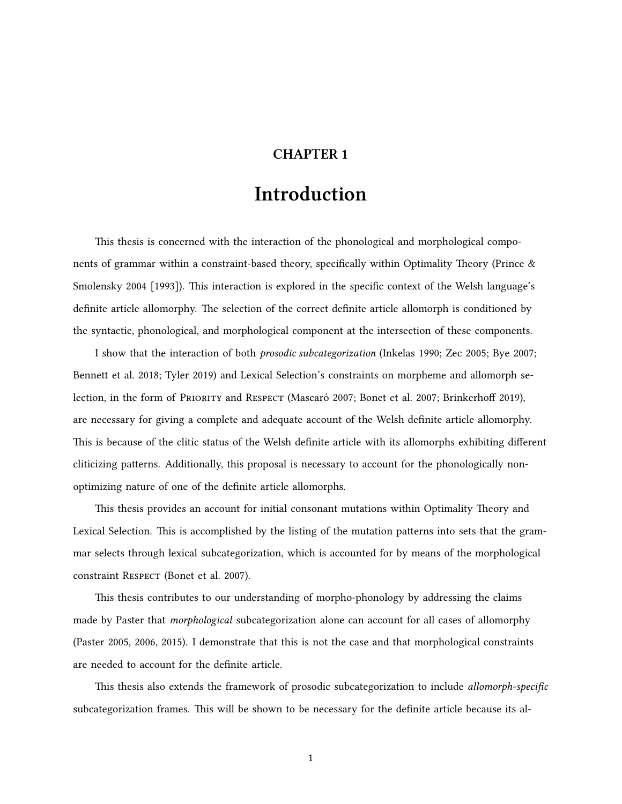## **CHAPTER 1**

# **Introduction**

<span id="page-10-0"></span>This thesis is concerned with the interaction of the phonological and morphological components of grammar within a constraint-based theory, specifically within Optimality Theory([Prince &](#page-86-0) [Smolensky](#page-86-0) [2004 \[1993\]](#page-86-0)). This interaction is explored in the specific context of the Welsh language's definite article allomorphy. The selection of the correct definite article allomorph is conditioned by the syntactic, phonological, and morphological component at the intersection of these components.

I show that the interaction of both *prosodic subcategorization* ([Inkelas](#page-84-0) [1990;](#page-84-0) [Zec](#page-86-1) [2005;](#page-86-1) [Bye](#page-83-1) [2007;](#page-83-1) [Bennett et al.](#page-83-2) [2018](#page-83-2); [Tyler](#page-86-2) [2019](#page-86-2)) and Lexical Selection's constraints on morpheme and allomorph selection, in the form of PRioRity and Respect [\(Mascaró](#page-85-0) [2007;](#page-85-0) [Bonet et al.](#page-83-0) [2007](#page-83-0); [Brinkerhoff](#page-83-4) [2019\)](#page-83-4), are necessary for giving a complete and adequate account of the Welsh definite article allomorphy. This is because of the clitic status of the Welsh definite article with its allomorphs exhibiting different cliticizing patterns. Additionally, this proposal is necessary to account for the phonologically nonoptimizing nature of one of the definite article allomorphs.

This thesis provides an account for initial consonant mutations within Optimality Theory and Lexical Selection. This is accomplished by the listing of the mutation patterns into sets that the grammar selects through lexical subcategorization, which is accounted for by means of the morphological constraint Respect [\(Bonet et al.](#page-83-0) [2007](#page-83-0)).

This thesis contributes to our understanding of morpho-phonology by addressing the claims made by Paster that *morphological* subcategorization alone can account for all cases of allomorphy [\(Paster](#page-85-3) [2005,](#page-85-3) [2006](#page-85-4), [2015](#page-85-2)). I demonstrate that this is not the case and that morphological constraints are needed to account for the definite article.

This thesis also extends the framework of prosodic subcategorization to include *allomorph-specific* subcategorization frames. This will be shown to be necessary for the definite article because its al-

1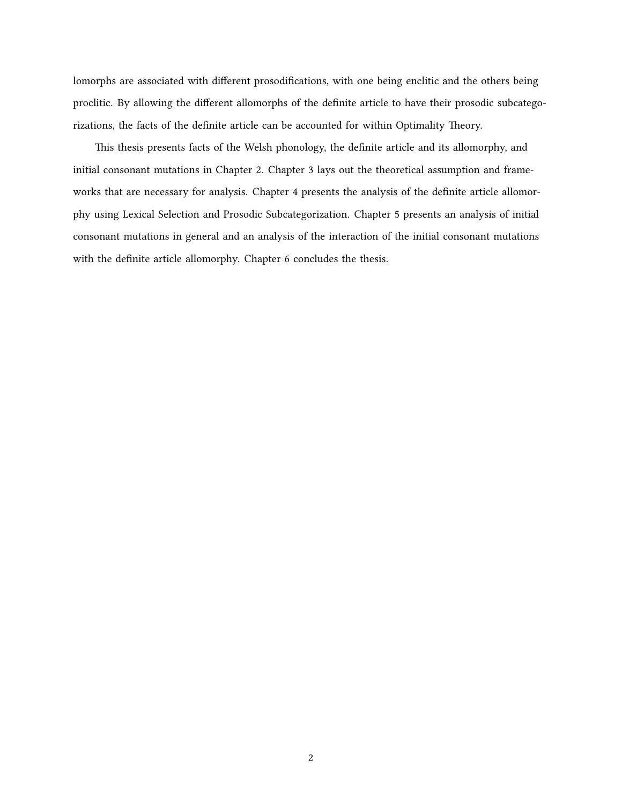lomorphs are associated with different prosodifications, with one being enclitic and the others being proclitic. By allowing the different allomorphs of the definite article to have their prosodic subcategorizations, the facts of the definite article can be accounted for within Optimality Theory.

This thesis presents facts of the Welsh phonology, the definite article and its allomorphy, and initial consonant mutations in Chapter [2](#page-12-0). Chapter [3](#page-30-0) lays out the theoretical assumption and frameworks that are necessary for analysis. Chapter [4](#page-47-0) presents the analysis of the definite article allomorphy using Lexical Selection and Prosodic Subcategorization. Chapter [5](#page-67-0) presents an analysis of initial consonant mutations in general and an analysis of the interaction of the initial consonant mutations with the definite article allomorphy. Chapter [6](#page-81-0) concludes the thesis.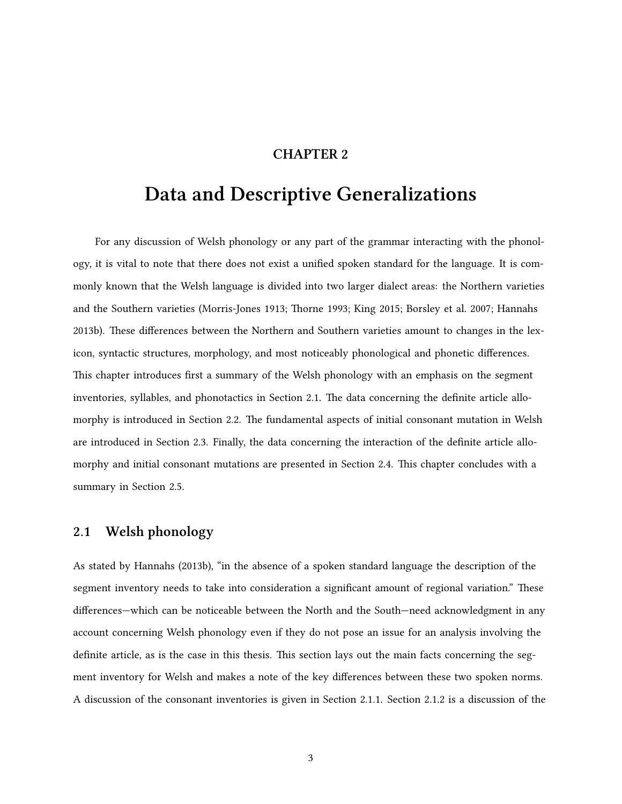## **CHAPTER 2**

# <span id="page-12-0"></span>**Data and Descriptive Generalizations**

For any discussion of Welsh phonology or any part of the grammar interacting with the phonology, it is vital to note that there does not exist a unified spoken standard for the language. It is commonly known that the Welsh language is divided into two larger dialect areas: the Northern varieties and the Southern varieties([Morris-Jones](#page-85-5) [1913;](#page-85-5) [Thorne](#page-86-3) [1993;](#page-86-3) [King](#page-84-3) [2015;](#page-84-3) [Borsley et al.](#page-83-5) [2007](#page-83-5); [Hannahs](#page-84-4) [2013b\)](#page-84-4). These differences between the Northern and Southern varieties amount to changes in the lexicon, syntactic structures, morphology, and most noticeably phonological and phonetic differences. This chapter introduces first a summary of the Welsh phonology with an emphasis on the segment inventories, syllables, and phonotactics in Section [2.1](#page-12-1). The data concerning the definite article allomorphy is introduced in Section [2.2](#page-19-0). The fundamental aspects of initial consonant mutation in Welsh are introduced in Section [2.3.](#page-22-1) Finally, the data concerning the interaction of the definite article allomorphy and initial consonant mutations are presented in Section [2.4.](#page-27-1) This chapter concludes with a summary in Section [2.5](#page-28-0).

## <span id="page-12-1"></span>**2.1 Welsh phonology**

As stated by [Hannahs](#page-84-4) ([2013b\)](#page-84-4), "in the absence of a spoken standard language the description of the segment inventory needs to take into consideration a significant amount of regional variation." These differences—which can be noticeable between the North and the South—need acknowledgment in any account concerning Welsh phonology even if they do not pose an issue for an analysis involving the definite article, as is the case in this thesis. This section lays out the main facts concerning the segment inventory for Welsh and makes a note of the key differences between these two spoken norms. A discussion of the consonant inventories is given in Section [2.1.1.](#page-13-0) Section [2.1.2](#page-13-1) is a discussion of the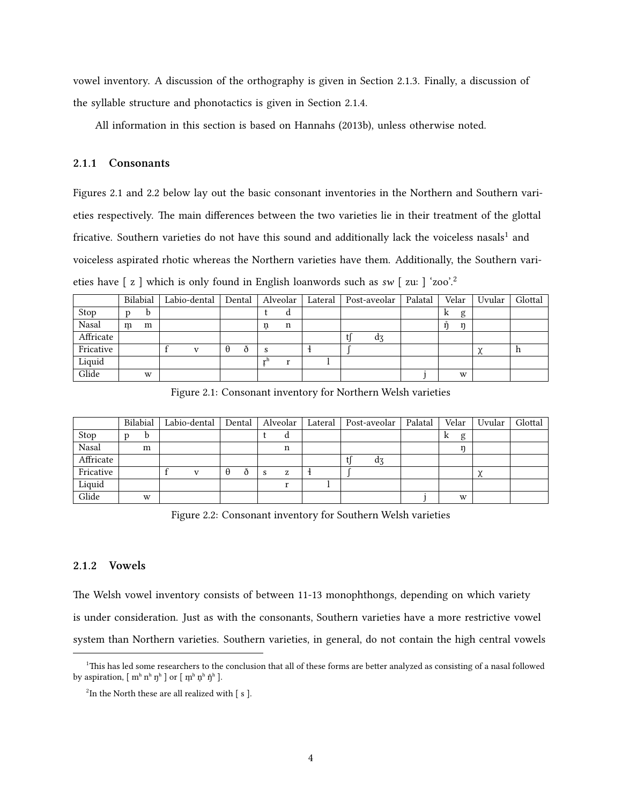vowel inventory. A discussion of the orthography is given in Section [2.1.3](#page-15-0). Finally, a discussion of the syllable structure and phonotactics is given in Section [2.1.4.](#page-16-0)

All information in this section is based on [Hannahs](#page-84-4) ([2013b](#page-84-4)), unless otherwise noted.

#### <span id="page-13-0"></span>**2.1.1 Consonants**

Figures [2.1](#page-13-2) and [2.2](#page-13-3) below lay out the basic consonant inventories in the Northern and Southern varieties respectively. The main differences between the two varieties lie in their treatment of the glottal fricative. Southern varieties do not have this sound and additionally lack the voiceless nasals<sup>[1](#page-13-4)</sup> and voiceless aspirated rhotic whereas the Northern varieties have them. Additionally, the Southern varieties have [ z ] which is only found in English loanwords such as *sw* [ zuː ] 'zoo'.[2](#page-13-5)

|           |   | Bilabial | Labio-dental |          | Dental |      | Alveolar | Lateral |  | Post-aveolar | Palatal |   | Velar | Uvular      | Glottal |
|-----------|---|----------|--------------|----------|--------|------|----------|---------|--|--------------|---------|---|-------|-------------|---------|
| Stop      |   | b        |              |          |        |      | d        |         |  |              |         | k | g     |             |         |
| Nasal     | m | m        |              |          |        | ņ    | n        |         |  |              |         | ň | ŋ     |             |         |
| Affricate |   |          |              |          |        |      |          |         |  | d3           |         |   |       |             |         |
| Fricative |   |          | $\mathbf{v}$ | $\theta$ | ð      | S    |          |         |  |              |         |   |       | $\sim$<br>⋏ | n       |
| Liquid    |   |          |              |          |        | $-h$ | r        |         |  |              |         |   |       |             |         |
| Glide     |   | W        |              |          |        |      |          |         |  |              |         |   | W     |             |         |

<span id="page-13-2"></span>Figure 2.1: Consonant inventory for Northern Welsh varieties

|           | Bilabial |   | Labio-dental   |          | Dental |   | Alveolar | Lateral |  | Post-aveolar | Palatal |   | Velar | Uvular        | Glottal |
|-----------|----------|---|----------------|----------|--------|---|----------|---------|--|--------------|---------|---|-------|---------------|---------|
| Stop      | p        | b |                |          |        |   | d        |         |  |              |         | k | g     |               |         |
| Nasal     |          | m |                |          |        |   | n        |         |  |              |         |   | n     |               |         |
| Affricate |          |   |                |          |        |   |          |         |  | dz           |         |   |       |               |         |
| Fricative |          |   | $\overline{V}$ | $\theta$ | ð      | S | z        |         |  |              |         |   |       | $\gamma$<br>⋏ |         |
| Liquid    |          |   |                |          |        |   | $\cdot$  |         |  |              |         |   |       |               |         |
| Glide     |          | W |                |          |        |   |          |         |  |              |         |   | W     |               |         |

<span id="page-13-3"></span>Figure 2.2: Consonant inventory for Southern Welsh varieties

#### <span id="page-13-1"></span>**2.1.2 Vowels**

The Welsh vowel inventory consists of between 11-13 monophthongs, depending on which variety is under consideration. Just as with the consonants, Southern varieties have a more restrictive vowel system than Northern varieties. Southern varieties, in general, do not contain the high central vowels

<span id="page-13-4"></span> $1$ This has led some researchers to the conclusion that all of these forms are better analyzed as consisting of a nasal followed by aspiration,  $[m^h n^h]$  or  $[m^h n^h]$ .

<span id="page-13-5"></span> $2$ In the North these are all realized with  $[$  s  $]$ .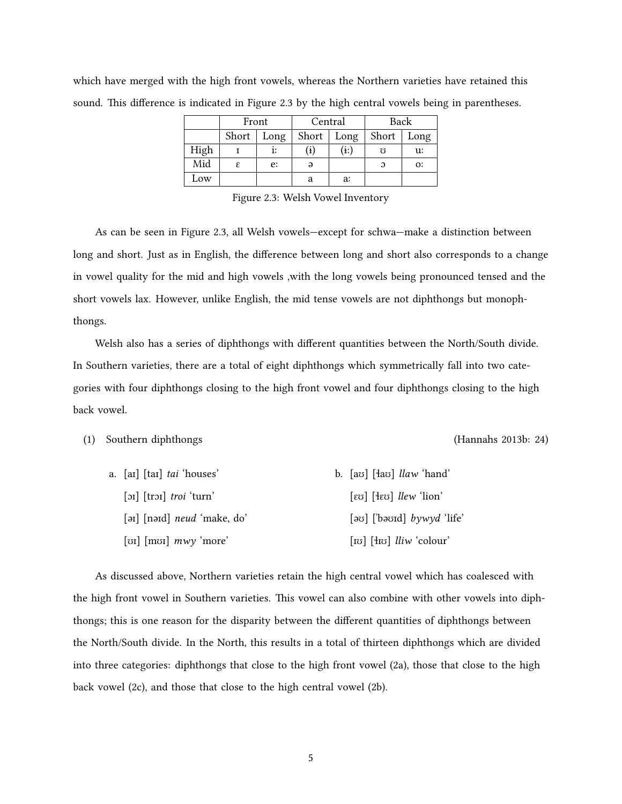|      | Front         |    | Central    |      | Back     |                |  |
|------|---------------|----|------------|------|----------|----------------|--|
|      | Short<br>Long |    | Short      | Long | Short    | Long           |  |
| High |               | ı: | $\bf{(i)}$ | (i:) | Ω        | u:             |  |
| Mid  | ε             | e: | $\Theta$   |      | $\Omega$ | O <sub>2</sub> |  |
| Low  |               |    | a          | a:   |          |                |  |

which have merged with the high front vowels, whereas the Northern varieties have retained this sound. This difference is indicated in Figure [2.3](#page-14-0) by the high central vowels being in parentheses.

<span id="page-14-0"></span>Figure 2.3: Welsh Vowel Inventory

As can be seen in Figure [2.3,](#page-14-0) all Welsh vowels—except for schwa—make a distinction between long and short. Just as in English, the difference between long and short also corresponds to a change in vowel quality for the mid and high vowels ,with the long vowels being pronounced tensed and the short vowels lax. However, unlike English, the mid tense vowels are not diphthongs but monophthongs.

Welsh also has a series of diphthongs with different quantities between the North/South divide. In Southern varieties, there are a total of eight diphthongs which symmetrically fall into two categories with four diphthongs closing to the high front vowel and four diphthongs closing to the high back vowel.

#### (1) Southern diphthongs [\(Hannahs](#page-84-4) [2013b](#page-84-4): 24)

| a. [aɪ] [taɪ] <i>tai</i> 'houses'                             | b. $[ax]$ $[4ax]$ $llaw$ 'hand'                                                                                                                                |
|---------------------------------------------------------------|----------------------------------------------------------------------------------------------------------------------------------------------------------------|
| $\lceil$ <sub>DI</sub> $\lceil$ $\lfloor$ troi $\lceil$ turn' | [ $\epsilon$ ʊ] $[$ $\epsilon$ v $\epsilon$ ] $\ell$ $\ell$ $\epsilon$ $\omega$ $\ell$ $\epsilon$ $\omega$ $\epsilon$                                          |
| [ $\sigma$ ] [n $\sigma$ nd] <i>neud</i> 'make, do'           | $[\infty]$ [bavid] $bywyd$ 'life'                                                                                                                              |
| [ $\sigma$ ] [m $\sigma$ ] $m\omega y$ 'more'                 | [ $\lceil \text{to} \rceil$ $\lceil \text{f} \text{to} \rceil$ $\lceil \text{li} \cdot \rceil$ $\lceil \text{li} \cdot \rceil$ $\lceil \text{ch} \cdot \rceil$ |

As discussed above, Northern varieties retain the high central vowel which has coalesced with the high front vowel in Southern varieties. This vowel can also combine with other vowels into diphthongs; this is one reason for the disparity between the different quantities of diphthongs between the North/South divide. In the North, this results in a total of thirteen diphthongs which are divided into three categories: diphthongs that close to the high front vowel [\(2a](#page-15-1)), those that close to the high back vowel([2c](#page-15-2)), and those that close to the high central vowel([2b](#page-15-3)).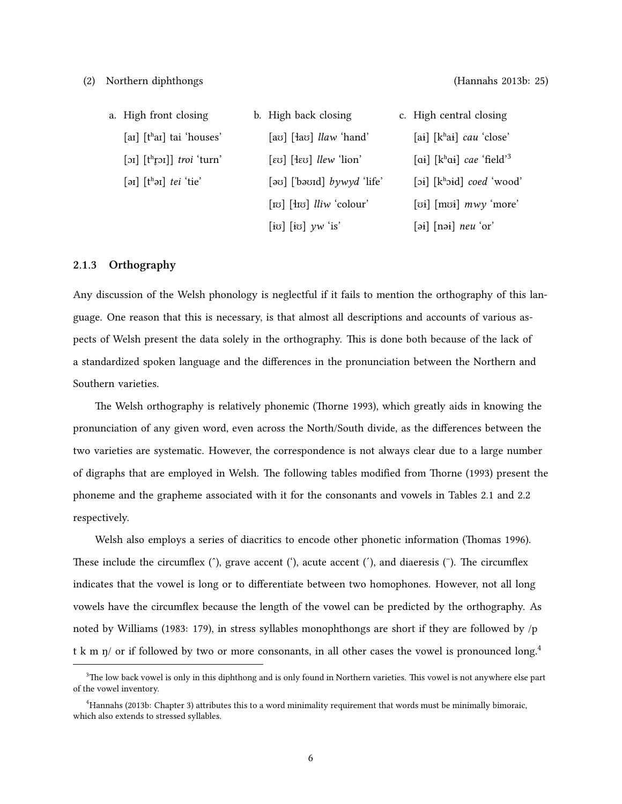<span id="page-15-2"></span><span id="page-15-1"></span>

| a. High front closing                                                                                    | b. High back closing                                                         | c. High central closing                                                                           |
|----------------------------------------------------------------------------------------------------------|------------------------------------------------------------------------------|---------------------------------------------------------------------------------------------------|
| [ar] $[thar]$ tai 'houses'                                                                               | [av] $[4a\sigma]$ <i>llaw</i> 'hand'                                         | [ai] $[khai]$ cau 'close'                                                                         |
| [ $\sigma$ ] [ $th$ [ $\sigma$ $i$ 'turn'                                                                | $[\infty]$ $[\infty]$ <i>llew</i> 'lion'                                     | [ai] $[khai]$ cae 'field' <sup>3</sup>                                                            |
| $[\mathsf{a} \mathsf{b}]$ $[\mathsf{t} \mathsf{b} \mathsf{a}]$ $\mathsf{t} \mathsf{e} \mathsf{i}'$ 'tie' | $[\infty]$ [basid] bywyd 'life'                                              | $[\circ i]$ [k <sup>h</sup> oid] <i>coed</i> 'wood'                                               |
|                                                                                                          | [ $\lceil \text{to} \rceil$ [ $\lceil \text{to} \rceil$ <i>lliw</i> 'colour' | [vi] $[mvi] mwy 'more'$                                                                           |
|                                                                                                          | $[i\sigma]$ $[i\sigma]$ $yw$ 'is'                                            | $[\overline{\text{pi}}]$ $[\overline{\text{noi}}]$ $\overline{\text{neu}}$ $\overline{\text{or}}$ |

#### <span id="page-15-3"></span><span id="page-15-0"></span>**2.1.3 Orthography**

Any discussion of the Welsh phonology is neglectful if it fails to mention the orthography of this language. One reason that this is necessary, is that almost all descriptions and accounts of various aspects of Welsh present the data solely in the orthography. This is done both because of the lack of a standardized spoken language and the differences in the pronunciation between the Northern and Southern varieties.

The Welsh orthography is relatively phonemic [\(Thorne](#page-86-3) [1993](#page-86-3)), which greatly aids in knowing the pronunciation of any given word, even across the North/South divide, as the differences between the two varieties are systematic. However, the correspondence is not always clear due to a large number of digraphs that are employed in Welsh. The following tables modified from [Thorne](#page-86-3) ([1993](#page-86-3)) present the phoneme and the grapheme associated with it for the consonants and vowels in Tables [2.1](#page-16-1) and [2.2](#page-16-2) respectively.

Welsh also employs a series of diacritics to encode other phonetic information([Thomas](#page-86-4) [1996](#page-86-4)). These include the circumflex  $(\hat{\ })$ , grave accent  $(\hat{\ })$ , acute accent  $(\hat{\ })$ , and diaeresis  $(\hat{\ })$ . The circumflex indicates that the vowel is long or to differentiate between two homophones. However, not all long vowels have the circumflex because the length of the vowel can be predicted by the orthography. As noted by [Williams](#page-86-5) [\(1983:](#page-86-5) 179), in stress syllables monophthongs are short if they are followed by /p t k m  $\eta$ / or if followed by two or more consonants, in all other cases the vowel is pronounced long.<sup>[4](#page-15-5)</sup>

<span id="page-15-4"></span> $3$ The low back vowel is only in this diphthong and is only found in Northern varieties. This vowel is not anywhere else part of the vowel inventory.

<span id="page-15-5"></span><sup>&</sup>lt;sup>4</sup>[Hannahs](#page-84-4) ([2013b:](#page-84-4) Chapter 3) attributes this to a word minimality requirement that words must be minimally bimoraic, which also extends to stressed syllables.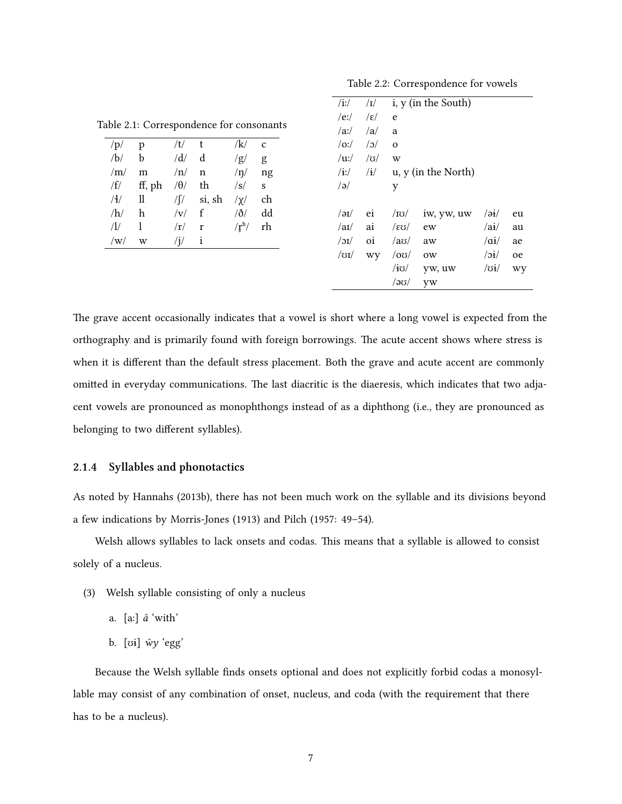<span id="page-16-2"></span>Table 2.2: Correspondence for vowels

<span id="page-16-1"></span>

| /p/                                | p      | $/t/$ t    |                   | /k/                                     | $\mathbf{c}$ |
|------------------------------------|--------|------------|-------------------|-----------------------------------------|--------------|
| /b/                                | b      | /d/        | $\mathbf d$       | /g/                                     | g            |
| /m/                                | m      | /n/        | n                 | /n/                                     | ng           |
| $\mathsf{f}/\mathsf{f}/\mathsf{f}$ | ff, ph | $/\theta/$ | th                | $\sqrt{s}$                              | S            |
| /                                  | – 11   |            | $\sqrt{f}$ si, sh | $/\chi/$                                | ch           |
| /h/                                | h      | v          | $-f$              | $\delta/$                               | dd           |
| $\sqrt{1/2}$                       | 1      | /r/        | r                 | $\langle \mathbf{r}^{\text{h}} \rangle$ | rh           |
| /w/                                | W      |            | Ť                 |                                         |              |

| $\rm  i\cdot $     | I                    |              | i, y (in the South) |                         |    |
|--------------------|----------------------|--------------|---------------------|-------------------------|----|
| $/e$ :/            | $\sqrt{\varepsilon}$ | e            |                     |                         |    |
| /ax/               | /a/                  | a            |                     |                         |    |
| $\overline{O}$ :/  | $\sqrt{c}$           | $\mathbf{o}$ |                     |                         |    |
| $\mu$ :/           | $\sqrt{3}$           | W            |                     |                         |    |
| $/$ i:/            | $\mathbf{H}$         |              | u, y (in the North) |                         |    |
| /a                 |                      | y            |                     |                         |    |
|                    |                      |              |                     |                         |    |
| $\sqrt{a}$         | ei                   | $\log$       | iw, yw, uw          | $\overline{\mathbf{a}}$ | eu |
| /ai/               | ai                   | /εʊ/         | ew                  | $a\mathbf{i}/$          | au |
| $\overline{\rm O}$ | $\overline{0}$       | $/$ ao $/$   | aw                  | $\alpha i/$             | ae |
| $\sqrt{31/2}$      | wy                   | $ 00\rangle$ | 0W                  | $\overline{\mathbf{E}}$ | oe |
|                    |                      | /iʊ/         | yw, uw              | $\sqrt{3i/2}$           | wy |
|                    |                      | /ခၓ/         | yw                  |                         |    |

The grave accent occasionally indicates that a vowel is short where a long vowel is expected from the orthography and is primarily found with foreign borrowings. The acute accent shows where stress is when it is different than the default stress placement. Both the grave and acute accent are commonly omitted in everyday communications. The last diacritic is the diaeresis, which indicates that two adjacent vowels are pronounced as monophthongs instead of as a diphthong (i.e., they are pronounced as belonging to two different syllables).

#### <span id="page-16-0"></span>**2.1.4 Syllables and phonotactics**

As noted by [Hannahs](#page-84-4) ([2013b](#page-84-4)), there has not been much work on the syllable and its divisions beyond a few indications by [Morris-Jones](#page-85-5) ([1913\)](#page-85-5) and [Pilch](#page-86-6) ([1957](#page-86-6): 49–54).

Welsh allows syllables to lack onsets and codas. This means that a syllable is allowed to consist solely of a nucleus.

- (3) Welsh syllable consisting of only a nucleus
	- a. [aː] *â* 'with'
	- b. [ʊɨ] *ŵy* 'egg'

Because the Welsh syllable finds onsets optional and does not explicitly forbid codas a monosyllable may consist of any combination of onset, nucleus, and coda (with the requirement that there has to be a nucleus).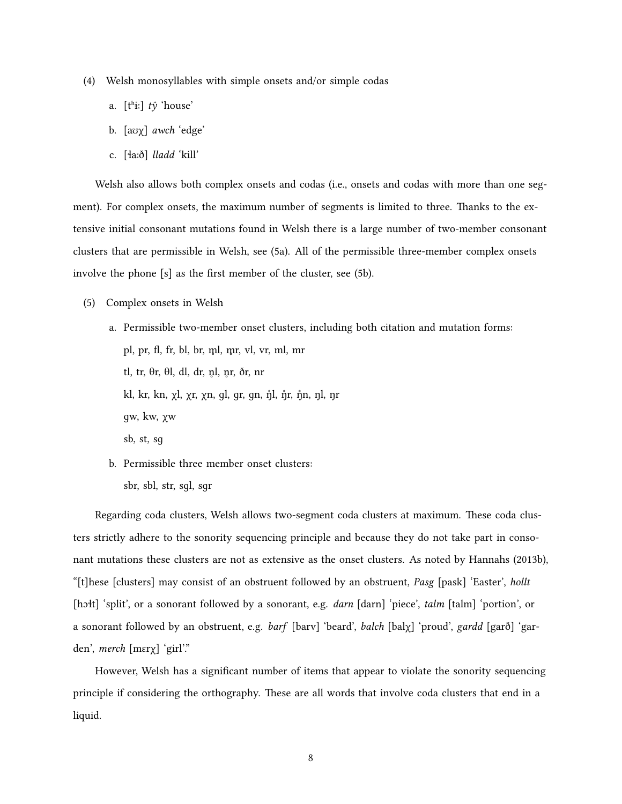- (4) Welsh monosyllables with simple onsets and/or simple codas
	- a. [tʰɨː] *tŷ* 'house'
	- b. [aʊχ] *awch* 'edge'
	- c. [ɬaːð] *lladd* 'kill'

Welsh also allows both complex onsets and codas (i.e., onsets and codas with more than one segment). For complex onsets, the maximum number of segments is limited to three. Thanks to the extensive initial consonant mutations found in Welsh there is a large number of two-member consonant clusters that are permissible in Welsh, see [\(5a](#page-17-0)). All of the permissible three-member complex onsets involve the phone [s] as the first member of the cluster, see [\(5b\)](#page-17-1).

<span id="page-17-0"></span>(5) Complex onsets in Welsh

a. Permissible two-member onset clusters, including both citation and mutation forms: pl, pr, fl, fr, bl, br, m̥l, m̥r, vl, vr, ml, mr tl, tr,  $\theta$ r,  $\theta$ l, dl, dr, nl, nr, ðr, nr kl, kr, kn, χl, χr, χn, ɡl, ɡr, ɡn, ŋ̊l, ŋ̊r, ŋ̊n, ŋl, ŋr ɡw, kw, χw sb, st, sɡ b. Permissible three member onset clusters:

<span id="page-17-1"></span>sbr, sbl, str, sɡl, sɡr

Regarding coda clusters, Welsh allows two-segment coda clusters at maximum. These coda clusters strictly adhere to the sonority sequencing principle and because they do not take part in consonant mutations these clusters are not as extensive as the onset clusters. As noted by [Hannahs](#page-84-4) ([2013b](#page-84-4)), "[t]hese [clusters] may consist of an obstruent followed by an obstruent, *Pasg* [pask] 'Easter', *hollt* [hɔɬt] 'split', or a sonorant followed by a sonorant, e.g. *darn* [darn] 'piece', *talm* [talm] 'portion', or a sonorant followed by an obstruent, e.g. *barf* [barv] 'beard', *balch* [balχ] 'proud', *gardd* [garð] 'garden', *merch* [mɛrχ] 'girl'."

However, Welsh has a significant number of items that appear to violate the sonority sequencing principle if considering the orthography. These are all words that involve coda clusters that end in a liquid.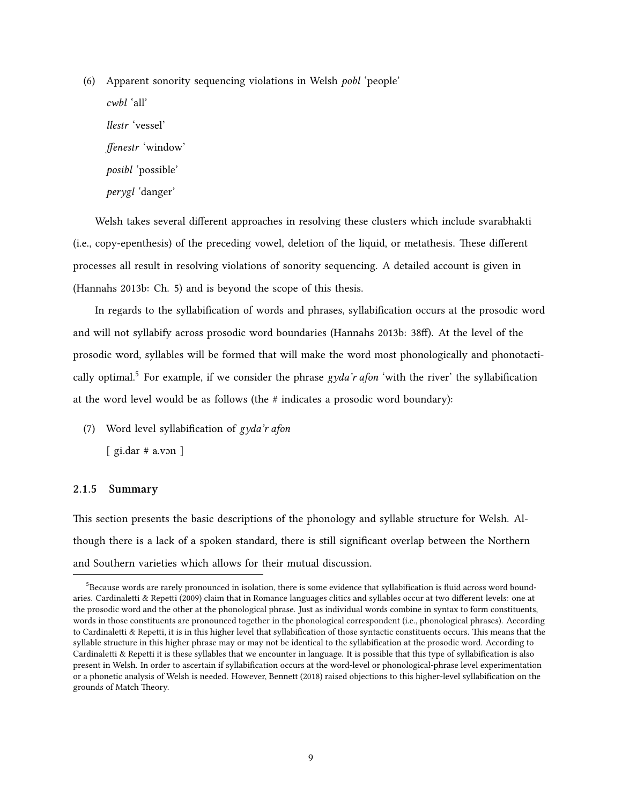(6) Apparent sonority sequencing violations in Welsh *pobl* 'people' *cwbl* 'all' *llestr* 'vessel' *ffenestr* 'window' *posibl* 'possible' *perygl* 'danger'

Welsh takes several different approaches in resolving these clusters which include svarabhakti (i.e., copy-epenthesis) of the preceding vowel, deletion of the liquid, or metathesis. These different processes all result in resolving violations of sonority sequencing. A detailed account is given in [\(Hannahs](#page-84-4) [2013b](#page-84-4): Ch. 5) and is beyond the scope of this thesis.

In regards to the syllabification of words and phrases, syllabification occurs at the prosodic word and will not syllabify across prosodic word boundaries([Hannahs](#page-84-4) [2013b:](#page-84-4) 38f). At the level of the prosodic word, syllables will be formed that will make the word most phonologically and phonotactically optimal.[5](#page-18-1) For example, if we consider the phrase *gyda'r afon* 'with the river' the syllabification at the word level would be as follows (the # indicates a prosodic word boundary):

(7) Word level syllabification of *gyda'r afon*

 $[$  gi.dar # a.von  $]$ 

#### <span id="page-18-0"></span>**2.1.5 Summary**

This section presents the basic descriptions of the phonology and syllable structure for Welsh. Although there is a lack of a spoken standard, there is still significant overlap between the Northern and Southern varieties which allows for their mutual discussion.

<span id="page-18-1"></span> $5$ Because words are rarely pronounced in isolation, there is some evidence that syllabification is fluid across word boundaries. [Cardinaletti & Repetti](#page-83-6) [\(2009](#page-83-6)) claim that in Romance languages clitics and syllables occur at two different levels: one at the prosodic word and the other at the phonological phrase. Just as individual words combine in syntax to form constituents, words in those constituents are pronounced together in the phonological correspondent (i.e., phonological phrases). According to [Cardinaletti & Repetti,](#page-83-6) it is in this higher level that syllabification of those syntactic constituents occurs. This means that the syllable structure in this higher phrase may or may not be identical to the syllabification at the prosodic word. According to [Cardinaletti & Repetti](#page-83-6) it is these syllables that we encounter in language. It is possible that this type of syllabification is also present in Welsh. In order to ascertain if syllabification occurs at the word-level or phonological-phrase level experimentation or a phonetic analysis of Welsh is needed. However, [Bennett](#page-83-7) [\(2018](#page-83-7)) raised objections to this higher-level syllabification on the grounds of Match Theory.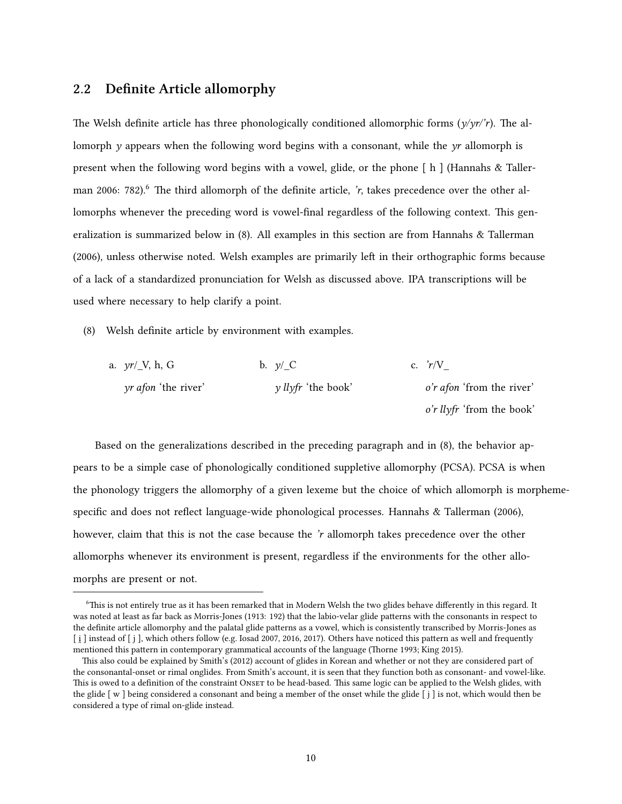### <span id="page-19-0"></span>**2.2 Definite Article allomorphy**

The Welsh definite article has three phonologically conditioned allomorphic forms (*y/yr/'r*). The allomorph *y* appears when the following word begins with a consonant, while the *yr* allomorph is present when the following word begins with a vowel, glide, or the phone [ h ] [\(Hannahs & Taller](#page-84-2)[man](#page-84-2) [2006](#page-84-2): 782).<sup>[6](#page-19-1)</sup> The third allomorph of the definite article, *'r*, takes precedence over the other allomorphs whenever the preceding word is vowel-final regardless of the following context. This generalization is summarized below in([8\)](#page-19-2). All examples in this section are from [Hannahs & Tallerman](#page-84-2) [\(2006\)](#page-84-2), unless otherwise noted. Welsh examples are primarily left in their orthographic forms because of a lack of a standardized pronunciation for Welsh as discussed above. IPA transcriptions will be used where necessary to help clarify a point.

<span id="page-19-2"></span>(8) Welsh definite article by environment with examples.

| a. $yr/\_V$ , h, G         | b. $\nu / C$                  | c. $r/V$                  |
|----------------------------|-------------------------------|---------------------------|
| <i>yr afon</i> 'the river' | $\nu$ <i>llyfr</i> 'the book' | o'r afon 'from the river' |
|                            |                               | o'r llyfr 'from the book' |

Based on the generalizations described in the preceding paragraph and in([8\)](#page-19-2), the behavior appears to be a simple case of phonologically conditioned suppletive allomorphy (PCSA). PCSA is when the phonology triggers the allomorphy of a given lexeme but the choice of which allomorph is morphemespecific and does not reflect language-wide phonological processes. [Hannahs & Tallerman](#page-84-2) ([2006\)](#page-84-2), however, claim that this is not the case because the *'r* allomorph takes precedence over the other allomorphs whenever its environment is present, regardless if the environments for the other allomorphs are present or not.

<span id="page-19-1"></span><sup>6</sup>This is not entirely true as it has been remarked that in Modern Welsh the two glides behave differently in this regard. It was noted at least as far back as [Morris-Jones](#page-85-5) [\(1913](#page-85-5): 192) that the labio-velar glide patterns with the consonants in respect to the definite article allomorphy and the palatal glide patterns as a vowel, which is consistently transcribed by [Morris-Jones](#page-85-5) as [i] instead of [j], which others follow (e.g. [Iosad](#page-84-5) [2007,](#page-84-5) [2016,](#page-84-6) [2017\)](#page-84-7). Others have noticed this pattern as well and frequently mentioned this pattern in contemporary grammatical accounts of the language([Thorne](#page-86-3) [1993;](#page-86-3) [King](#page-84-3) [2015](#page-84-3)).

This also could be explained by [Smith'](#page-86-7)s [\(2012](#page-86-7)) account of glides in Korean and whether or not they are considered part of the consonantal-onset or rimal onglides. From [Smith'](#page-86-7)s account, it is seen that they function both as consonant- and vowel-like. This is owed to a definition of the constraint Onser to be head-based. This same logic can be applied to the Welsh glides, with the glide [ w ] being considered a consonant and being a member of the onset while the glide [ j ] is not, which would then be considered a type of rimal on-glide instead.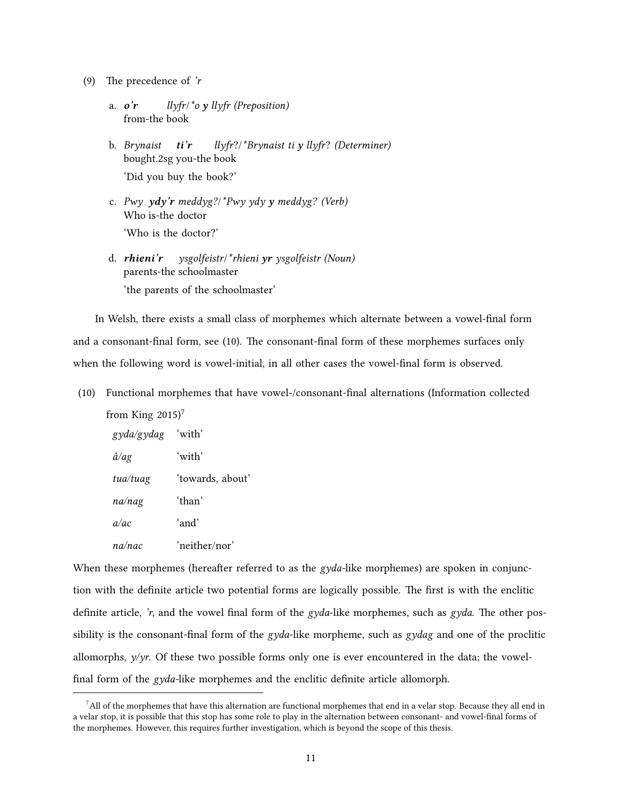- (9) The precedence of *'r*
	- a. *o'r* from-the book *llyfr*/*\*o y llyfr (Preposition)*
	- b. *Brynaist ti'r* bought.2sg you-the book *llyfr*?/*\*Brynaist ti y llyfr*? *(Determiner)* 'Did you buy the book?'
	- c. *Pwy ydy'r meddyg?*/*\*Pwy ydy y meddyg? (Verb)* Who is-the doctor 'Who is the doctor?'
	- d. *rhieni'r* parents-the schoolmaster *ysgolfeistr*/*\*rhieni yr ysgolfeistr (Noun)* 'the parents of the schoolmaster'

In Welsh, there exists a small class of morphemes which alternate between a vowel-final form and a consonant-final form, see([10\)](#page-20-0). The consonant-final form of these morphemes surfaces only when the following word is vowel-initial, in all other cases the vowel-final form is observed.

<span id="page-20-0"></span>(10) Functional morphemes that have vowel-/consonant-final alternations (Information collected from [King](#page-84-3)  $2015$ <sup>[7](#page-20-1)</sup>

| gyda/gydag 'with' |                  |
|-------------------|------------------|
| $\hat{a}/ag$      | 'with'           |
| tua/tuag          | 'towards, about' |
| na/nag            | ʻthan'           |
| a/ac              | ʻand'            |
| na/nac            | 'neither/nor'    |

When these morphemes (hereafter referred to as the *gyda-*like morphemes) are spoken in conjunction with the definite article two potential forms are logically possible. The first is with the enclitic definite article, *'r*, and the vowel final form of the *gyda*-like morphemes, such as *gyda*. The other possibility is the consonant-final form of the *gyda*-like morpheme, such as *gydag* and one of the proclitic allomorphs, *y/yr*. Of these two possible forms only one is ever encountered in the data; the vowelfinal form of the *gyda-*like morphemes and the enclitic definite article allomorph.

<span id="page-20-1"></span> $<sup>7</sup>$  All of the morphemes that have this alternation are functional morphemes that end in a velar stop. Because they all end in</sup> a velar stop, it is possible that this stop has some role to play in the alternation between consonant- and vowel-final forms of the morphemes. However, this requires further investigation, which is beyond the scope of this thesis.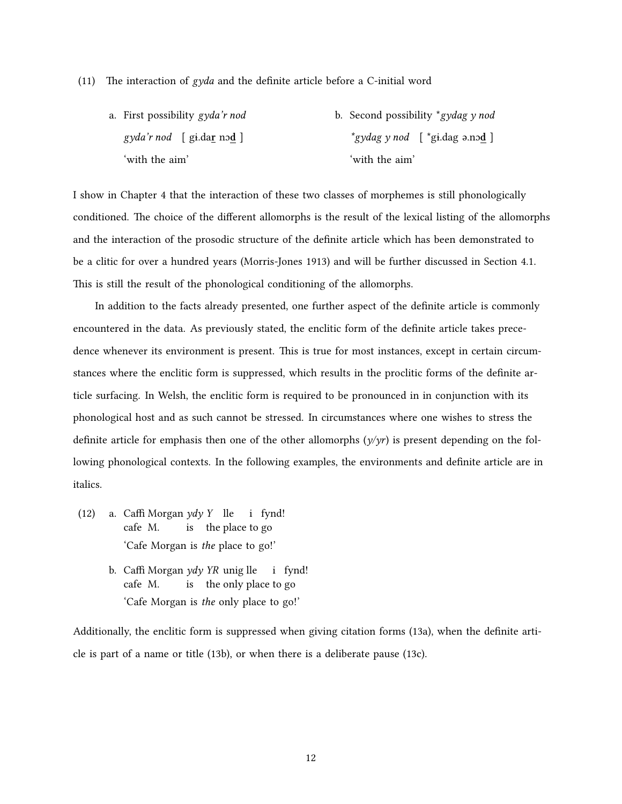#### (11) The interaction of *gyda* and the definite article before a C-initial word

a. First possibility *gyda'r nod gyda'r nod* [ gɨ.da**r** nɔ**d** ] 'with the aim' b. Second possibility \**gydag y nod \*gydag y nod* [ \*gɨ.dag ə.nɔ**d** ] 'with the aim'

I show in Chapter [4](#page-47-0) that the interaction of these two classes of morphemes is still phonologically conditioned. The choice of the different allomorphs is the result of the lexical listing of the allomorphs and the interaction of the prosodic structure of the definite article which has been demonstrated to be a clitic for over a hundred years [\(Morris-Jones](#page-85-5) [1913\)](#page-85-5) and will be further discussed in Section [4.1.](#page-47-1) This is still the result of the phonological conditioning of the allomorphs.

In addition to the facts already presented, one further aspect of the definite article is commonly encountered in the data. As previously stated, the enclitic form of the definite article takes precedence whenever its environment is present. This is true for most instances, except in certain circumstances where the enclitic form is suppressed, which results in the proclitic forms of the definite article surfacing. In Welsh, the enclitic form is required to be pronounced in in conjunction with its phonological host and as such cannot be stressed. In circumstances where one wishes to stress the definite article for emphasis then one of the other allomorphs  $(\gamma/\gamma r)$  is present depending on the following phonological contexts. In the following examples, the environments and definite article are in italics.

- (12) a. Caffi Morgan *ydy Y* lle cafe M. is the place to go i fynd! 'Cafe Morgan is *the* place to go!'
	- b. Caffi Morgan *ydy YR* unig lle cafe M. is the only place to go i fynd! 'Cafe Morgan is *the* only place to go!'

Additionally, the enclitic form is suppressed when giving citation forms [\(13a](#page-22-2)), when the definite article is part of a name or title([13b](#page-22-3)), or when there is a deliberate pause [\(13c\)](#page-22-4).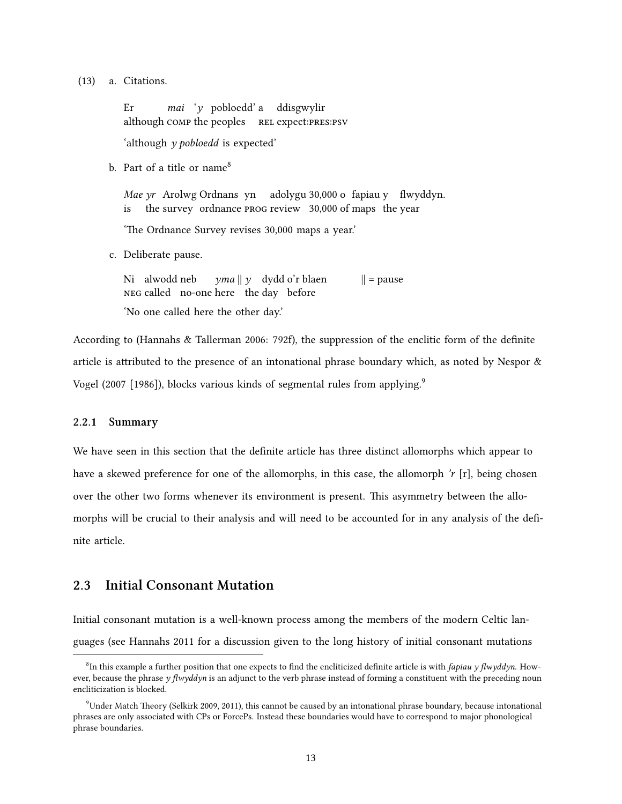<span id="page-22-2"></span>(13) a. Citations.

Er although comp the peoples Rel expect:pRes:psv *mai* '*y* pobloedd' a ddisgwylir

'although *y pobloedd* is expected'

<span id="page-22-3"></span>b. Part of a title or name<sup>[8](#page-22-5)</sup>

Mae yr Arolwg Ordnans yn adolygu 30,000 o fapiau y flwyddyn. is the survey ordnance PROG review 30,000 of maps the year

'The Ordnance Survey revises 30,000 maps a year.'

<span id="page-22-4"></span>c. Deliberate pause.

Ni alwodd neb NEG called no-one here the day before *yma* || *y* dydd o'r blaen  $\|$  = pause 'No one called here the other day.'

According to([Hannahs & Tallerman](#page-84-2) [2006:](#page-84-2) 792f), the suppression of the enclitic form of the definite article is attributed to the presence of an intonational phrase boundary which, as noted by [Nespor &](#page-85-6) [Vogel](#page-85-6) ([2007 \[1986\]\)](#page-85-6), blocks various kinds of segmental rules from applying.<sup>[9](#page-22-6)</sup>

#### <span id="page-22-0"></span>**2.2.1 Summary**

We have seen in this section that the definite article has three distinct allomorphs which appear to have a skewed preference for one of the allomorphs, in this case, the allomorph *'r* [r], being chosen over the other two forms whenever its environment is present. This asymmetry between the allomorphs will be crucial to their analysis and will need to be accounted for in any analysis of the definite article.

### <span id="page-22-1"></span>**2.3 Initial Consonant Mutation**

Initial consonant mutation is a well-known process among the members of the modern Celtic languages (see [Hannahs](#page-84-8) [2011](#page-84-8) for a discussion given to the long history of initial consonant mutations

<span id="page-22-5"></span><sup>8</sup> In this example a further position that one expects to find the encliticized definite article is with *fapiau y flwyddyn*. However, because the phrase *y flwyddyn* is an adjunct to the verb phrase instead of forming a constituent with the preceding noun encliticization is blocked.

<span id="page-22-6"></span> $^9$ Under Match Theory [\(Selkirk](#page-86-8) [2009,](#page-86-8) [2011\)](#page-86-9), this cannot be caused by an intonational phrase boundary, because intonational phrases are only associated with CPs or ForcePs. Instead these boundaries would have to correspond to major phonological phrase boundaries.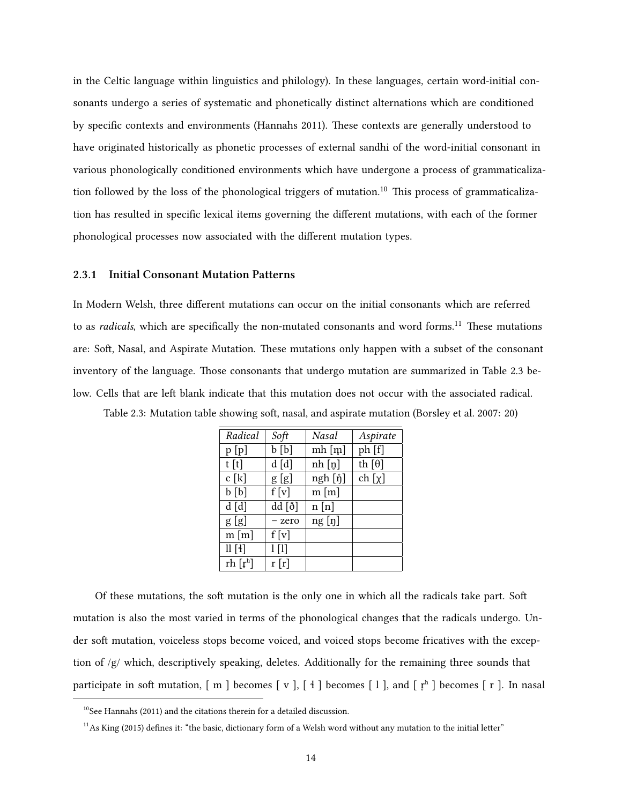in the Celtic language within linguistics and philology). In these languages, certain word-initial consonants undergo a series of systematic and phonetically distinct alternations which are conditioned by specific contexts and environments [\(Hannahs](#page-84-8) [2011](#page-84-8)). These contexts are generally understood to have originated historically as phonetic processes of external sandhi of the word-initial consonant in various phonologically conditioned environments which have undergone a process of grammaticaliza-tion followed by the loss of the phonological triggers of mutation.<sup>[10](#page-23-2)</sup> This process of grammaticalization has resulted in specific lexical items governing the different mutations, with each of the former phonological processes now associated with the different mutation types.

#### <span id="page-23-0"></span>**2.3.1 Initial Consonant Mutation Patterns**

In Modern Welsh, three different mutations can occur on the initial consonants which are referred to as *radicals*, which are specifically the non-mutated consonants and word forms.<sup>[11](#page-23-3)</sup> These mutations are: Soft, Nasal, and Aspirate Mutation. These mutations only happen with a subset of the consonant inventory of the language. Those consonants that undergo mutation are summarized in Table [2.3](#page-23-1) below. Cells that are left blank indicate that this mutation does not occur with the associated radical.

<span id="page-23-1"></span>

| Table 2.3: Mutation table showing soft, nasal, and aspirate mutation (Borsley et al. 2007: 20) |  |  |
|------------------------------------------------------------------------------------------------|--|--|
|------------------------------------------------------------------------------------------------|--|--|

| Radical    | Soft      | Nasal     | Aspirate      |
|------------|-----------|-----------|---------------|
| p[p]       | b[b]      | $m h$ [m] | ph [f]        |
| t[t]       | d[d]      | nh [n]    | th $[\theta]$ |
| c[k]       | g[g]      | ngh [ŋ̃]  | ch $[\chi]$   |
| b[b]       | f[v]      | $m \,[m]$ |               |
| d[d]       | dd [ð]    | n[n]      |               |
| g[g]       | - zero    | ng [n]    |               |
| $m \,[m]$  | f[v]      |           |               |
| $ll$ [4]   | $1$ $[1]$ |           |               |
| rh $[r^h]$ | r[r]      |           |               |

Of these mutations, the soft mutation is the only one in which all the radicals take part. Soft mutation is also the most varied in terms of the phonological changes that the radicals undergo. Under soft mutation, voiceless stops become voiced, and voiced stops become fricatives with the exception of /g/ which, descriptively speaking, deletes. Additionally for the remaining three sounds that participate in soft mutation,  $[m]$  becomes  $[v]$ ,  $[4]$  becomes  $[1]$ , and  $[r^h]$  becomes  $[r]$ . In nasal

<span id="page-23-2"></span> $10$ See [Hannahs](#page-84-8) ([2011](#page-84-8)) and the citations therein for a detailed discussion.

<span id="page-23-3"></span> $11$ As [King](#page-84-3) [\(2015](#page-84-3)) defines it: "the basic, dictionary form of a Welsh word without any mutation to the initial letter"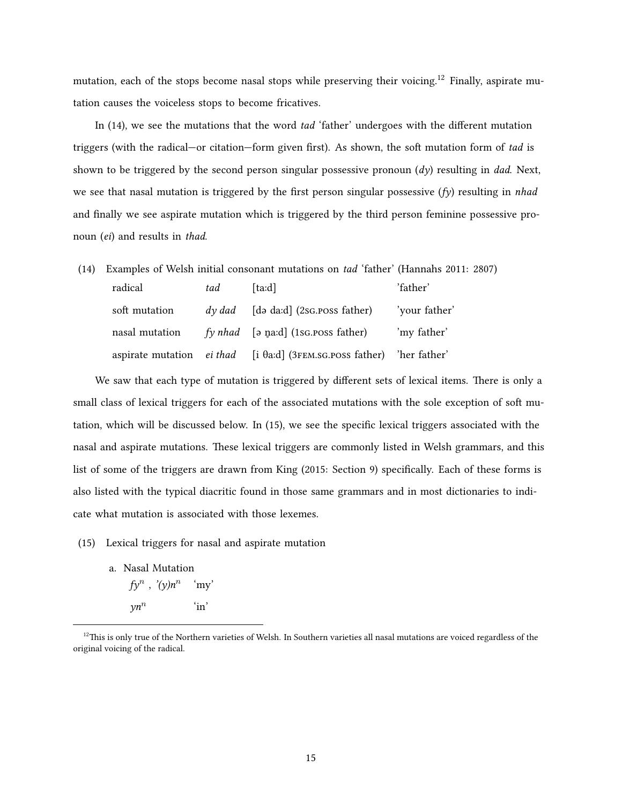mutation, each of the stops become nasal stops while preserving their voicing.<sup>[12](#page-24-0)</sup> Finally, aspirate mutation causes the voiceless stops to become fricatives.

In([14\)](#page-24-1), we see the mutations that the word *tad* 'father' undergoes with the different mutation triggers (with the radical—or citation—form given first). As shown, the soft mutation form of *tad* is shown to be triggered by the second person singular possessive pronoun (*dy*) resulting in *dad*. Next, we see that nasal mutation is triggered by the first person singular possessive (*fy*) resulting in *nhad* and finally we see aspirate mutation which is triggered by the third person feminine possessive pronoun (*ei*) and results in *thad*.

<span id="page-24-1"></span>(14) Examples of Welsh initial consonant mutations on *tad* 'father' [\(Hannahs](#page-84-8) [2011:](#page-84-8) 2807) radical *tad* [taːd] 'father' soft mutation *dy dad* [də daːd] (2sg.poss father) 'your father' nasal mutation *fy nhad* [ə n̪aːd] (1sɑ.poss father) 'my father' aspirate mutation *ei thad* [i θaːd] (3fem.sg.poss father) 'her father'

We saw that each type of mutation is triggered by different sets of lexical items. There is only a small class of lexical triggers for each of the associated mutations with the sole exception of soft mutation, which will be discussed below. In([15](#page-24-2)), we see the specific lexical triggers associated with the nasal and aspirate mutations. These lexical triggers are commonly listed in Welsh grammars, and this list of some of the triggers are drawn from [King](#page-84-3) [\(2015](#page-84-3): Section 9) specifically. Each of these forms is also listed with the typical diacritic found in those same grammars and in most dictionaries to indicate what mutation is associated with those lexemes.

- <span id="page-24-2"></span>(15) Lexical triggers for nasal and aspirate mutation
	- a. Nasal Mutation *fy<sup>n</sup>* , *'(y)n<sup>n</sup>* 'my' *yn<sup>n</sup>* 'in'

<span id="page-24-0"></span> $12$ This is only true of the Northern varieties of Welsh. In Southern varieties all nasal mutations are voiced regardless of the original voicing of the radical.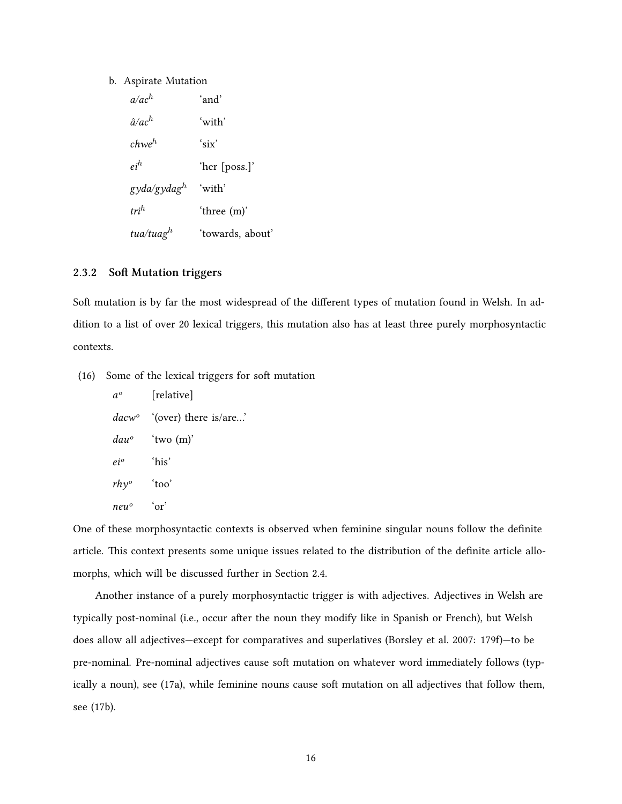#### b. Aspirate Mutation

| $a/ac^h$              | ʻand'            |
|-----------------------|------------------|
| $\hat{a}/ac^h$        | ʻwith'           |
| chwe $^h$             | 'six'            |
| $e^{ih}$              | 'her [poss.]'    |
| gyda/gydag $^h$       | 'with'           |
| $tri^h$               | 'three (m)'      |
| tua/tuag <sup>h</sup> | 'towards, about' |

#### <span id="page-25-0"></span>**2.3.2 Soft Mutation triggers**

Soft mutation is by far the most widespread of the different types of mutation found in Welsh. In addition to a list of over 20 lexical triggers, this mutation also has at least three purely morphosyntactic contexts.

(16) Some of the lexical triggers for soft mutation

| $a^o$             | [relative]            |
|-------------------|-----------------------|
| dacw <sup>o</sup> | '(over) there is/are' |
| dau°              | 'two $(m)$ '          |
| ei°               | ʻhis'                 |
| $r h y^{\circ}$   | 'too'                 |
| neuº              | $\alpha r$            |

One of these morphosyntactic contexts is observed when feminine singular nouns follow the definite article. This context presents some unique issues related to the distribution of the definite article allomorphs, which will be discussed further in Section [2.4.](#page-27-1)

Another instance of a purely morphosyntactic trigger is with adjectives. Adjectives in Welsh are typically post-nominal (i.e., occur after the noun they modify like in Spanish or French), but Welsh does allow all adjectives—except for comparatives and superlatives([Borsley et al.](#page-83-5) [2007:](#page-83-5) 179f)—to be pre-nominal. Pre-nominal adjectives cause soft mutation on whatever word immediately follows (typically a noun), see([17a\)](#page-26-0), while feminine nouns cause soft mutation on all adjectives that follow them, see([17b](#page-26-1)).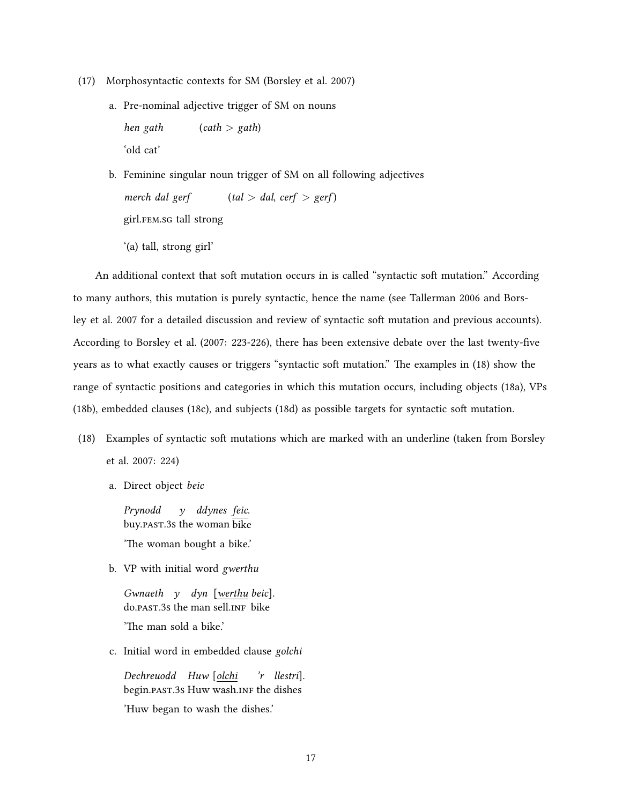- <span id="page-26-0"></span>(17) Morphosyntactic contexts for SM([Borsley et al.](#page-83-5) [2007](#page-83-5))
	- a. Pre-nominal adjective trigger of SM on nouns *hen gath* (*cath > gath*)

'old cat'

'(a) tall, strong girl'

<span id="page-26-1"></span>b. Feminine singular noun trigger of SM on all following adjectives *merch dal gerf*  $(tal > dal, cert > gerf)$ girl.fem.sg tall strong

An additional context that soft mutation occurs in is called "syntactic soft mutation." According to many authors, this mutation is purely syntactic, hence the name (see [Tallerman](#page-86-10) [2006](#page-86-10) and [Bors](#page-83-5)[ley et al.](#page-83-5) [2007](#page-83-5) for a detailed discussion and review of syntactic soft mutation and previous accounts). According to [Borsley et al.](#page-83-5) ([2007:](#page-83-5) 223-226), there has been extensive debate over the last twenty-five years as to what exactly causes or triggers "syntactic soft mutation." The examples in([18\)](#page-26-2) show the range of syntactic positions and categories in which this mutation occurs, including objects([18a\)](#page-26-3), VPs [\(18b\)](#page-26-4), embedded clauses([18c\)](#page-26-5), and subjects [\(18d](#page-27-2)) as possible targets for syntactic soft mutation.

- <span id="page-26-3"></span><span id="page-26-2"></span>(18) Examples of syntactic soft mutations which are marked with an underline (taken from [Borsley](#page-83-5) [et al.](#page-83-5) [2007:](#page-83-5) 224)
	- a. Direct object *beic*

*Prynodd* buy.past.3s the woman bike *y ddynes feic*. 'The woman bought a bike.'

<span id="page-26-4"></span>b. VP with initial word *gwerthu*

*Gwnaeth y dyn* [*werthu beic*]. do.PAST.3s the man sell.INF bike 'The man sold a bike.'

<span id="page-26-5"></span>c. Initial word in embedded clause *golchi*

*Dechreuodd Huw* [*olchi* begin. PAST. 3s Huw wash. INF the dishes *'r llestri*]. 'Huw began to wash the dishes.'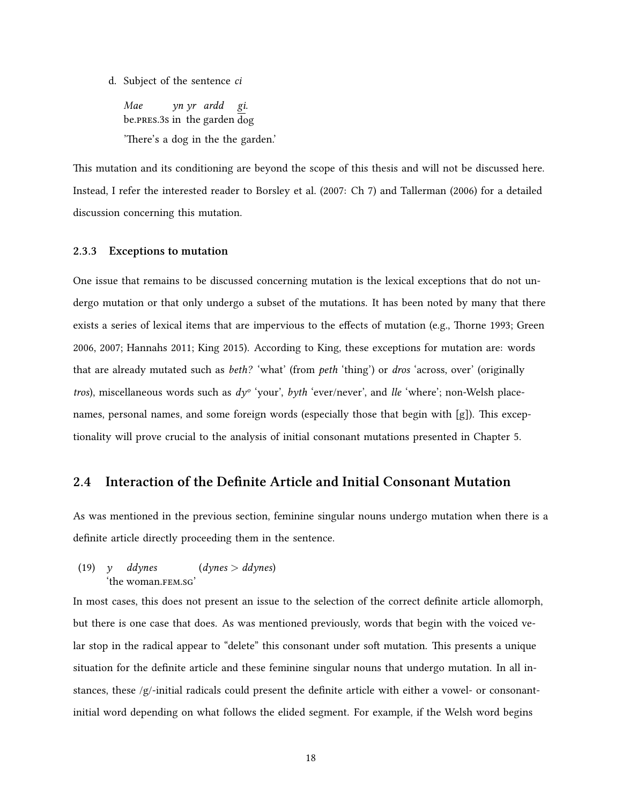<span id="page-27-2"></span>d. Subject of the sentence *ci*

*Mae* be.pRes.3s in the garden dog *yn yr ardd gi*. 'There's a dog in the the garden.'

This mutation and its conditioning are beyond the scope of this thesis and will not be discussed here. Instead, I refer the interested reader to [Borsley et al.](#page-83-5) [\(2007:](#page-83-5) Ch 7) and [Tallerman](#page-86-10) [\(2006\)](#page-86-10) for a detailed discussion concerning this mutation.

#### <span id="page-27-0"></span>**2.3.3 Exceptions to mutation**

One issue that remains to be discussed concerning mutation is the lexical exceptions that do not undergo mutation or that only undergo a subset of the mutations. It has been noted by many that there exists a series of lexical items that are impervious to the effects of mutation (e.g., [Thorne](#page-86-3) [1993;](#page-86-3) [Green](#page-83-8) [2006](#page-83-8), [2007;](#page-83-9) [Hannahs](#page-84-8) [2011;](#page-84-8) [King](#page-84-3) [2015](#page-84-3)). According to [King,](#page-84-3) these exceptions for mutation are: words that are already mutated such as *beth?* 'what' (from *peth* 'thing') or *dros* 'across, over' (originally *tros*), miscellaneous words such as *dyº* 'your', *byth* 'ever/never', and *lle* 'where'; non-Welsh placenames, personal names, and some foreign words (especially those that begin with [g]). This exceptionality will prove crucial to the analysis of initial consonant mutations presented in Chapter 5.

## <span id="page-27-1"></span>**2.4 Interaction of the Definite Article and Initial Consonant Mutation**

As was mentioned in the previous section, feminine singular nouns undergo mutation when there is a definite article directly proceeding them in the sentence.

(19) 
$$
y
$$
 *ddynes* (*dynes* > *ddynes*)  
'the woman.FEM.SG'

In most cases, this does not present an issue to the selection of the correct definite article allomorph, but there is one case that does. As was mentioned previously, words that begin with the voiced velar stop in the radical appear to "delete" this consonant under soft mutation. This presents a unique situation for the definite article and these feminine singular nouns that undergo mutation. In all instances, these /g/-initial radicals could present the definite article with either a vowel- or consonantinitial word depending on what follows the elided segment. For example, if the Welsh word begins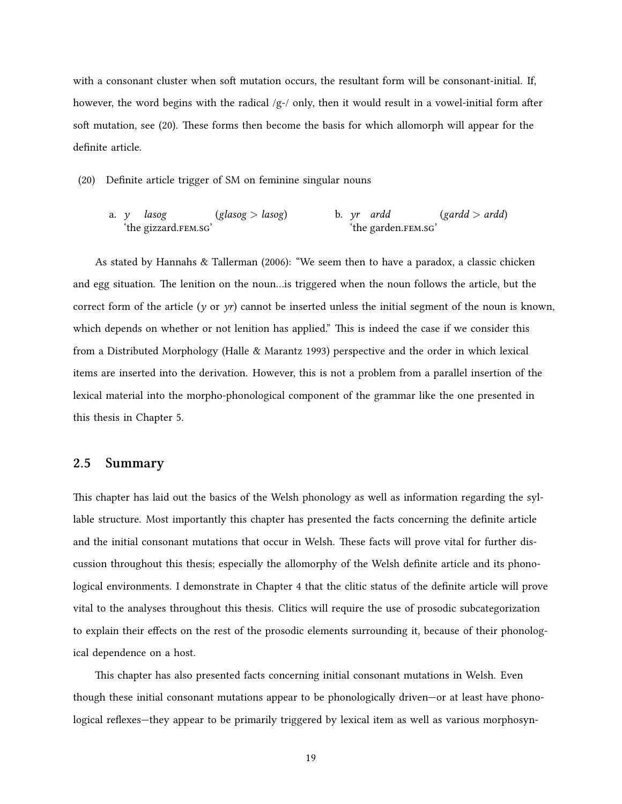with a consonant cluster when soft mutation occurs, the resultant form will be consonant-initial. If, however, the word begins with the radical  $/g$ -/ only, then it would result in a vowel-initial form after soft mutation, see([20\)](#page-28-1). These forms then become the basis for which allomorph will appear for the definite article.

<span id="page-28-1"></span>(20) Definite article trigger of SM on feminine singular nouns

a. *y* 'the gizzard.FEM.SG' *lasog* (*glasog > lasog*) b. *yr* 'the garden.FEM.SG' b. *yr* ardd (*gardd > ardd*)

As stated by [Hannahs & Tallerman](#page-84-2) ([2006\)](#page-84-2): "We seem then to have a paradox, a classic chicken and egg situation. The lenition on the noun…is triggered when the noun follows the article, but the correct form of the article ( $\gamma$  or  $\gamma r$ ) cannot be inserted unless the initial segment of the noun is known, which depends on whether or not lenition has applied." This is indeed the case if we consider this from a Distributed Morphology([Halle & Marantz](#page-84-9) [1993](#page-84-9)) perspective and the order in which lexical items are inserted into the derivation. However, this is not a problem from a parallel insertion of the lexical material into the morpho-phonological component of the grammar like the one presented in this thesis in Chapter [5.](#page-67-0)

## <span id="page-28-0"></span>**2.5 Summary**

This chapter has laid out the basics of the Welsh phonology as well as information regarding the syllable structure. Most importantly this chapter has presented the facts concerning the definite article and the initial consonant mutations that occur in Welsh. These facts will prove vital for further discussion throughout this thesis; especially the allomorphy of the Welsh definite article and its phonological environments. I demonstrate in Chapter [4](#page-47-0) that the clitic status of the definite article will prove vital to the analyses throughout this thesis. Clitics will require the use of prosodic subcategorization to explain their effects on the rest of the prosodic elements surrounding it, because of their phonological dependence on a host.

This chapter has also presented facts concerning initial consonant mutations in Welsh. Even though these initial consonant mutations appear to be phonologically driven—or at least have phonological reflexes—they appear to be primarily triggered by lexical item as well as various morphosyn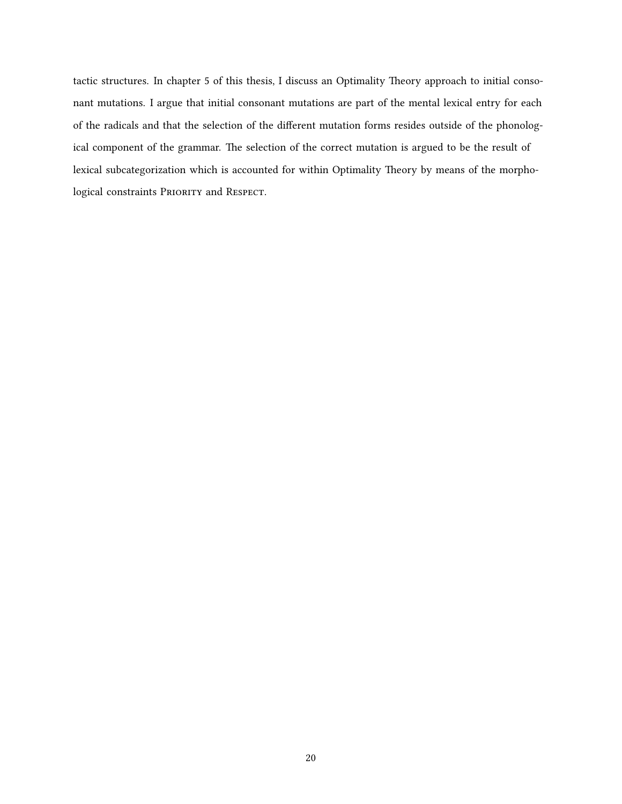tactic structures. In chapter [5](#page-67-0) of this thesis, I discuss an Optimality Theory approach to initial consonant mutations. I argue that initial consonant mutations are part of the mental lexical entry for each of the radicals and that the selection of the different mutation forms resides outside of the phonological component of the grammar. The selection of the correct mutation is argued to be the result of lexical subcategorization which is accounted for within Optimality Theory by means of the morphological constraints PRIORITY and RESPECT.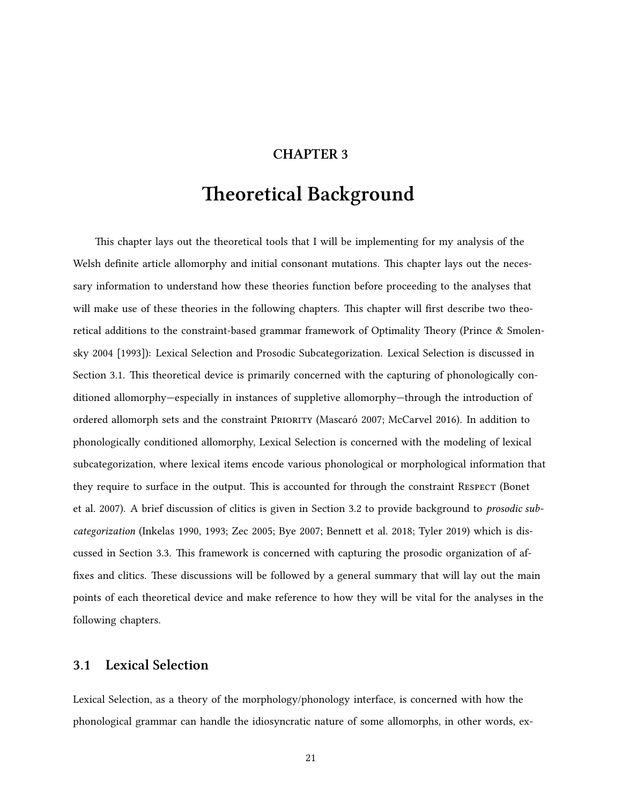## **CHAPTER 3**

# **Theoretical Background**

<span id="page-30-0"></span>This chapter lays out the theoretical tools that I will be implementing for my analysis of the Welsh definite article allomorphy and initial consonant mutations. This chapter lays out the necessary information to understand how these theories function before proceeding to the analyses that will make use of these theories in the following chapters. This chapter will first describe two theoretical additions to the constraint-based grammar framework of Optimality Theory [\(Prince & Smolen](#page-86-0)[sky](#page-86-0) [2004 \[1993\]](#page-86-0)): Lexical Selection and Prosodic Subcategorization. Lexical Selection is discussed in Section [3.1.](#page-30-1) This theoretical device is primarily concerned with the capturing of phonologically conditioned allomorphy—especially in instances of suppletive allomorphy—through the introduction of ordered allomorph sets and the constraint PRioRity ([Mascaró](#page-85-0) [2007](#page-85-0); [McCarvel](#page-85-7) [2016](#page-85-7)). In addition to phonologically conditioned allomorphy, Lexical Selection is concerned with the modeling of lexical subcategorization, where lexical items encode various phonological or morphological information that they require to surface in the output. This is accounted for through the constraint Respect [\(Bonet](#page-83-0) [et al.](#page-83-0) [2007](#page-83-0)). A brief discussion of clitics is given in Section [3.2](#page-40-0) to provide background to *prosodic subcategorization* [\(Inkelas](#page-84-0) [1990,](#page-84-0) [1993](#page-84-1); [Zec](#page-86-1) [2005](#page-86-1); [Bye](#page-83-1) [2007](#page-83-1); [Bennett et al.](#page-83-2) [2018](#page-83-2); [Tyler](#page-86-2) [2019\)](#page-86-2) which is discussed in Section [3.3](#page-41-0). This framework is concerned with capturing the prosodic organization of affixes and clitics. These discussions will be followed by a general summary that will lay out the main points of each theoretical device and make reference to how they will be vital for the analyses in the following chapters.

## <span id="page-30-1"></span>**3.1 Lexical Selection**

Lexical Selection, as a theory of the morphology/phonology interface, is concerned with how the phonological grammar can handle the idiosyncratic nature of some allomorphs, in other words, ex-

21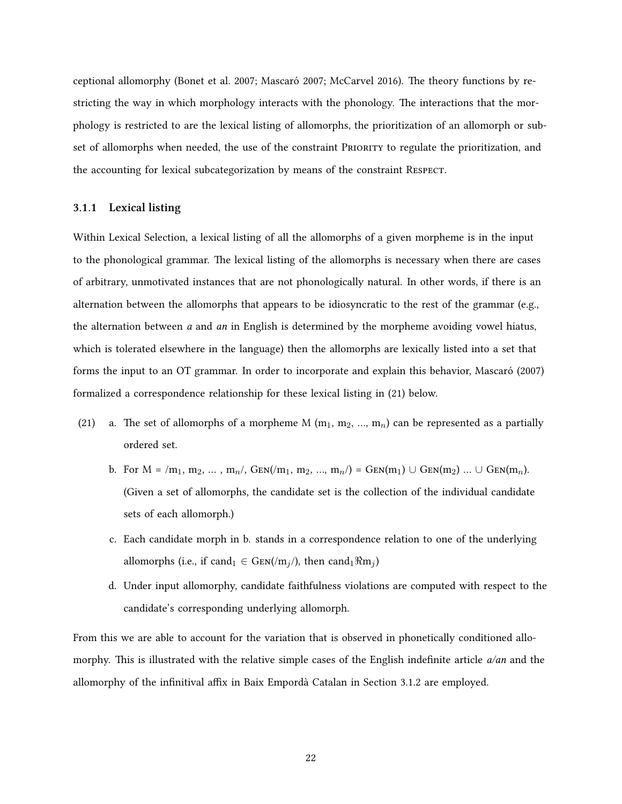ceptional allomorphy([Bonet et al.](#page-83-0) [2007;](#page-83-0) [Mascaró](#page-85-0) [2007;](#page-85-0) [McCarvel](#page-85-7) [2016\)](#page-85-7). The theory functions by restricting the way in which morphology interacts with the phonology. The interactions that the morphology is restricted to are the lexical listing of allomorphs, the prioritization of an allomorph or subset of allomorphs when needed, the use of the constraint PRioRity to regulate the prioritization, and the accounting for lexical subcategorization by means of the constraint Respect.

#### <span id="page-31-0"></span>**3.1.1 Lexical listing**

Within Lexical Selection, a lexical listing of all the allomorphs of a given morpheme is in the input to the phonological grammar. The lexical listing of the allomorphs is necessary when there are cases of arbitrary, unmotivated instances that are not phonologically natural. In other words, if there is an alternation between the allomorphs that appears to be idiosyncratic to the rest of the grammar (e.g., the alternation between *a* and *an* in English is determined by the morpheme avoiding vowel hiatus, which is tolerated elsewhere in the language) then the allomorphs are lexically listed into a set that forms the input to an OT grammar. In order to incorporate and explain this behavior, [Mascaró](#page-85-0) [\(2007\)](#page-85-0) formalized a correspondence relationship for these lexical listing in([21\)](#page-31-1) below.

- <span id="page-31-4"></span><span id="page-31-2"></span><span id="page-31-1"></span>(21) a. The set of allomorphs of a morpheme M  $(m_1, m_2, ..., m_n)$  can be represented as a partially ordered set.
	- b. For  $M = /m_1, m_2, ..., m_n/$ , GEN( $m_1, m_2, ..., m_n/$ ) = GEN( $m_1$ ) ∪ GEN( $m_2$ ) ... ∪ GEN( $m_n$ ). (Given a set of allomorphs, the candidate set is the collection of the individual candidate sets of each allomorph.)
	- c. Each candidate morph in b. stands in a correspondence relation to one of the underlying allomorphs (i.e., if cand<sub>1</sub>  $\in$  GEN(/m<sub>*j</sub>*), then cand<sub>1</sub> $\Re$ m<sub>*i*</sub>)</sub>
	- d. Under input allomorphy, candidate faithfulness violations are computed with respect to the candidate's corresponding underlying allomorph.

<span id="page-31-3"></span>From this we are able to account for the variation that is observed in phonetically conditioned allomorphy. This is illustrated with the relative simple cases of the English indefinite article *a/an* and the allomorphy of the infinitival affix in Baix Empordà Catalan in Section [3.1.2](#page-33-0) are employed.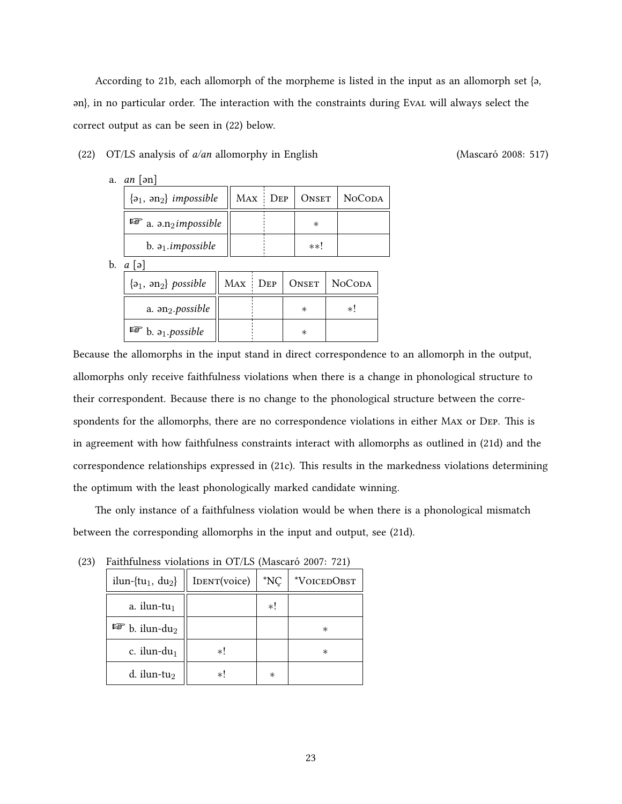According to [21b](#page-31-2), each allomorph of the morpheme is listed in the input as an allomorph set {ə, ən}, in no particular order. The interaction with the constraints during Eval will always select the correct output as can be seen in([22\)](#page-32-0) below.

#### <span id="page-32-0"></span>(22) OT/LS analysis of *a/an* allomorphy in English ([Mascaró](#page-85-8) [2008](#page-85-8): 517)

a. *an* [ən]

| $\{a_1, a_2\}$ impossible                                   | MAX DEP |         | ONSET   NOCODA |
|-------------------------------------------------------------|---------|---------|----------------|
| $\mathbb{F}$ a. $\mathsf{a}$ . $\mathsf{a}$ a. $\mathsf{a}$ |         | $^\ast$ |                |
| b. $a_1$ . <i>impossible</i>                                |         | $***'$  |                |

b. *a* [ə]

| $\{a_1, a_2\}$ possible        |  | MAX   DEP   ONSET   NOCODA |
|--------------------------------|--|----------------------------|
| a. $\mathfrak{m}_2$ . possible |  | $\ast$ l                   |
| $\mathbb{F}$ b. $a_1$ possible |  |                            |

Because the allomorphs in the input stand in direct correspondence to an allomorph in the output, allomorphs only receive faithfulness violations when there is a change in phonological structure to their correspondent. Because there is no change to the phonological structure between the correspondents for the allomorphs, there are no correspondence violations in either Max or Dep. This is in agreement with how faithfulness constraints interact with allomorphs as outlined in [\(21d\)](#page-31-3) and the correspondence relationships expressed in [\(21c\)](#page-31-4). This results in the markedness violations determining the optimum with the least phonologically marked candidate winning.

The only instance of a faithfulness violation would be when there is a phonological mismatch between the corresponding allomorphs in the input and output, see [\(21d\)](#page-31-3).

| $1.201$ and $1.201$ and $1.200$ and $1.200$ and $1.200$ |              |             |             |  |
|---------------------------------------------------------|--------------|-------------|-------------|--|
| ilun-{tu <sub>1</sub> , du <sub>2</sub> }               | IDENT(voice) | $N_{\rm C}$ | *VOICEDOBST |  |
| a. ilun-tu $_1$                                         |              | *!          |             |  |
| $\mathbb{F}$ b. ilun-du <sub>2</sub>                    |              |             | $^\ast$     |  |
| c. ilun-du $_1$                                         | *!           |             | $^\ast$     |  |
| d. ilun-tu $_2$                                         | *!           | $^\ast$     |             |  |

<span id="page-32-1"></span>(23) Faithfulness violations in OT/LS([Mascaró](#page-85-0) [2007](#page-85-0): 721)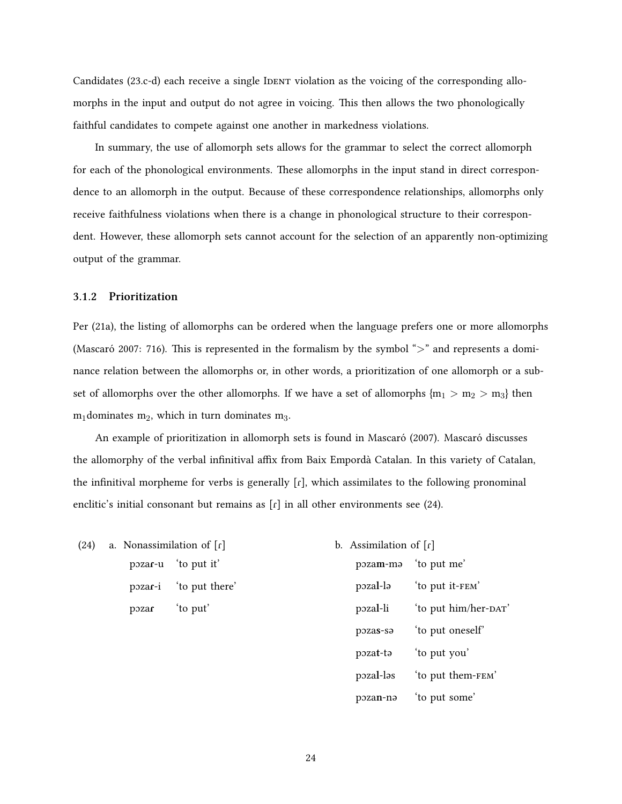Candidates [\(23.](#page-32-1)c-d) each receive a single IDENT violation as the voicing of the corresponding allomorphs in the input and output do not agree in voicing. This then allows the two phonologically faithful candidates to compete against one another in markedness violations.

In summary, the use of allomorph sets allows for the grammar to select the correct allomorph for each of the phonological environments. These allomorphs in the input stand in direct correspondence to an allomorph in the output. Because of these correspondence relationships, allomorphs only receive faithfulness violations when there is a change in phonological structure to their correspondent. However, these allomorph sets cannot account for the selection of an apparently non-optimizing output of the grammar.

#### <span id="page-33-0"></span>**3.1.2 Prioritization**

Per([21a\)](#page-31-1), the listing of allomorphs can be ordered when the language prefers one or more allomorphs [\(Mascaró](#page-85-0) [2007:](#page-85-0) 716). This is represented in the formalism by the symbol "*>*" and represents a dominance relation between the allomorphs or, in other words, a prioritization of one allomorph or a subset of allomorphs over the other allomorphs. If we have a set of allomorphs  ${m_1 > m_2 > m_3}$  then  $m_1$  dominates  $m_2$ , which in turn dominates  $m_3$ .

An example of prioritization in allomorph sets is found in [Mascaró](#page-85-0) ([2007](#page-85-0)). [Mascaró](#page-85-0) discusses the allomorphy of the verbal infinitival affix from Baix Empordà Catalan. In this variety of Catalan, the infinitival morpheme for verbs is generally  $[r]$ , which assimilates to the following pronominal enclitic'sinitial consonant but remains as  $\lceil \mathbf{r} \rceil$  in all other environments see ([24\)](#page-33-1).

- <span id="page-33-1"></span>(24) a. Nonassimilation of  $[r]$ pɔza**ɾ**-u 'to put it' pɔza**ɾ**-i 'to put there'
	- pɔza**ɾ** 'to put'

b. Assimilation of [r] pɔza**m**-mə 'to put me' pɔza**l**-lə 'to put it-fem' pozal-li 'to put him/her-DAT' pɔza**s**-sə 'to put oneself' pɔza**t**-tə 'to put you' pɔza**l**-ləs 'to put them-fem' pɔza**n**-nə 'to put some'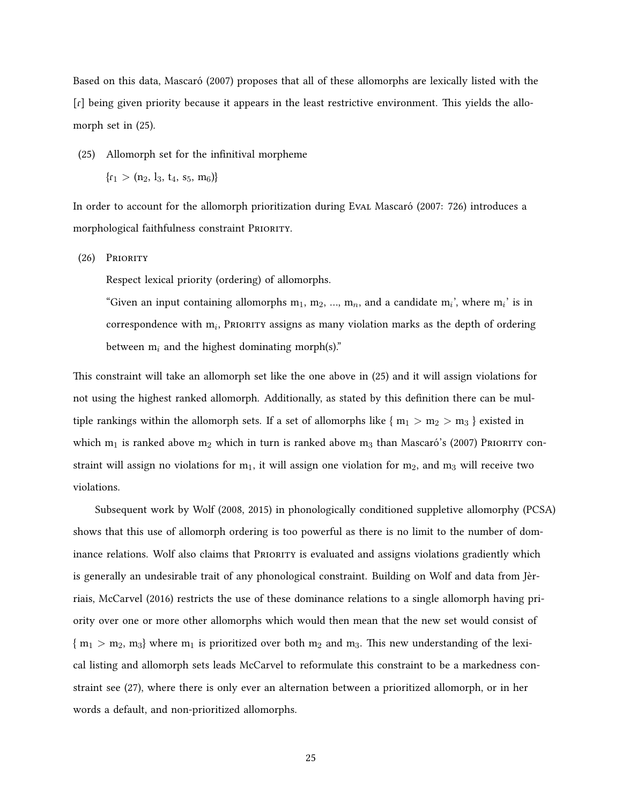Based on this data, [Mascaró](#page-85-0) [\(2007\)](#page-85-0) proposes that all of these allomorphs are lexically listed with the [ɾ] being given priority because it appears in the least restrictive environment. This yields the allomorph set in [\(25](#page-34-0)).

- <span id="page-34-0"></span>(25) Allomorph set for the infinitival morpheme
	- ${r_1 > (n_2, l_3, t_4, s_5, m_6)}$

In order to account for the allomorph prioritization during Eval [Mascaró](#page-85-0) ([2007:](#page-85-0) 726) introduces a morphological faithfulness constraint PRIORITY.

(26) PRioRity

Respect lexical priority (ordering) of allomorphs.

"Given an input containing allomorphs  $m_1$ ,  $m_2$ , ...,  $m_n$ , and a candidate  $m_i$ <sup>'</sup>, where  $m_i$ <sup>'</sup> is in correspondence with m<sub>i</sub>, Priority assigns as many violation marks as the depth of ordering between  $m_i$  and the highest dominating morph(s)."

This constraint will take an allomorph set like the one above in([25\)](#page-34-0) and it will assign violations for not using the highest ranked allomorph. Additionally, as stated by this definition there can be multiple rankings within the allomorph sets. If a set of allomorphs like  $\{m_1 > m_2 > m_3\}$  existed in which $m_1$  is ranked above  $m_2$  which in turn is ranked above  $m_3$  than [Mascaró](#page-85-0)'s ([2007\)](#page-85-0) PRIORITY constraint will assign no violations for  $m_1$ , it will assign one violation for  $m_2$ , and  $m_3$  will receive two violations.

<span id="page-34-1"></span>Subsequent work by [Wolf](#page-86-11) [\(2008](#page-86-11), [2015\)](#page-86-12) in phonologically conditioned suppletive allomorphy (PCSA) shows that this use of allomorph ordering is too powerful as there is no limit to the number of dom-inance relations. [Wolf](#page-86-11) also claims that PRIORITY is evaluated and assigns violations gradiently which is generally an undesirable trait of any phonological constraint. Building on [Wolf](#page-86-11) and data from Jèrriais, [McCarvel](#page-85-7) [\(2016\)](#page-85-7) restricts the use of these dominance relations to a single allomorph having priority over one or more other allomorphs which would then mean that the new set would consist of  ${m_1 > m_2, m_3}$  where  $m_1$  is prioritized over both  $m_2$  and  $m_3$ . This new understanding of the lexical listing and allomorph sets leads [McCarvel](#page-85-7) to reformulate this constraint to be a markedness constraint see([27\)](#page-34-1), where there is only ever an alternation between a prioritized allomorph, or in her words a default, and non-prioritized allomorphs.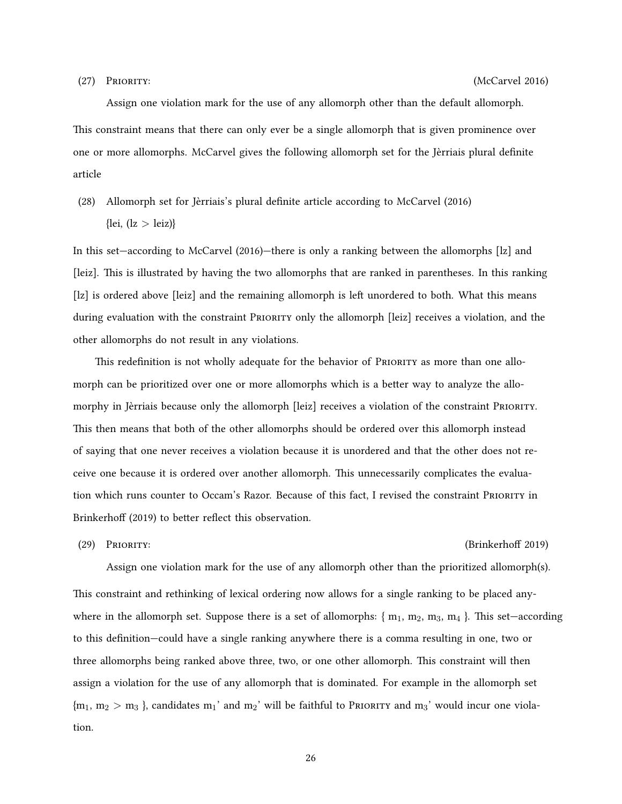Assign one violation mark for the use of any allomorph other than the default allomorph. This constraint means that there can only ever be a single allomorph that is given prominence over one or more allomorphs. [McCarvel](#page-85-7) gives the following allomorph set for the Jèrriais plural definite article

(28) Allomorph set for Jèrriais's plural definite article according to [McCarvel](#page-85-7) ([2016\)](#page-85-7) {lei, (lz *>* leiz)}

In this set—according to [McCarvel](#page-85-7) ([2016\)](#page-85-7)—there is only a ranking between the allomorphs [lz] and [leiz]. This is illustrated by having the two allomorphs that are ranked in parentheses. In this ranking [lz] is ordered above [leiz] and the remaining allomorph is left unordered to both. What this means during evaluation with the constraint PRIORITY only the allomorph [leiz] receives a violation, and the other allomorphs do not result in any violations.

This redefinition is not wholly adequate for the behavior of PRIORITY as more than one allomorph can be prioritized over one or more allomorphs which is a better way to analyze the allomorphy in Jèrriais because only the allomorph [leiz] receives a violation of the constraint PRioRity. This then means that both of the other allomorphs should be ordered over this allomorph instead of saying that one never receives a violation because it is unordered and that the other does not receive one because it is ordered over another allomorph. This unnecessarily complicates the evaluation which runs counter to Occam's Razor. Because of this fact, I revised the constraint PRioRity in [Brinkerhoff](#page-83-4) [\(2019\)](#page-83-4) to better reflect this observation.

#### (29) PRioRity: [\(Brinkerhoff](#page-83-4) [2019\)](#page-83-4)

Assign one violation mark for the use of any allomorph other than the prioritized allomorph(s). This constraint and rethinking of lexical ordering now allows for a single ranking to be placed anywhere in the allomorph set. Suppose there is a set of allomorphs:  $\{m_1, m_2, m_3, m_4\}$ . This set—according to this definition—could have a single ranking anywhere there is a comma resulting in one, two or three allomorphs being ranked above three, two, or one other allomorph. This constraint will then assign a violation for the use of any allomorph that is dominated. For example in the allomorph set  ${m_1, m_2 > m_3}$ , candidates  ${m_1}$ ' and  ${m_2}$ ' will be faithful to PRIORITY and  ${m_3}$ ' would incur one violation.

26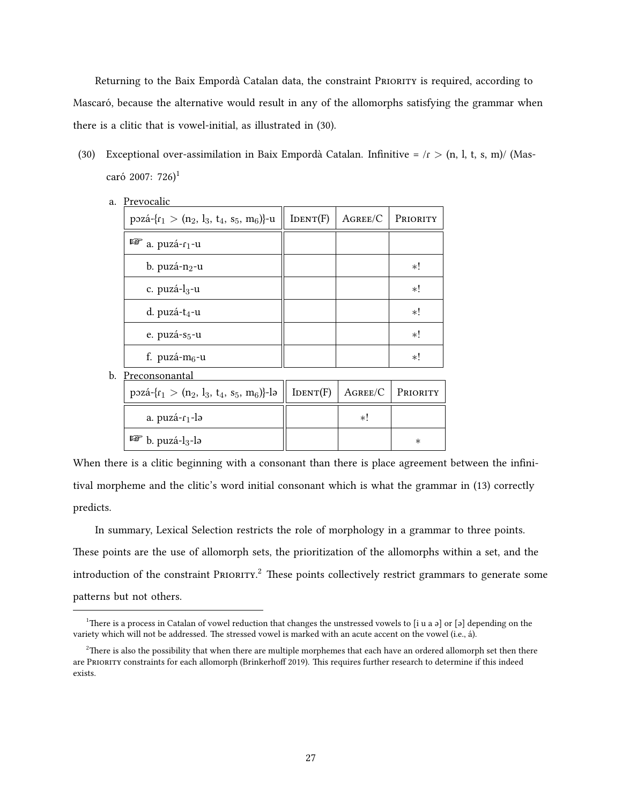Returning to the Baix Empordà Catalan data, the constraint PRIORITY is required, according to [Mascaró,](#page-85-0) because the alternative would result in any of the allomorphs satisfying the grammar when there is a clitic that is vowel-initial, as illustrated in [\(30\)](#page-36-0).

<span id="page-36-0"></span>(30) Exceptional over-assimilation in Baix Empordà Catalan. Infinitive = /ɾ *>* (n, l, t, s, m)/([Mas](#page-85-0)[caró](#page-85-0) [2007:](#page-85-0) 726)<sup>[1](#page-36-1)</sup>

| a. | <b>FIEVOCAIIC</b>                               |          |            |          |
|----|-------------------------------------------------|----------|------------|----------|
|    | pozá- $\{r_1 > (n_2, l_3, t_4, s_5, m_6)\}$ -u  | IDENT(F) | $A$ gree/C | PRIORITY |
|    | $\mathbb{F}$ a. puzá- $r_1$ -u                  |          |            |          |
|    | b. puzá- $n_2$ -u                               |          |            | *!       |
|    | c. puzá-l <sub>3</sub> -u                       |          |            | *!       |
|    | d. puzá- $t_4$ -u                               |          |            | *!       |
|    | e. puzá-s <sub>5</sub> -u                       |          |            | *!       |
|    | f. puzá- $m_6$ -u                               |          |            | *!       |
| b. | Preconsonantal                                  |          |            |          |
|    | pozá- $\{r_1 > (n_2, l_3, t_4, s_5, m_6)\}$ -lə | IDENT(F) | $A$ gree/C | PRIORITY |
|    | a. puzá- <sub>1-l</sub>                         |          | *!         |          |
|    | LQ.<br>b. puzá- $l_3$ -lə                       |          |            | $\ast$   |

a. Prevocalic

When there is a clitic beginning with a consonant than there is place agreement between the infinitival morpheme and the clitic's word initial consonant which is what the grammar in (13) correctly predicts.

In summary, Lexical Selection restricts the role of morphology in a grammar to three points. These points are the use of allomorph sets, the prioritization of the allomorphs within a set, and the introduction of the constraint PRIORITY.<sup>[2](#page-36-2)</sup> These points collectively restrict grammars to generate some patterns but not others.

<span id="page-36-1"></span><sup>&</sup>lt;sup>1</sup>There is a process in Catalan of vowel reduction that changes the unstressed vowels to [i u a  $\partial$ ] or [ $\partial$ ] depending on the variety which will not be addressed. The stressed vowel is marked with an acute accent on the vowel (i.e., á).

<span id="page-36-2"></span><sup>&</sup>lt;sup>2</sup>There is also the possibility that when there are multiple morphemes that each have an ordered allomorph set then there are PRioRity constraints for each allomorph [\(Brinkerhoff](#page-83-0) [2019](#page-83-0)). This requires further research to determine if this indeed exists.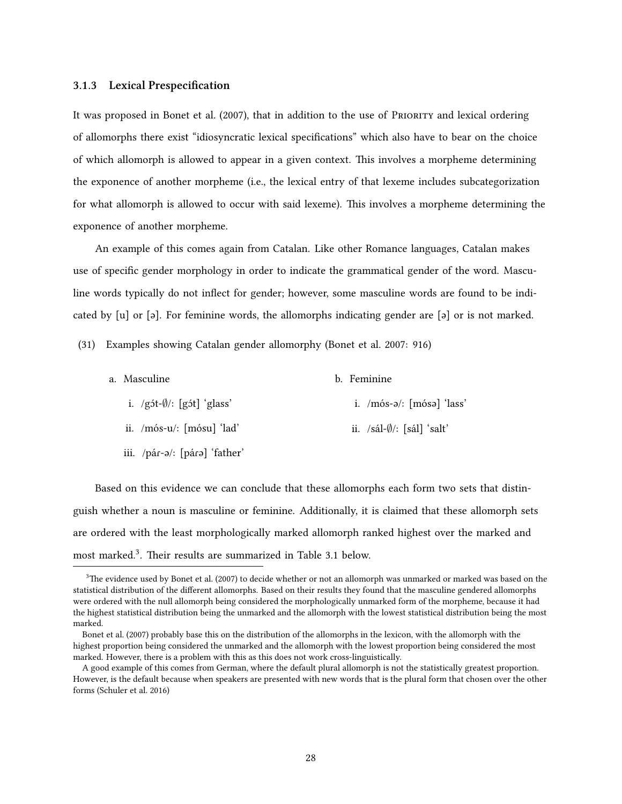#### <span id="page-37-1"></span>**3.1.3 Lexical Prespecification**

It was proposed in [Bonet et al.](#page-83-1) [\(2007\)](#page-83-1), that in addition to the use of PRioRity and lexical ordering of allomorphs there exist "idiosyncratic lexical specifications" which also have to bear on the choice of which allomorph is allowed to appear in a given context. This involves a morpheme determining the exponence of another morpheme (i.e., the lexical entry of that lexeme includes subcategorization for what allomorph is allowed to occur with said lexeme). This involves a morpheme determining the exponence of another morpheme.

An example of this comes again from Catalan. Like other Romance languages, Catalan makes use of specific gender morphology in order to indicate the grammatical gender of the word. Masculine words typically do not inflect for gender; however, some masculine words are found to be indicated by [u] or [ə]. For feminine words, the allomorphs indicating gender are [ə] or is not marked.

(31) Examples showing Catalan gender allomorphy [\(Bonet et al.](#page-83-1) [2007](#page-83-1): 916)

| a. Masculine                           | b. Feminine                            |
|----------------------------------------|----------------------------------------|
| i. $/g$ ( $\sqrt{g}$ ): [g it] 'glass' | i. $/m$ ós-ə $/$ : $[m$ ósə $]$ 'lass' |
| ii. /mós-u/: [mósu] 'lad'              | ii. $/sál-\emptyset$ : [sál] 'salt'    |
| iii. /pár-ə/: [párə] 'father'          |                                        |

Based on this evidence we can conclude that these allomorphs each form two sets that distinguish whether a noun is masculine or feminine. Additionally, it is claimed that these allomorph sets are ordered with the least morphologically marked allomorph ranked highest over the marked and most marked.<sup>[3](#page-37-0)</sup>. Their results are summarized in Table [3.1](#page-38-0) below.

<span id="page-37-0"></span> $3$ The evidence used by [Bonet et al.](#page-83-1) ([2007](#page-83-1)) to decide whether or not an allomorph was unmarked or marked was based on the statistical distribution of the different allomorphs. Based on their results they found that the masculine gendered allomorphs were ordered with the null allomorph being considered the morphologically unmarked form of the morpheme, because it had the highest statistical distribution being the unmarked and the allomorph with the lowest statistical distribution being the most marked.

[Bonet et al.](#page-83-1) [\(2007\)](#page-83-1) probably base this on the distribution of the allomorphs in the lexicon, with the allomorph with the highest proportion being considered the unmarked and the allomorph with the lowest proportion being considered the most marked. However, there is a problem with this as this does not work cross-linguistically.

A good example of this comes from German, where the default plural allomorph is not the statistically greatest proportion. However, is the default because when speakers are presented with new words that is the plural form that chosen over the other forms [\(Schuler et al.](#page-86-0) [2016](#page-86-0))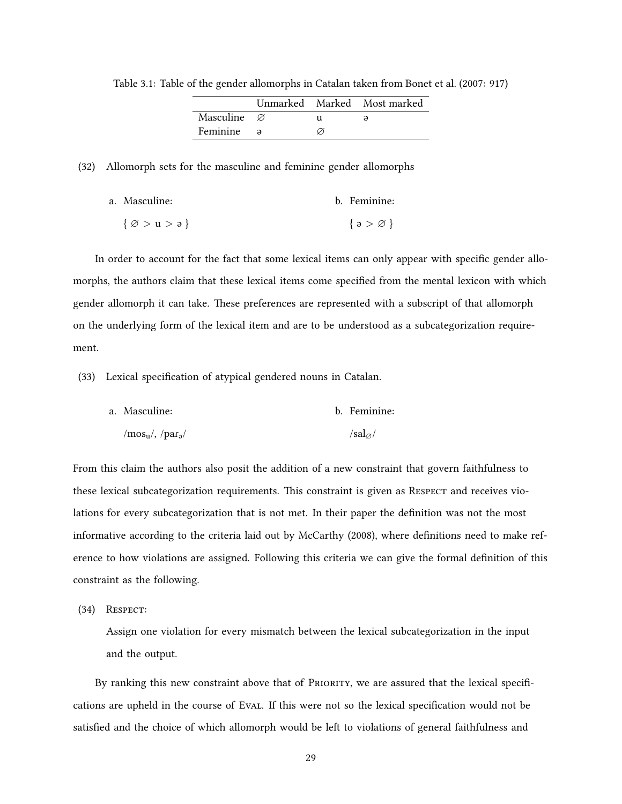<span id="page-38-0"></span>

|                         |  | Unmarked Marked Most marked |
|-------------------------|--|-----------------------------|
| Masculine $\varnothing$ |  |                             |
| Feminine a              |  |                             |

Table 3.1: Table of the gender allomorphs in Catalan taken from [Bonet et al.](#page-83-1) [\(2007:](#page-83-1) 917)

(32) Allomorph sets for the masculine and feminine gender allomorphs

| a. Masculine:                         | b. Feminine:          |
|---------------------------------------|-----------------------|
| $\{\varnothing > u > \mathfrak{d}\}\$ | $\{a > \varnothing\}$ |

In order to account for the fact that some lexical items can only appear with specific gender allomorphs, the authors claim that these lexical items come specified from the mental lexicon with which gender allomorph it can take. These preferences are represented with a subscript of that allomorph on the underlying form of the lexical item and are to be understood as a subcategorization requirement.

(33) Lexical specification of atypical gendered nouns in Catalan.

| a. Masculine:         | b. Feminine:     |
|-----------------------|------------------|
| $/mos_u/$ , $/par_a/$ | $/sal_{\alpha}/$ |

From this claim the authors also posit the addition of a new constraint that govern faithfulness to these lexical subcategorization requirements. This constraint is given as RESPECT and receives violations for every subcategorization that is not met. In their paper the definition was not the most informative according to the criteria laid out by [McCarthy](#page-85-1) ([2008\)](#page-85-1), where definitions need to make reference to how violations are assigned. Following this criteria we can give the formal definition of this constraint as the following.

(34) Respect:

Assign one violation for every mismatch between the lexical subcategorization in the input and the output.

By ranking this new constraint above that of PRIORITY, we are assured that the lexical specifications are upheld in the course of Eval. If this were not so the lexical specification would not be satisfied and the choice of which allomorph would be left to violations of general faithfulness and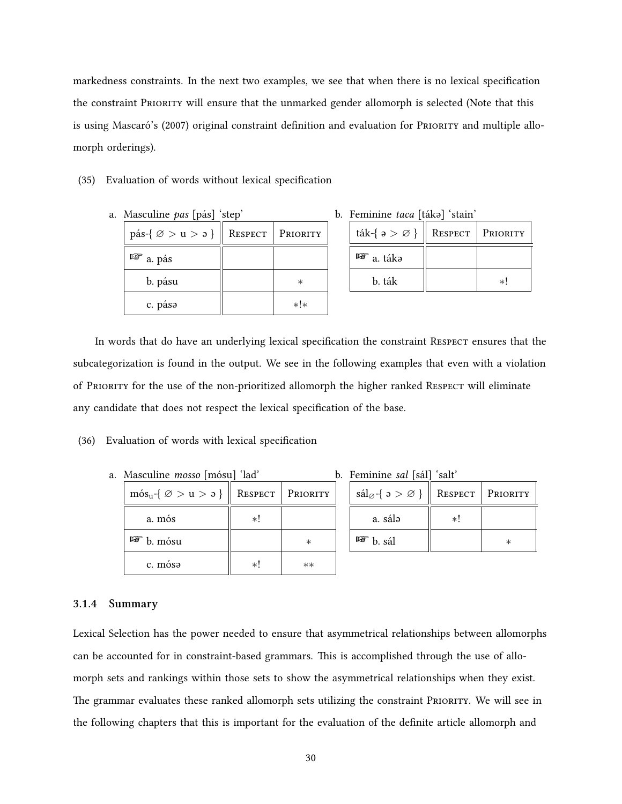markedness constraints. In the next two examples, we see that when there is no lexical specification the constraint PRioRity will ensure that the unmarked gender allomorph is selected (Note that this is using [Mascaró](#page-85-0)'s([2007\)](#page-85-0) original constraint definition and evaluation for PRIORITY and multiple allomorph orderings).

#### (35) Evaluation of words without lexical specification

a. Masculine *pas* [pás] 'step'

| pás-{ $\varnothing > u > \vartheta$ } | RESPECT | PRIORITY |
|---------------------------------------|---------|----------|
| $\mathbb{F}$ a. pás                   |         |          |
| b. pásu                               |         | ∗        |
| c. pása                               |         | $*!*$    |

b. Feminine *taca* [tákə] 'stain'

| ták-{ $\rho > \emptyset$ } | ResPECT | Priority |
|----------------------------|---------|----------|
| $\mathbb{F}$ a táka        |         |          |
| b. ták                     |         |          |

In words that do have an underlying lexical specification the constraint Respect ensures that the subcategorization is found in the output. We see in the following examples that even with a violation of PRioRity for the use of the non-prioritized allomorph the higher ranked Respect will eliminate any candidate that does not respect the lexical specification of the base.

### (36) Evaluation of words with lexical specification

a. Masculine *mosso* [mósu] 'lad'

| $m\acute{o}s_u - \{ \varnothing > u > \mathfrak{d} \}$ |     | <b>RESPECT</b>   PRIORITY |
|--------------------------------------------------------|-----|---------------------------|
| a. mós                                                 | *!  |                           |
| ľ₩<br>b. mósu                                          |     | $^\ast$                   |
| c. mósa                                                | ا * | $^{\ast\ast}$             |

| b. Feminine sal [sál] 'salt' |
|------------------------------|
|------------------------------|

| $\text{sál}_{\varnothing}$ { $\varnothing > \varnothing$ } |    | <b>RESPECT</b>   PRIORITY |
|------------------------------------------------------------|----|---------------------------|
| a. sálə                                                    | ا∗ |                           |
| rð.<br>b. sál                                              |    |                           |

#### **3.1.4 Summary**

Lexical Selection has the power needed to ensure that asymmetrical relationships between allomorphs can be accounted for in constraint-based grammars. This is accomplished through the use of allomorph sets and rankings within those sets to show the asymmetrical relationships when they exist. The grammar evaluates these ranked allomorph sets utilizing the constraint PRioRity. We will see in the following chapters that this is important for the evaluation of the definite article allomorph and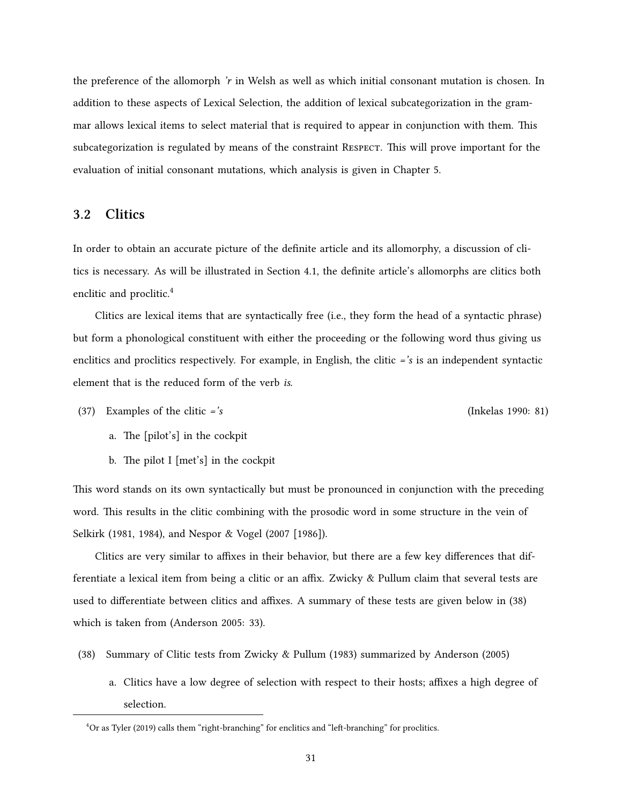the preference of the allomorph *'r* in Welsh as well as which initial consonant mutation is chosen. In addition to these aspects of Lexical Selection, the addition of lexical subcategorization in the grammar allows lexical items to select material that is required to appear in conjunction with them. This subcategorization is regulated by means of the constraint RESPECT. This will prove important for the evaluation of initial consonant mutations, which analysis is given in Chapter [5](#page-67-0).

## **3.2 Clitics**

In order to obtain an accurate picture of the definite article and its allomorphy, a discussion of clitics is necessary. As will be illustrated in Section [4.1,](#page-47-0) the definite article's allomorphs are clitics both enclitic and proclitic.<sup>[4](#page-40-0)</sup>

Clitics are lexical items that are syntactically free (i.e., they form the head of a syntactic phrase) but form a phonological constituent with either the proceeding or the following word thus giving us enclitics and proclitics respectively. For example, in English, the clitic *='s* is an independent syntactic element that is the reduced form of the verb *is*.

(37) Examples of the clitic *='s* ([Inkelas](#page-84-0) [1990](#page-84-0): 81)

- a. The [pilot's] in the cockpit
- b. The pilot I [met's] in the cockpit

This word stands on its own syntactically but must be pronounced in conjunction with the preceding word. This results in the clitic combining with the prosodic word in some structure in the vein of [Selkirk](#page-86-1) [\(1981](#page-86-1), [1984\)](#page-86-2), and [Nespor & Vogel](#page-85-2) ([2007 \[1986\]\)](#page-85-2).

Clitics are very similar to affixes in their behavior, but there are a few key differences that differentiate a lexical item from being a clitic or an affix. [Zwicky & Pullum](#page-87-0) claim that several tests are used to differentiate between clitics and affixes. A summary of these tests are given below in([38](#page-40-1)) which is taken from([Anderson](#page-83-2) [2005](#page-83-2): 33).

- <span id="page-40-1"></span>(38) Summary of Clitic tests from [Zwicky & Pullum](#page-87-0) ([1983](#page-87-0)) summarized by [Anderson](#page-83-2) [\(2005](#page-83-2))
	- a. Clitics have a low degree of selection with respect to their hosts; affixes a high degree of selection.

<span id="page-40-0"></span> ${}^{4}$ Or as [Tyler](#page-86-3) [\(2019\)](#page-86-3) calls them "right-branching" for enclitics and "left-branching" for proclitics.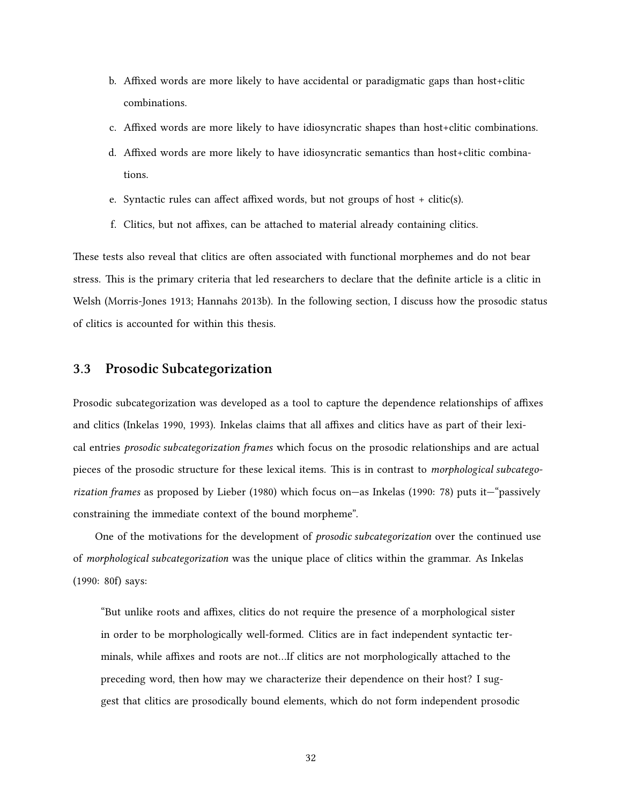- b. Affixed words are more likely to have accidental or paradigmatic gaps than host+clitic combinations.
- c. Affixed words are more likely to have idiosyncratic shapes than host+clitic combinations.
- d. Affixed words are more likely to have idiosyncratic semantics than host+clitic combinations.
- e. Syntactic rules can affect affixed words, but not groups of host + clitic(s).
- f. Clitics, but not affixes, can be attached to material already containing clitics.

These tests also reveal that clitics are often associated with functional morphemes and do not bear stress. This is the primary criteria that led researchers to declare that the definite article is a clitic in Welsh [\(Morris-Jones](#page-85-3) [1913;](#page-85-3) [Hannahs](#page-84-1) [2013b](#page-84-1)). In the following section, I discuss how the prosodic status of clitics is accounted for within this thesis.

## <span id="page-41-0"></span>**3.3 Prosodic Subcategorization**

Prosodic subcategorization was developed as a tool to capture the dependence relationships of affixes and clitics([Inkelas](#page-84-0) [1990](#page-84-0), [1993\)](#page-84-2). [Inkelas](#page-84-0) claims that all affixes and clitics have as part of their lexical entries *prosodic subcategorization frames* which focus on the prosodic relationships and are actual pieces of the prosodic structure for these lexical items. This is in contrast to *morphological subcategorization frames* as proposed by [Lieber](#page-85-4) ([1980](#page-85-4)) which focus on—as [Inkelas](#page-84-0) ([1990:](#page-84-0) 78) puts it—"passively constraining the immediate context of the bound morpheme".

One of the motivations for the development of *prosodic subcategorization* over the continued use of *morphological subcategorization* was the unique place of clitics within the grammar. As [Inkelas](#page-84-0) [\(1990:](#page-84-0) 80f) says:

"But unlike roots and affixes, clitics do not require the presence of a morphological sister in order to be morphologically well-formed. Clitics are in fact independent syntactic terminals, while affixes and roots are not…If clitics are not morphologically attached to the preceding word, then how may we characterize their dependence on their host? I suggest that clitics are prosodically bound elements, which do not form independent prosodic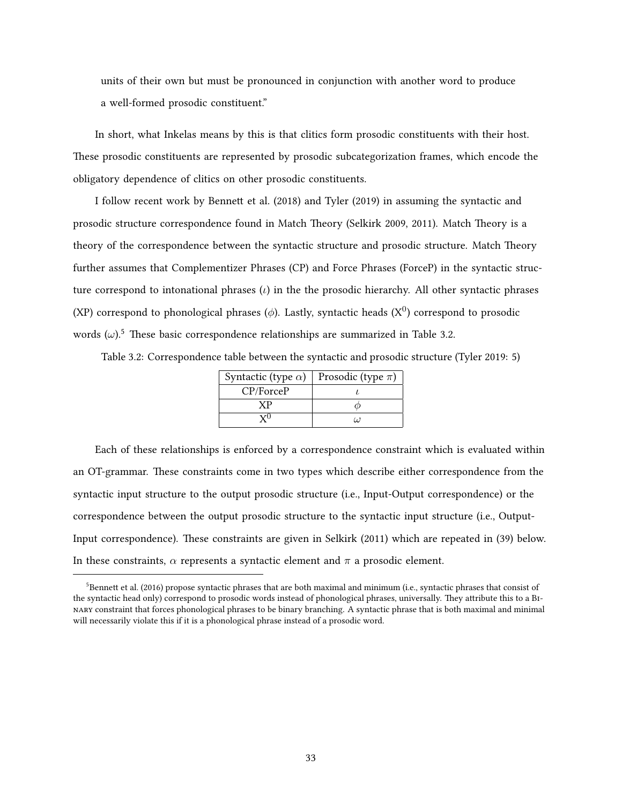units of their own but must be pronounced in conjunction with another word to produce a well-formed prosodic constituent."

In short, what [Inkelas](#page-84-0) means by this is that clitics form prosodic constituents with their host. These prosodic constituents are represented by prosodic subcategorization frames, which encode the obligatory dependence of clitics on other prosodic constituents.

I follow recent work by [Bennett et al.](#page-83-3) ([2018\)](#page-83-3) and [Tyler](#page-86-3) [\(2019](#page-86-3)) in assuming the syntactic and prosodic structure correspondence found in Match Theory [\(Selkirk](#page-86-4) [2009](#page-86-4), [2011\)](#page-86-5). Match Theory is a theory of the correspondence between the syntactic structure and prosodic structure. Match Theory further assumes that Complementizer Phrases (CP) and Force Phrases (ForceP) in the syntactic structure correspond to intonational phrases (*ι*) in the the prosodic hierarchy. All other syntactic phrases (XP) correspond to phonological phrases ( $\phi$ ). Lastly, syntactic heads (X<sup>0</sup>) correspond to prosodic words  $(\omega)$ <sup>[5](#page-42-0)</sup>. These basic correspondence relationships are summarized in Table [3.2](#page-42-1).

<span id="page-42-1"></span>Table 3.2: Correspondence table between the syntactic and prosodic structure [\(Tyler](#page-86-3) [2019:](#page-86-3) 5)

| Syntactic (type $\alpha$ ) | Prosodic (type $\pi$ ) |
|----------------------------|------------------------|
| CP/ForceP                  |                        |
|                            |                        |
|                            | 77                     |

Each of these relationships is enforced by a correspondence constraint which is evaluated within an OT-grammar. These constraints come in two types which describe either correspondence from the syntactic input structure to the output prosodic structure (i.e., Input-Output correspondence) or the correspondence between the output prosodic structure to the syntactic input structure (i.e., Output-Input correspondence). These constraints are given in [Selkirk](#page-86-5) ([2011\)](#page-86-5) which are repeated in [\(39](#page-43-0)) below. In these constraints,  $\alpha$  represents a syntactic element and  $\pi$  a prosodic element.

<span id="page-42-0"></span> $5$ [Bennett et al.](#page-83-4) [\(2016](#page-83-4)) propose syntactic phrases that are both maximal and minimum (i.e., syntactic phrases that consist of the syntactic head only) correspond to prosodic words instead of phonological phrases, universally. They attribute this to a BinaRy constraint that forces phonological phrases to be binary branching. A syntactic phrase that is both maximal and minimal will necessarily violate this if it is a phonological phrase instead of a prosodic word.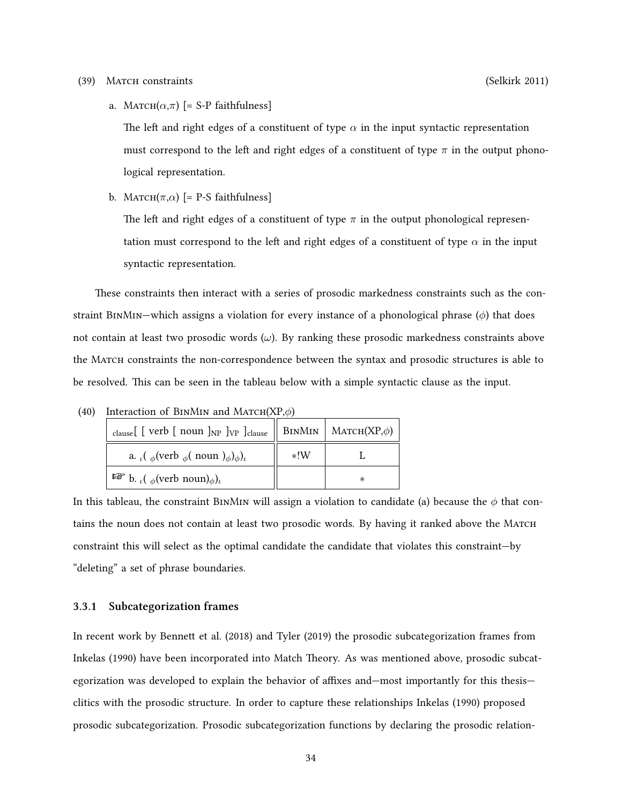#### <span id="page-43-0"></span>(39) Match constraints ([Selkirk](#page-86-5) [2011\)](#page-86-5)

a. MATCH $(\alpha, \pi)$  [= S-P faithfulness]

The left and right edges of a constituent of type  $\alpha$  in the input syntactic representation must correspond to the left and right edges of a constituent of type  $\pi$  in the output phonological representation.

b. MATCH( $\pi, \alpha$ ) [= P-S faithfulness]

The left and right edges of a constituent of type  $\pi$  in the output phonological representation must correspond to the left and right edges of a constituent of type  $\alpha$  in the input syntactic representation.

These constraints then interact with a series of prosodic markedness constraints such as the constraint BinMin—which assigns a violation for every instance of a phonological phrase (*ϕ*) that does not contain at least two prosodic words (*ω*). By ranking these prosodic markedness constraints above the Match constraints the non-correspondence between the syntax and prosodic structures is able to be resolved. This can be seen in the tableau below with a simple syntactic clause as the input.

| Interaction of BINNIN and MATCH( $\Delta$ F, $\varphi$ )<br>   BINMIN   MATCH $(XP,\phi)$<br>$_{\text{clause}}$ [ [ verb [ noun ] <sub>NP</sub> ] <sub>VP</sub> ] <sub>clause</sub> |       |   |
|-------------------------------------------------------------------------------------------------------------------------------------------------------------------------------------|-------|---|
| a. $\iota(\phi(\text{verb }_{\phi}(\text{noun })_{\phi})_{\phi})_{\iota}$                                                                                                           | $*!W$ |   |
| $\mathbb{F}$ b. ( $_{\phi}$ (verb noun) $_{\phi})_t$                                                                                                                                |       | ∗ |

(40) Interaction of BinMin and Match(XP,*ϕ*)

In this tableau, the constraint BINMIN will assign a violation to candidate (a) because the  $\phi$  that contains the noun does not contain at least two prosodic words. By having it ranked above the MATCH constraint this will select as the optimal candidate the candidate that violates this constraint—by "deleting" a set of phrase boundaries.

#### **3.3.1 Subcategorization frames**

In recent work by [Bennett et al.](#page-83-3) [\(2018](#page-83-3)) and [Tyler](#page-86-3) ([2019\)](#page-86-3) the prosodic subcategorization frames from [Inkelas](#page-84-0) ([1990\)](#page-84-0) have been incorporated into Match Theory. As was mentioned above, prosodic subcategorization was developed to explain the behavior of affixes and—most importantly for this thesis clitics with the prosodic structure. In order to capture these relationships [Inkelas](#page-84-0) ([1990](#page-84-0)) proposed prosodic subcategorization. Prosodic subcategorization functions by declaring the prosodic relation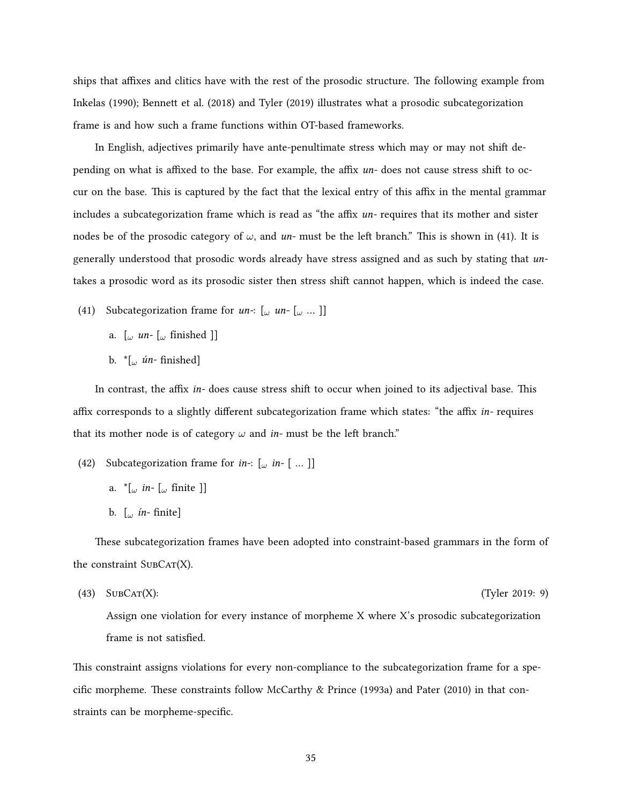ships that affixes and clitics have with the rest of the prosodic structure. The following example from [Inkelas](#page-84-0) ([1990\)](#page-84-0); [Bennett et al.](#page-83-3) ([2018](#page-83-3)) and [Tyler](#page-86-3) [\(2019\)](#page-86-3) illustrates what a prosodic subcategorization frame is and how such a frame functions within OT-based frameworks.

In English, adjectives primarily have ante-penultimate stress which may or may not shift depending on what is affixed to the base. For example, the affix *un-* does not cause stress shift to occur on the base. This is captured by the fact that the lexical entry of this affix in the mental grammar includes a subcategorization frame which is read as "the affix *un-* requires that its mother and sister nodesbe of the prosodic category of  $\omega$ , and  $un$ - must be the left branch." This is shown in ([41\)](#page-44-0). It is generally understood that prosodic words already have stress assigned and as such by stating that *un*takes a prosodic word as its prosodic sister then stress shift cannot happen, which is indeed the case.

- <span id="page-44-0"></span>(41) Subcategorization frame for *un-*: [*<sup>ω</sup> un-* [*<sup>ω</sup>* … ]]
	- a. [*<sup>ω</sup> un-* [*<sup>ω</sup>* fínished ]]
	- b. \*[*<sup>ω</sup> ún-* finished]

In contrast, the affix *in-* does cause stress shift to occur when joined to its adjectival base. This affix corresponds to a slightly different subcategorization frame which states: "the affix *in-* requires that its mother node is of category  $\omega$  and *in*-must be the left branch."

- (42) Subcategorization frame for *in-*: [*<sup>ω</sup> in-* [ … ]]
	- a. \*[*<sup>ω</sup> in-* [*<sup>ω</sup>* fínite ]]
	- b. [*<sup>ω</sup> ín-* finite]

These subcategorization frames have been adopted into constraint-based grammars in the form of the constraint  $SUBCAT(X)$ .

(43) SubCat(X): [\(Tyler](#page-86-3) [2019:](#page-86-3) 9)

Assign one violation for every instance of morpheme X where X's prosodic subcategorization frame is not satisfied.

This constraint assigns violations for every non-compliance to the subcategorization frame for a specific morpheme. These constraints follow [McCarthy & Prince](#page-85-5) ([1993a](#page-85-5)) and [Pater](#page-85-6) [\(2010\)](#page-85-6) in that constraints can be morpheme-specific.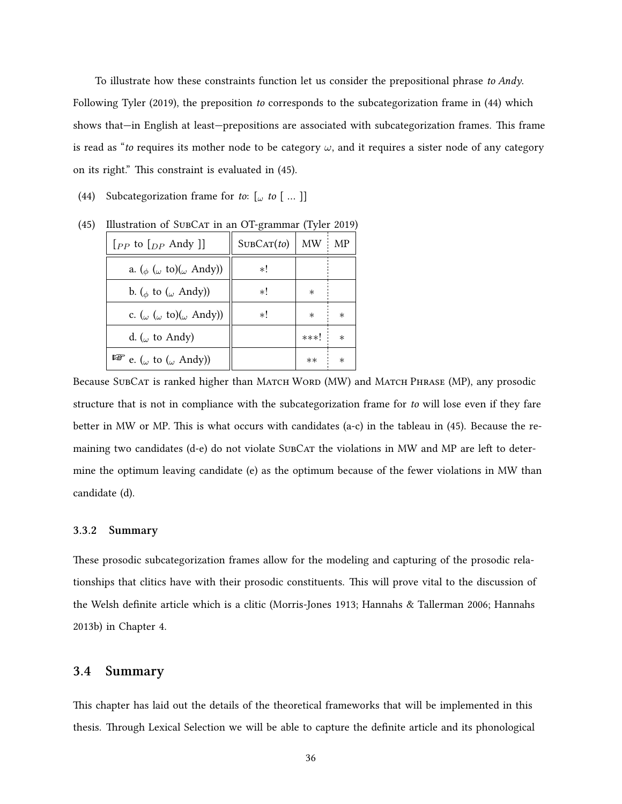To illustrate how these constraints function let us consider the prepositional phrase *to Andy*. Following [Tyler](#page-86-3) [\(2019\)](#page-86-3), the preposition *to* corresponds to the subcategorization frame in [\(44\)](#page-45-0) which shows that—in English at least—prepositions are associated with subcategorization frames. This frame is read as "*to* requires its mother node to be category *ω*, and it requires a sister node of any category on its right." This constraint is evaluated in([45](#page-45-1)).

<span id="page-45-0"></span>(44) Subcategorization frame for *to*: [*<sup>ω</sup> to* [ … ]]

| $[$ <i><sub>PP</sub></i> to $[$ <sub><i>DP</i></sub> Andy $]$ | SUBCAT(to) | MW:    | МP      |
|---------------------------------------------------------------|------------|--------|---------|
| a. ( $_{\phi}$ ( $_{\omega}$ to)( $_{\omega}$ Andy))          | $*!$       |        |         |
| b. ( $_{\phi}$ to ( $_{\omega}$ Andy))                        | $*!$       | $\ast$ |         |
| c. ( $\omega$ ( $\omega$ to)( $\omega$ Andy))                 | $*!$       | $\ast$ | $\ast$  |
| d. ( $\omega$ to Andy)                                        |            | ***!   | $\ast$  |
| $\mathbb{F}$ e. ( <sub>ω</sub> to ( <sub>ω</sub> Andy))       |            | $**$   | $^\ast$ |

<span id="page-45-1"></span>(45)Illustration of SUBCAT in an OT-grammar ([Tyler](#page-86-3) [2019](#page-86-3))

Because SUBCAT is ranked higher than MATCH WORD (MW) and MATCH PHRASE (MP), any prosodic structure that is not in compliance with the subcategorization frame for *to* will lose even if they fare better in MW or MP. This is what occurs with candidates (a-c) in the tableau in [\(45\)](#page-45-1). Because the remaining two candidates (d-e) do not violate SubCar the violations in MW and MP are left to determine the optimum leaving candidate (e) as the optimum because of the fewer violations in MW than candidate (d).

#### **3.3.2 Summary**

These prosodic subcategorization frames allow for the modeling and capturing of the prosodic relationships that clitics have with their prosodic constituents. This will prove vital to the discussion of the Welsh definite article which is a clitic([Morris-Jones](#page-85-3) [1913](#page-85-3); [Hannahs & Tallerman](#page-84-3) [2006;](#page-84-3) [Hannahs](#page-84-1) [2013b\)](#page-84-1) in Chapter [4.](#page-47-1)

## **3.4 Summary**

This chapter has laid out the details of the theoretical frameworks that will be implemented in this thesis. Through Lexical Selection we will be able to capture the definite article and its phonological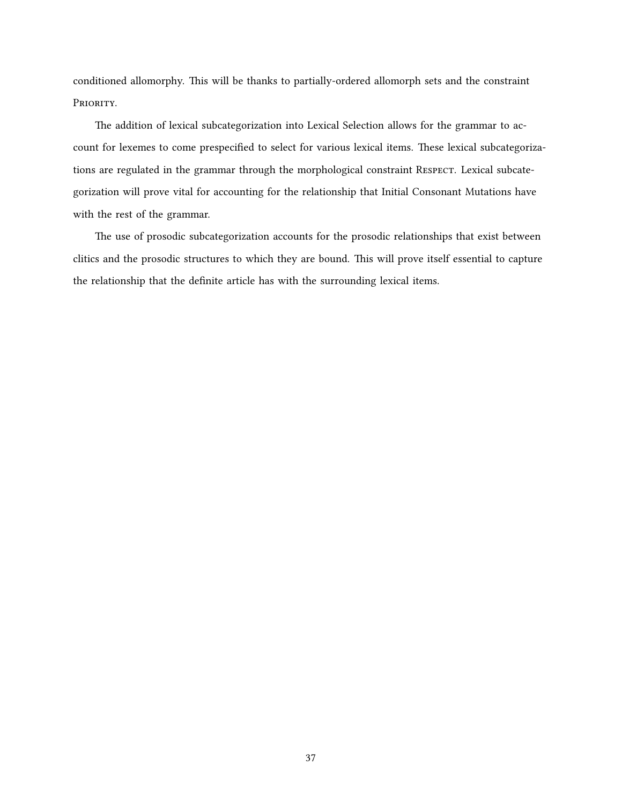conditioned allomorphy. This will be thanks to partially-ordered allomorph sets and the constraint PRIORITY.

The addition of lexical subcategorization into Lexical Selection allows for the grammar to account for lexemes to come prespecified to select for various lexical items. These lexical subcategorizations are regulated in the grammar through the morphological constraint RESPECT. Lexical subcategorization will prove vital for accounting for the relationship that Initial Consonant Mutations have with the rest of the grammar.

The use of prosodic subcategorization accounts for the prosodic relationships that exist between clitics and the prosodic structures to which they are bound. This will prove itself essential to capture the relationship that the definite article has with the surrounding lexical items.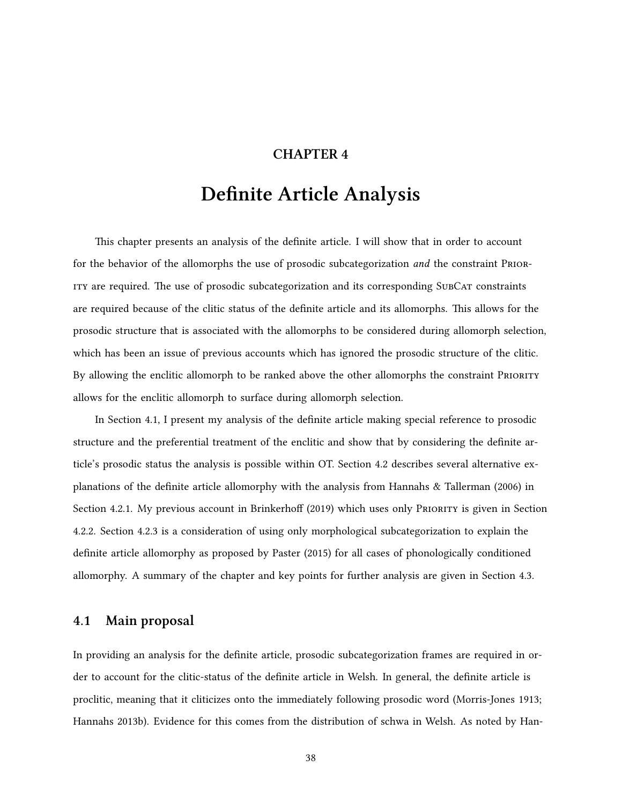## **CHAPTER 4**

# **Definite Article Analysis**

<span id="page-47-1"></span>This chapter presents an analysis of the definite article. I will show that in order to account for the behavior of the allomorphs the use of prosodic subcategorization *and* the constraint PRioRity are required. The use of prosodic subcategorization and its corresponding SubCat constraints are required because of the clitic status of the definite article and its allomorphs. This allows for the prosodic structure that is associated with the allomorphs to be considered during allomorph selection, which has been an issue of previous accounts which has ignored the prosodic structure of the clitic. By allowing the enclitic allomorph to be ranked above the other allomorphs the constraint PRIORITY allows for the enclitic allomorph to surface during allomorph selection.

In Section [4.1](#page-47-0), I present my analysis of the definite article making special reference to prosodic structure and the preferential treatment of the enclitic and show that by considering the definite article's prosodic status the analysis is possible within OT. Section [4.2](#page-57-0) describes several alternative explanations of the definite article allomorphy with the analysis from [Hannahs & Tallerman](#page-84-3) ([2006](#page-84-3)) in Section [4.2.1](#page-57-1). My previous account in [Brinkerhoff](#page-83-0) [\(2019\)](#page-83-0) which uses only PRIORITY is given in Section [4.2.2](#page-60-0). Section [4.2.3](#page-62-0) is a consideration of using only morphological subcategorization to explain the definite article allomorphy as proposed by [Paster](#page-85-7) ([2015\)](#page-85-7) for all cases of phonologically conditioned allomorphy. A summary of the chapter and key points for further analysis are given in Section [4.3.](#page-65-0)

## <span id="page-47-0"></span>**4.1 Main proposal**

In providing an analysis for the definite article, prosodic subcategorization frames are required in order to account for the clitic-status of the definite article in Welsh. In general, the definite article is proclitic, meaning that it cliticizes onto the immediately following prosodic word [\(Morris-Jones](#page-85-3) [1913;](#page-85-3) [Hannahs](#page-84-1) [2013b](#page-84-1)). Evidence for this comes from the distribution of schwa in Welsh. As noted by [Han-](#page-84-1)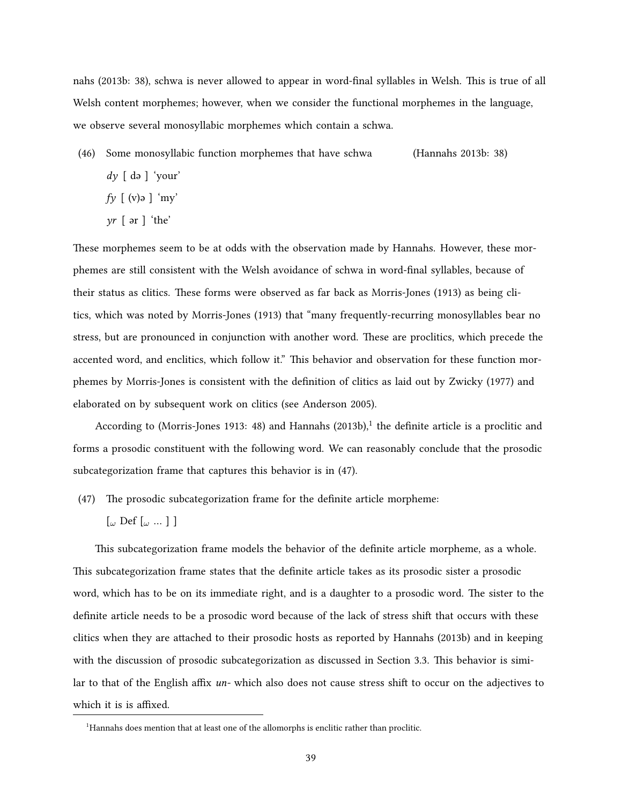[nahs](#page-84-1) ([2013b:](#page-84-1) 38), schwa is never allowed to appear in word-final syllables in Welsh. This is true of all Welsh content morphemes; however, when we consider the functional morphemes in the language, we observe several monosyllabic morphemes which contain a schwa.

- (46) Some monosyllabic function morphemes that have schwa [\(Hannahs](#page-84-1) [2013b](#page-84-1): 38) *dy* [ də ] 'your'
	- *fy* [ (v)ə ] 'my'
	- *yr* [ ər ] 'the'

These morphemes seem to be at odds with the observation made by [Hannahs.](#page-84-1) However, these morphemes are still consistent with the Welsh avoidance of schwa in word-final syllables, because of their status as clitics. These forms were observed as far back as [Morris-Jones](#page-85-3) ([1913\)](#page-85-3) as being clitics, which was noted by [Morris-Jones](#page-85-3) ([1913](#page-85-3)) that "many frequently-recurring monosyllables bear no stress, but are pronounced in conjunction with another word. These are proclitics, which precede the accented word, and enclitics, which follow it." This behavior and observation for these function morphemes by [Morris-Jones](#page-85-3) is consistent with the definition of clitics as laid out by [Zwicky](#page-87-1) [\(1977\)](#page-87-1) and elaborated on by subsequent work on clitics (see [Anderson](#page-83-2) [2005](#page-83-2)).

According to [\(Morris-Jones](#page-85-3) [1913:](#page-85-3) 48) and [Hannahs](#page-84-1) ([2013b](#page-84-1)),<sup>[1](#page-48-0)</sup> the definite article is a proclitic and forms a prosodic constituent with the following word. We can reasonably conclude that the prosodic subcategorization frame that captures this behavior is in [\(47](#page-48-1)).

- <span id="page-48-1"></span>(47) The prosodic subcategorization frame for the definite article morpheme:
	- [*<sup>ω</sup>* Def [*<sup>ω</sup>* … ] ]

This subcategorization frame models the behavior of the definite article morpheme, as a whole. This subcategorization frame states that the definite article takes as its prosodic sister a prosodic word, which has to be on its immediate right, and is a daughter to a prosodic word. The sister to the definite article needs to be a prosodic word because of the lack of stress shift that occurs with these clitics when they are attached to their prosodic hosts as reported by [Hannahs](#page-84-1) [\(2013b\)](#page-84-1) and in keeping with the discussion of prosodic subcategorization as discussed in Section [3.3](#page-41-0). This behavior is similar to that of the English affix *un-* which also does not cause stress shift to occur on the adjectives to which it is is affixed.

<span id="page-48-0"></span><sup>&</sup>lt;sup>1</sup>[Hannahs](#page-84-1) does mention that at least one of the allomorphs is enclitic rather than proclitic.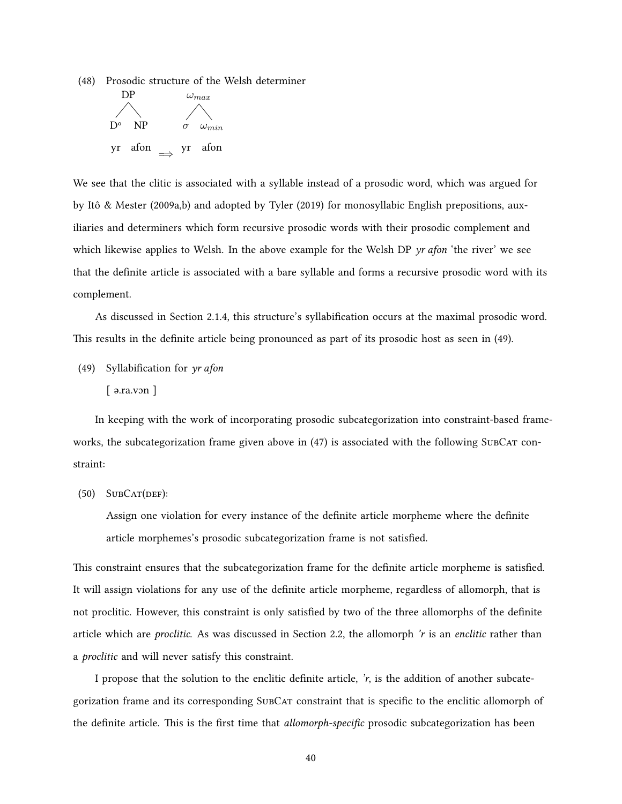<span id="page-49-1"></span>(48) Prosodic structure of the Welsh determiner



We see that the clitic is associated with a syllable instead of a prosodic word, which was argued for by [Itô & Mester](#page-84-4) [\(2009a,](#page-84-4)[b](#page-84-5)) and adopted by [Tyler](#page-86-3) [\(2019\)](#page-86-3) for monosyllabic English prepositions, auxiliaries and determiners which form recursive prosodic words with their prosodic complement and which likewise applies to Welsh. In the above example for the Welsh DP *yr afon* 'the river' we see that the definite article is associated with a bare syllable and forms a recursive prosodic word with its complement.

As discussed in Section [2.1.4,](#page-16-0) this structure's syllabification occurs at the maximal prosodic word. This results in the definite article being pronounced as part of its prosodic host as seen in [\(49](#page-49-0)).

<span id="page-49-0"></span>(49) Syllabification for *yr afon*

[ ə.ra.vɔn ]

In keeping with the work of incorporating prosodic subcategorization into constraint-based frameworks, the subcategorization frame given above in  $(47)$  is associated with the following SubCat constraint:

 $(50)$  SUBCAT(DEF):

Assign one violation for every instance of the definite article morpheme where the definite article morphemes's prosodic subcategorization frame is not satisfied.

This constraint ensures that the subcategorization frame for the definite article morpheme is satisfied. It will assign violations for any use of the definite article morpheme, regardless of allomorph, that is not proclitic. However, this constraint is only satisfied by two of the three allomorphs of the definite article which are *proclitic*. As was discussed in Section [2.2](#page-19-0), the allomorph *'r* is an *enclitic* rather than a *proclitic* and will never satisfy this constraint.

I propose that the solution to the enclitic definite article,  $\dot{r}$ , is the addition of another subcategorization frame and its corresponding SubCat constraint that is specific to the enclitic allomorph of the definite article. This is the first time that *allomorph-specific* prosodic subcategorization has been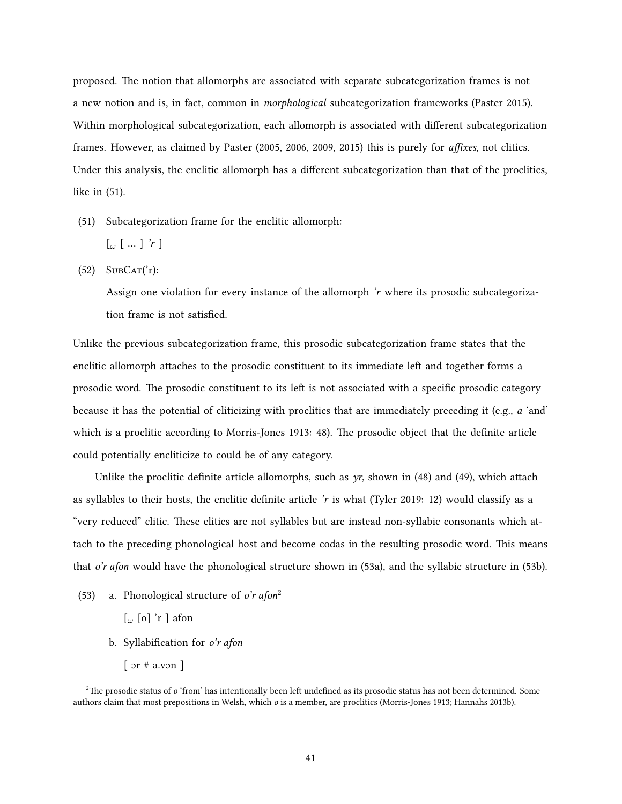proposed. The notion that allomorphs are associated with separate subcategorization frames is not a new notion and is, in fact, common in *morphological* subcategorization frameworks([Paster](#page-85-7) [2015](#page-85-7)). Within morphological subcategorization, each allomorph is associated with different subcategorization frames. However, as claimed by [Paster](#page-85-8) [\(2005](#page-85-8), [2006,](#page-85-9) [2009](#page-85-10), [2015](#page-85-7)) this is purely for *affixes*, not clitics. Under this analysis, the enclitic allomorph has a different subcategorization than that of the proclitics, like in([51\)](#page-50-0).

- <span id="page-50-0"></span>(51) Subcategorization frame for the enclitic allomorph:
	- [*<sup>ω</sup>* [ … ] *'r* ]
- $(52)$  SUBCAT('r):

Assign one violation for every instance of the allomorph *'r* where its prosodic subcategorization frame is not satisfied.

Unlike the previous subcategorization frame, this prosodic subcategorization frame states that the enclitic allomorph attaches to the prosodic constituent to its immediate left and together forms a prosodic word. The prosodic constituent to its left is not associated with a specific prosodic category because it has the potential of cliticizing with proclitics that are immediately preceding it (e.g., *a* 'and' which is a proclitic according to [Morris-Jones](#page-85-3) [1913:](#page-85-3) 48). The prosodic object that the definite article could potentially encliticize to could be of any category.

Unlike the proclitic definite article allomorphs, such as *yr*, shown in [\(48\)](#page-49-1) and([49\)](#page-49-0), which attach as syllables to their hosts, the enclitic definite article *'r* is what [\(Tyler](#page-86-3) [2019:](#page-86-3) 12) would classify as a "very reduced" clitic. These clitics are not syllables but are instead non-syllabic consonants which attach to the preceding phonological host and become codas in the resulting prosodic word. This means that *o'r afon* would have the phonological structure shown in([53a\)](#page-50-1), and the syllabic structure in([53b](#page-50-2)).

- <span id="page-50-2"></span><span id="page-50-1"></span>(53) a. Phonological structure of *o'r afon*[2](#page-50-3)
	- [*<sup>ω</sup>* [o] 'r ] afon
	- b. Syllabification for *o'r afon*
		- $\lceil$  or # a.von  $\rceil$

<span id="page-50-3"></span><sup>&</sup>lt;sup>2</sup>The prosodic status of *o* 'from' has intentionally been left undefined as its prosodic status has not been determined. Some authors claim that most prepositions in Welsh, which *o* is a member, are proclitics([Morris-Jones](#page-85-3) [1913;](#page-85-3) [Hannahs](#page-84-1) [2013b](#page-84-1)).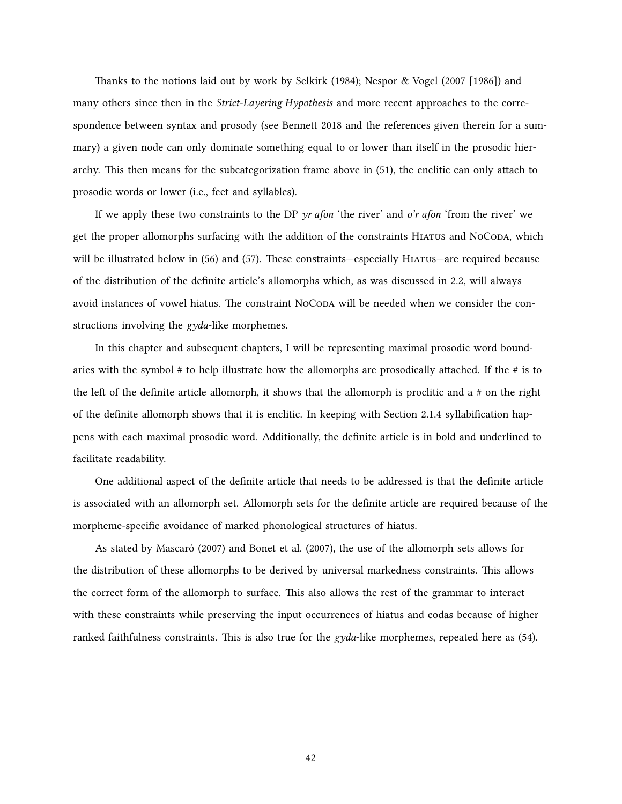Thanks to the notions laid out by work by [Selkirk](#page-86-2) [\(1984\)](#page-86-2); [Nespor & Vogel](#page-85-2) [\(2007 \[1986\]](#page-85-2)) and many others since then in the *Strict-Layering Hypothesis* and more recent approaches to the correspondence between syntax and prosody (see [Bennett](#page-83-5) [2018](#page-83-5) and the references given therein for a summary) a given node can only dominate something equal to or lower than itself in the prosodic hierarchy. This then means for the subcategorization frame above in([51\)](#page-50-0), the enclitic can only attach to prosodic words or lower (i.e., feet and syllables).

If we apply these two constraints to the DP *yr afon* 'the river' and *o'r afon* 'from the river' we get the proper allomorphs surfacing with the addition of the constraints HIATUS and NoCODA, which willbe illustrated below in ([56\)](#page-53-0) and ([57\)](#page-53-1). These constraints—especially HIATUS—are required because of the distribution of the definite article's allomorphs which, as was discussed in [2.2](#page-19-0), will always avoid instances of vowel hiatus. The constraint NoCoda will be needed when we consider the constructions involving the *gyda*-like morphemes.

In this chapter and subsequent chapters, I will be representing maximal prosodic word boundaries with the symbol # to help illustrate how the allomorphs are prosodically attached. If the # is to the left of the definite article allomorph, it shows that the allomorph is proclitic and a # on the right of the definite allomorph shows that it is enclitic. In keeping with Section [2.1.4](#page-16-0) syllabification happens with each maximal prosodic word. Additionally, the definite article is in bold and underlined to facilitate readability.

One additional aspect of the definite article that needs to be addressed is that the definite article is associated with an allomorph set. Allomorph sets for the definite article are required because of the morpheme-specific avoidance of marked phonological structures of hiatus.

As stated by [Mascaró](#page-85-0) [\(2007\)](#page-85-0) and [Bonet et al.](#page-83-1) [\(2007\)](#page-83-1), the use of the allomorph sets allows for the distribution of these allomorphs to be derived by universal markedness constraints. This allows the correct form of the allomorph to surface. This also allows the rest of the grammar to interact with these constraints while preserving the input occurrences of hiatus and codas because of higher ranked faithfulness constraints. This is also true for the *gyda*-like morphemes, repeated here as([54\)](#page-52-0).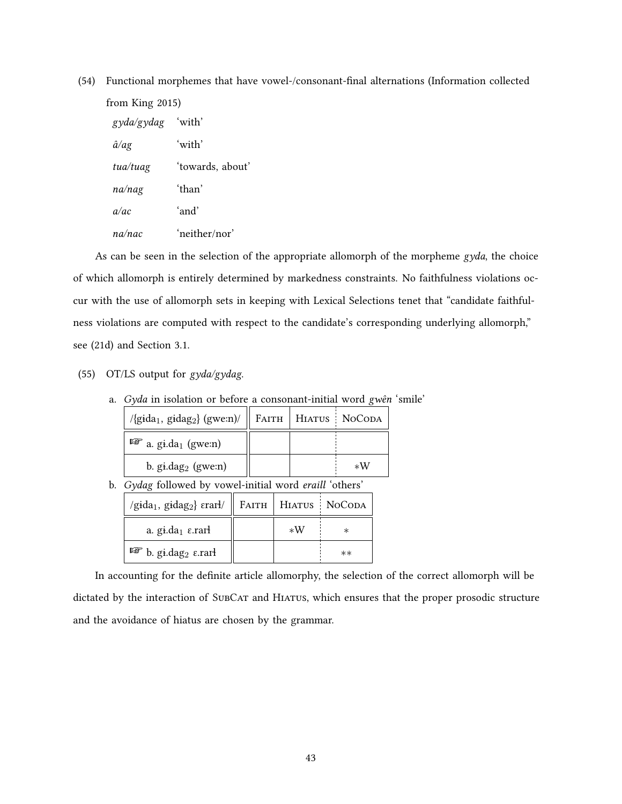<span id="page-52-0"></span>

| (54) | Functional morphemes that have vowel-/consonant-final alternations (Information collected |                  |  |  |  |  |  |  |
|------|-------------------------------------------------------------------------------------------|------------------|--|--|--|--|--|--|
|      | from King 2015)                                                                           |                  |  |  |  |  |  |  |
|      | gyda/gydag                                                                                | 'with'           |  |  |  |  |  |  |
|      | $\hat{a}/a$ g                                                                             | 'with'           |  |  |  |  |  |  |
|      | tua/tuag                                                                                  | 'towards, about' |  |  |  |  |  |  |
|      | na/nag                                                                                    | 'than'           |  |  |  |  |  |  |
|      | a/ac                                                                                      | 'and'            |  |  |  |  |  |  |
|      | na/nac                                                                                    | 'neither/nor'    |  |  |  |  |  |  |
|      |                                                                                           |                  |  |  |  |  |  |  |

As can be seen in the selection of the appropriate allomorph of the morpheme *gyda*, the choice of which allomorph is entirely determined by markedness constraints. No faithfulness violations occur with the use of allomorph sets in keeping with Lexical Selections tenet that "candidate faithfulness violations are computed with respect to the candidate's corresponding underlying allomorph," see([21d\)](#page-31-0) and Section [3.1](#page-30-0).

(55) OT/LS output for *gyda/gydag*.

|  |  | a. Gyda in isolation or before a consonant-initial word gwên 'smile' |  |  |
|--|--|----------------------------------------------------------------------|--|--|
|  |  |                                                                      |  |  |

| $\beta$ /{gida <sub>1</sub> , gidag <sub>2</sub> } (gwe:n)/    FAITH   HIATUS   NOCODA |  |      |
|----------------------------------------------------------------------------------------|--|------|
| $\mathbb{F}$ a. gi.da <sub>1</sub> (gwe:n)                                             |  |      |
| b. $\text{gi.dag}_2$ (gwe:n)                                                           |  | $*W$ |

b. *Gydag* followed by vowel-initial word *eraill* 'others'

| /gida <sub>1</sub> , gidag <sub>2</sub> } $\text{er}$ arł/    $\text{FATTH}$   $\text{HIATUS}$   $\text{NoCoDA}$ |      |      |
|------------------------------------------------------------------------------------------------------------------|------|------|
| a. $\text{g}$ <i>i.</i> da <sub>1</sub> $\varepsilon$ <i>rari</i>                                                | $*W$ |      |
| $\mathbb{F}$ b. gi.dag <sub>2</sub> $\varepsilon$ .rart                                                          |      | $**$ |

In accounting for the definite article allomorphy, the selection of the correct allomorph will be dictated by the interaction of SUBCAT and HIATUS, which ensures that the proper prosodic structure and the avoidance of hiatus are chosen by the grammar.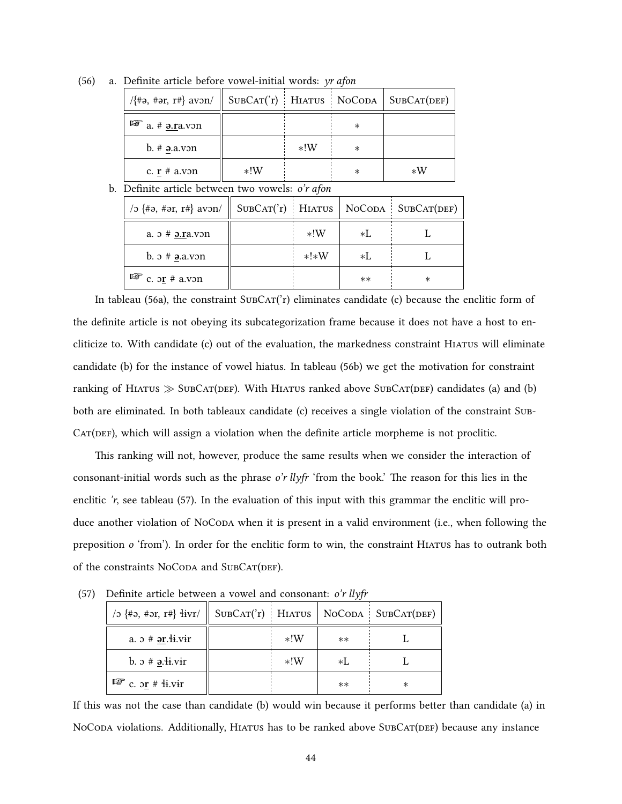| $\langle \{\#a, \#ar, r\#\}\$ avon/ $\ \text{SUBCAT}(r)\ $ HIATUS $\ \text{NoCoDA}\ $ SUBCAT(DEF) |       |       |         |      |
|---------------------------------------------------------------------------------------------------|-------|-------|---------|------|
| $\mathbb{F}$ a. # $\underline{\mathbf{a}}.\underline{\mathbf{r}}$ a.von                           |       |       | $\ast$  |      |
| $b.$ # $a.von$                                                                                    |       | $*!W$ | ∗       |      |
| c. $\mathbf{r}$ # a.von                                                                           | $*!W$ |       | $^\ast$ | $*W$ |

<span id="page-53-0"></span>(56) a. Definite article before vowel-initial words: *yr afon*

#### <span id="page-53-2"></span>b. Definite article between two vowels: *o'r afon*

| / $\infty$ {#ə, #ər, r#} avon/               |        |      | $SUBCAT('r)$ HIATUS   NOCODA   SUBCAT(DEF) |
|----------------------------------------------|--------|------|--------------------------------------------|
| a. $\sigma$ # $\sigma$ . $\sigma$ . $\sigma$ | $*!W$  | ×I.  |                                            |
| b. $\sigma$ # $\theta$ . a. v $\sigma$ n     | $*!*W$ | ×I.  |                                            |
| $\mathbb{F}$ c. or # a.von                   |        | $**$ | $^\ast$                                    |

Intableau ([56a\)](#page-53-0), the constraint  $SUBCAT('r)$  eliminates candidate (c) because the enclitic form of the definite article is not obeying its subcategorization frame because it does not have a host to encliticize to. With candidate (c) out of the evaluation, the markedness constraint Hiatus will eliminate candidate (b) for the instance of vowel hiatus. In tableau [\(56b\)](#page-53-2) we get the motivation for constraint ranking of HIATUS ≫ SUBCAT(DEF). With HIATUS ranked above SUBCAT(DEF) candidates (a) and (b) both are eliminated. In both tableaux candidate (c) receives a single violation of the constraint Sub- $CAT(DEF)$ , which will assign a violation when the definite article morpheme is not proclitic.

This ranking will not, however, produce the same results when we consider the interaction of consonant-initial words such as the phrase *o'r llyfr* 'from the book.' The reason for this lies in the enclitic*'r*, see tableau ([57\)](#page-53-1). In the evaluation of this input with this grammar the enclitic will produce another violation of NoCoDA when it is present in a valid environment (i.e., when following the preposition *o* 'from'). In order for the enclitic form to win, the constraint Hiatus has to outrank both of the constraints NoCoDA and SUBCAT(DEF).

| /2 $\#$ = $\#$ = $\{**\}$ $\{ivr/\ $         |       | $\overline{ }$ | $SUBCAT('r)$ HIATUS   NOCODA SUBCAT(DEF) |
|----------------------------------------------|-------|----------------|------------------------------------------|
| a. $\n  x # ər.\overline{4}i.\overline{vir}$ | $*!W$ | $**$           |                                          |
| b. $\sigma$ # $\partial$ . H. vir            | $*!W$ | ×I.            |                                          |
| $\mathbb{F}$ c. or # $\frac{1}{2}$ i.vir     |       | $**$           | $^\ast$                                  |

<span id="page-53-1"></span>(57) Definite article between a vowel and consonant: *o'r llyfr*

If this was not the case than candidate (b) would win because it performs better than candidate (a) in NoCoda violations. Additionally, HIATUS has to be ranked above SUBCAT(DEF) because any instance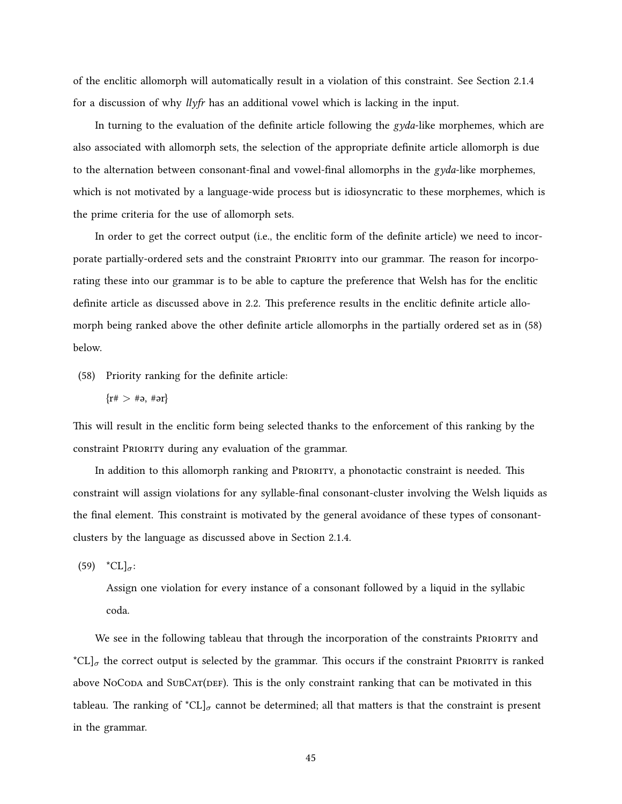of the enclitic allomorph will automatically result in a violation of this constraint. See Section [2.1.4](#page-16-0) for a discussion of why *llyfr* has an additional vowel which is lacking in the input.

In turning to the evaluation of the definite article following the *gyda*-like morphemes, which are also associated with allomorph sets, the selection of the appropriate definite article allomorph is due to the alternation between consonant-final and vowel-final allomorphs in the *gyda*-like morphemes, which is not motivated by a language-wide process but is idiosyncratic to these morphemes, which is the prime criteria for the use of allomorph sets.

In order to get the correct output (i.e., the enclitic form of the definite article) we need to incorporate partially-ordered sets and the constraint PRioRity into our grammar. The reason for incorporating these into our grammar is to be able to capture the preference that Welsh has for the enclitic definite article as discussed above in [2.2](#page-19-0). This preference results in the enclitic definite article allomorph being ranked above the other definite article allomorphs in the partially ordered set as in [\(58](#page-54-0)) below.

<span id="page-54-0"></span>(58) Priority ranking for the definite article:

$$
\{r\# > \#a, \#ar\}
$$

This will result in the enclitic form being selected thanks to the enforcement of this ranking by the constraint PRioRity during any evaluation of the grammar.

In addition to this allomorph ranking and PRioRity, a phonotactic constraint is needed. This constraint will assign violations for any syllable-final consonant-cluster involving the Welsh liquids as the final element. This constraint is motivated by the general avoidance of these types of consonantclusters by the language as discussed above in Section [2.1.4.](#page-16-0)

 $(59)$  \*CL]<sub> $\sigma$ </sub>:

Assign one violation for every instance of a consonant followed by a liquid in the syllabic coda.

We see in the following tableau that through the incorporation of the constraints PRIORITY and \* $CL$ ]<sub> $\sigma$ </sub> the correct output is selected by the grammar. This occurs if the constraint PRIORITY is ranked above NoCoda and SubCat(DEF). This is the only constraint ranking that can be motivated in this tableau. The ranking of  ${}^{\star}CL$ ]<sub> $\sigma$ </sub> cannot be determined; all that matters is that the constraint is present in the grammar.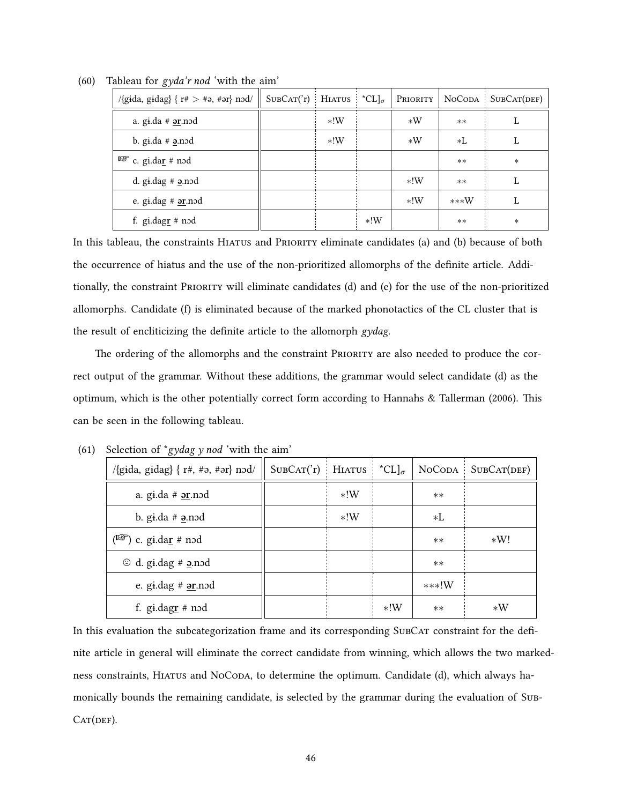| $\{\text{gida, gidal}\}\$ $\{\text{r#} > \text{#a}, \text{#ar}\}\$ nod/ | $SUBCAT('r)$ HIATUS $*CL]_{\sigma}$ |       |       | PRIORITY |        | $NoCODA$ SUBCAT(DEF) |
|-------------------------------------------------------------------------|-------------------------------------|-------|-------|----------|--------|----------------------|
| a. gi.da $#$ $\sigma$ ar. nod                                           |                                     | $*!W$ |       | $*W$     | $***$  | L                    |
| b. gi.da $#$ $\geq$ .nod                                                |                                     | $*!W$ |       | $*W$     | $*L$   | L                    |
| $\mathbb{F}$ c. gi.dar # nod                                            |                                     |       |       |          | $**$   | $\ast$               |
| d. gi.dag $#$ a.nod                                                     |                                     |       |       | $*!W$    | $**$   | L                    |
| e. gi.dag $#$ $\sigma$ nod                                              |                                     |       |       | $*!W$    | $***W$ | L                    |
| f. gi.dag $\underline{\mathbf{r}}$ # nod                                |                                     |       | $*!W$ |          | $**$   | $\ast$               |

(60) Tableau for *gyda'r nod* 'with the aim'

In this tableau, the constraints Hiatus and PRioRity eliminate candidates (a) and (b) because of both the occurrence of hiatus and the use of the non-prioritized allomorphs of the definite article. Additionally, the constraint PRioRity will eliminate candidates (d) and (e) for the use of the non-prioritized allomorphs. Candidate (f) is eliminated because of the marked phonotactics of the CL cluster that is the result of encliticizing the definite article to the allomorph *gydag*.

The ordering of the allomorphs and the constraint PRIORITY are also needed to produce the correct output of the grammar. Without these additions, the grammar would select candidate (d) as the optimum, which is the other potentially correct form according to [Hannahs & Tallerman](#page-84-3) ([2006\)](#page-84-3). This can be seen in the following tableau.

| $\sigma$ <sup><math>\sigma</math></sup> $\sigma$ <sup><math>\sigma</math></sup> |                     |       |                                               |         |                      |
|---------------------------------------------------------------------------------|---------------------|-------|-----------------------------------------------|---------|----------------------|
| /{gida, gidag} { $r#, #a, #ar$ } nod/                                           | $SUBCAT('r)$ HIATUS |       | ${}^{\star}CL$ <sub><math>\sigma</math></sub> |         | $NoCODA$ SUBCAT(DEF) |
| a. $q_i$ da # $ər$ .nod                                                         |                     | $*!W$ |                                               | $**$    |                      |
| b. gi.da $#$ a.nod                                                              |                     | $*!W$ |                                               | $*L$    |                      |
| $(\sqrt{2})$ c. gi.dar # nod                                                    |                     |       |                                               | $**$    | $*W!$                |
| $\odot$ d. gi.dag # <b>2</b> .nod                                               |                     |       |                                               | $**$    |                      |
| e. gi.dag $#$ $\sigma$ r.nod                                                    |                     |       |                                               | $***!W$ |                      |
| f. gi.dag $\underline{\mathbf{r}}$ # nod                                        |                     |       | $*!W$                                         | $**$    | $*W$                 |

<span id="page-55-0"></span>(61) Selection of \**gydag y nod* 'with the aim'

In this evaluation the subcategorization frame and its corresponding SUBCAT constraint for the definite article in general will eliminate the correct candidate from winning, which allows the two markedness constraints, HIATUS and NOCODA, to determine the optimum. Candidate (d), which always hamonically bounds the remaining candidate, is selected by the grammar during the evaluation of Sub- $CAT(DEF)$ .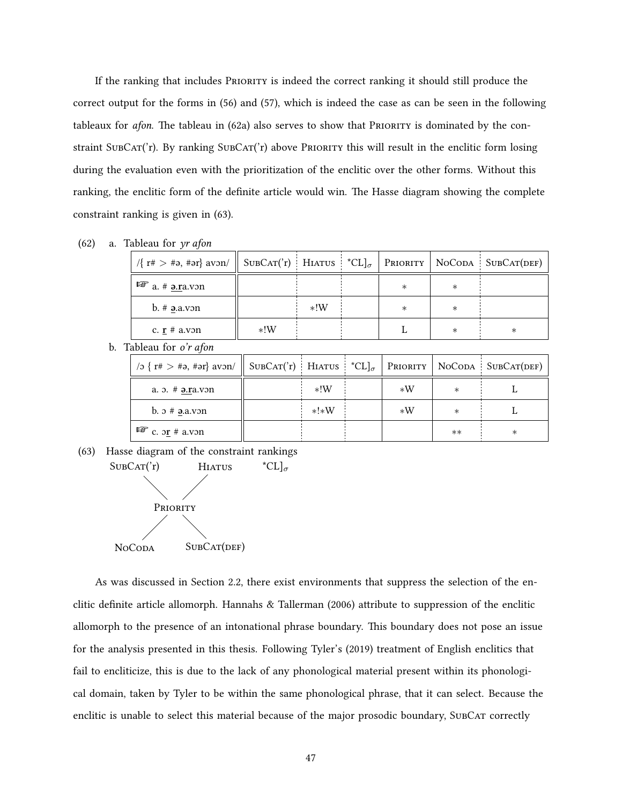If the ranking that includes PRioRity is indeed the correct ranking it should still produce the correct output for the forms in([56\)](#page-53-0) and [\(57](#page-53-1)), which is indeed the case as can be seen in the following tableauxfor *afon*. The tableau in ([62a\)](#page-56-0) also serves to show that PRIORITY is dominated by the constraint SubCat('r). By ranking SubCat('r) above PRIORITY this will result in the enclitic form losing during the evaluation even with the prioritization of the enclitic over the other forms. Without this ranking, the enclitic form of the definite article would win. The Hasse diagram showing the complete constraint ranking is given in [\(63](#page-56-1)).

<span id="page-56-0"></span>

| (62) | a. Tableau for yr afon                  |                                            |       |        |        |                                         |
|------|-----------------------------------------|--------------------------------------------|-------|--------|--------|-----------------------------------------|
|      | $\sqrt{\{r\# \gt \#a, \#ar\}}$ avon/    | $SUBCAT('r)$ HIATUS $^{\star}CL]_{\sigma}$ |       |        |        | $P_{\text{RIORITY}}$ NoCoda SubCat(DEF) |
|      | $\mathbb{F}$ a. # <b>9.</b> p. v. v. on |                                            |       | $\ast$ | $\ast$ |                                         |
|      | $b.$ # $a.von$                          |                                            | $*!W$ | $\ast$ | $\ast$ |                                         |
|      | c. $\mathbf{r}$ # a.von                 | $*!W$                                      |       |        | $\ast$ | $\ast$                                  |
|      | b. Tableau for <i>o'r afon</i>          |                                            |       |        |        |                                         |

| /2 { $r# > #$ 2, $r#$ ar} avon/    SUBCAT('r)   HIATUS   $C_{\text{CL}}$   PRIORITY   NOCODA   SUBCAT(DEF) |        |      |        |   |
|------------------------------------------------------------------------------------------------------------|--------|------|--------|---|
| a. $\theta$ . $\#$ <b>a.ra.v</b> $\theta$ n                                                                | $*!W$  | $*W$ | $\ast$ |   |
| b. $\sigma$ # $\partial$ . $\partial$ . $\partial$ . $\partial$                                            | $*!*W$ | $*W$ | $\ast$ |   |
| $\mathbb{F}$ c. or # a.von                                                                                 |        |      | $**$   | ∗ |

<span id="page-56-1"></span>(63) Hasse diagram of the constraint rankings



As was discussed in Section [2.2](#page-19-0), there exist environments that suppress the selection of the enclitic definite article allomorph. [Hannahs & Tallerman](#page-84-3) ([2006](#page-84-3)) attribute to suppression of the enclitic allomorph to the presence of an intonational phrase boundary. This boundary does not pose an issue for the analysis presented in this thesis. Following [Tyler'](#page-86-3)s([2019](#page-86-3)) treatment of English enclitics that fail to encliticize, this is due to the lack of any phonological material present within its phonological domain, taken by [Tyler](#page-86-3) to be within the same phonological phrase, that it can select. Because the enclitic is unable to select this material because of the major prosodic boundary, SubCat correctly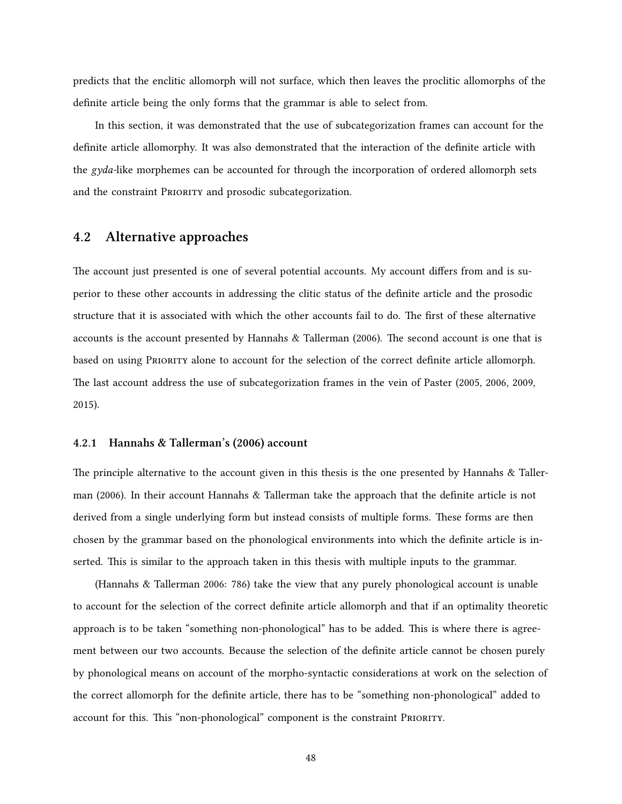predicts that the enclitic allomorph will not surface, which then leaves the proclitic allomorphs of the definite article being the only forms that the grammar is able to select from.

In this section, it was demonstrated that the use of subcategorization frames can account for the definite article allomorphy. It was also demonstrated that the interaction of the definite article with the *gyda-*like morphemes can be accounted for through the incorporation of ordered allomorph sets and the constraint PRIORITY and prosodic subcategorization.

### <span id="page-57-0"></span>**4.2 Alternative approaches**

The account just presented is one of several potential accounts. My account differs from and is superior to these other accounts in addressing the clitic status of the definite article and the prosodic structure that it is associated with which the other accounts fail to do. The first of these alternative accounts is the account presented by [Hannahs & Tallerman](#page-84-3) ([2006](#page-84-3)). The second account is one that is based on using PRioRity alone to account for the selection of the correct definite article allomorph. The last account address the use of subcategorization frames in the vein of [Paster](#page-85-8) ([2005](#page-85-8), [2006,](#page-85-9) [2009,](#page-85-10) [2015](#page-85-7)).

#### <span id="page-57-1"></span>**4.2.1 [Hannahs & Tallerman](#page-84-3)'s [\(2006\)](#page-84-3) account**

The principle alternative to the account given in this thesis is the one presented by [Hannahs & Taller](#page-84-3)[man](#page-84-3) [\(2006\)](#page-84-3). In their account [Hannahs & Tallerman](#page-84-3) take the approach that the definite article is not derived from a single underlying form but instead consists of multiple forms. These forms are then chosen by the grammar based on the phonological environments into which the definite article is inserted. This is similar to the approach taken in this thesis with multiple inputs to the grammar.

([Hannahs & Tallerman](#page-84-3) [2006:](#page-84-3) 786) take the view that any purely phonological account is unable to account for the selection of the correct definite article allomorph and that if an optimality theoretic approach is to be taken "something non-phonological" has to be added. This is where there is agreement between our two accounts. Because the selection of the definite article cannot be chosen purely by phonological means on account of the morpho-syntactic considerations at work on the selection of the correct allomorph for the definite article, there has to be "something non-phonological" added to account for this. This "non-phonological" component is the constraint PRioRity.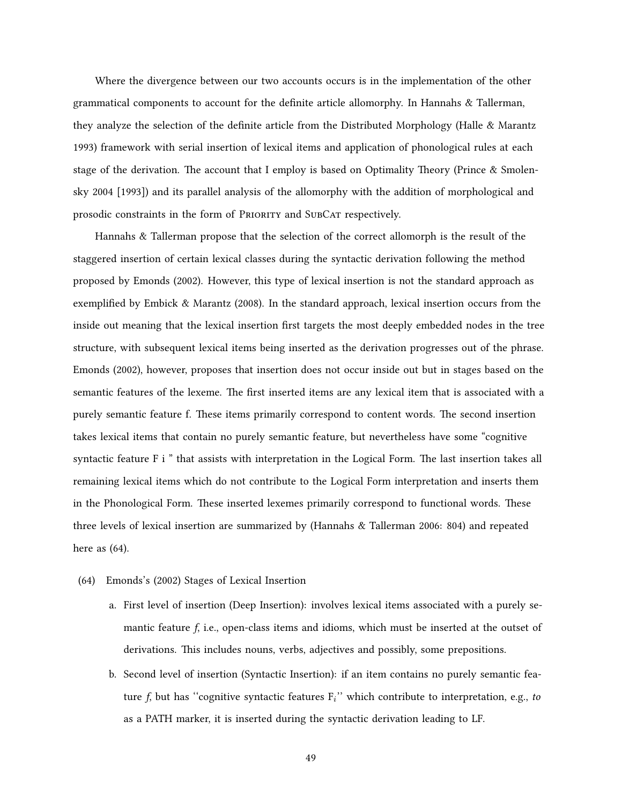Where the divergence between our two accounts occurs is in the implementation of the other grammatical components to account for the definite article allomorphy. In [Hannahs & Tallerman](#page-84-3), they analyze the selection of the definite article from the Distributed Morphology [\(Halle & Marantz](#page-84-7) [1993](#page-84-7)) framework with serial insertion of lexical items and application of phonological rules at each stage of the derivation. The account that I employ is based on Optimality Theory [\(Prince & Smolen](#page-86-6)[sky](#page-86-6) [2004 \[1993\]](#page-86-6)) and its parallel analysis of the allomorphy with the addition of morphological and prosodic constraints in the form of PRIORITY and SUBCAT respectively.

[Hannahs & Tallerman](#page-84-3) propose that the selection of the correct allomorph is the result of the staggered insertion of certain lexical classes during the syntactic derivation following the method proposed by [Emonds](#page-83-6) [\(2002](#page-83-6)). However, this type of lexical insertion is not the standard approach as exemplified by [Embick & Marantz](#page-83-7) [\(2008\)](#page-83-7). In the standard approach, lexical insertion occurs from the inside out meaning that the lexical insertion first targets the most deeply embedded nodes in the tree structure, with subsequent lexical items being inserted as the derivation progresses out of the phrase. [Emonds](#page-83-6) ([2002](#page-83-6)), however, proposes that insertion does not occur inside out but in stages based on the semantic features of the lexeme. The first inserted items are any lexical item that is associated with a purely semantic feature f. These items primarily correspond to content words. The second insertion takes lexical items that contain no purely semantic feature, but nevertheless have some "cognitive syntactic feature F i " that assists with interpretation in the Logical Form. The last insertion takes all remaining lexical items which do not contribute to the Logical Form interpretation and inserts them in the Phonological Form. These inserted lexemes primarily correspond to functional words. These three levels of lexical insertion are summarized by([Hannahs & Tallerman](#page-84-3) [2006:](#page-84-3) 804) and repeated here as [\(64](#page-58-0)).

- <span id="page-58-0"></span>(64) [Emonds'](#page-83-6)s([2002\)](#page-83-6) Stages of Lexical Insertion
	- a. First level of insertion (Deep Insertion): involves lexical items associated with a purely semantic feature *f*, i.e., open-class items and idioms, which must be inserted at the outset of derivations. This includes nouns, verbs, adjectives and possibly, some prepositions.
	- b. Second level of insertion (Syntactic Insertion): if an item contains no purely semantic feature *f*, but has ''cognitive syntactic features F*<sup>i</sup>* '' which contribute to interpretation, e.g., *to* as a PATH marker, it is inserted during the syntactic derivation leading to LF.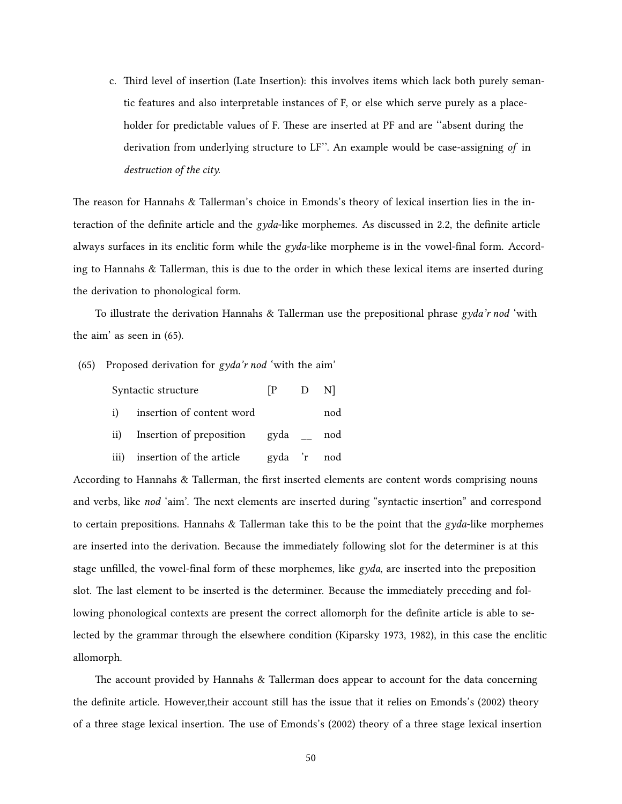c. Third level of insertion (Late Insertion): this involves items which lack both purely semantic features and also interpretable instances of F, or else which serve purely as a placeholder for predictable values of F. These are inserted at PF and are ''absent during the derivation from underlying structure to LF''. An example would be case-assigning *of* in *destruction of the city.*

The reason for [Hannahs & Tallerman'](#page-84-3)s choice in [Emonds](#page-83-6)'s theory of lexical insertion lies in the interaction of the definite article and the *gyda*-like morphemes. As discussed in [2.2,](#page-19-0) the definite article always surfaces in its enclitic form while the *gyda*-like morpheme is in the vowel-final form. According to [Hannahs & Tallerman,](#page-84-3) this is due to the order in which these lexical items are inserted during the derivation to phonological form.

To illustrate the derivation [Hannahs & Tallerman](#page-84-3) use the prepositional phrase *gyda'r nod* 'with the aim' as seen in [\(65](#page-59-0)).

<span id="page-59-0"></span>(65) Proposed derivation for *gyda'r nod* 'with the aim'

|    | Syntactic structure               | $\mathbb{P}$ | D Nl |     |
|----|-----------------------------------|--------------|------|-----|
| i) | insertion of content word         |              |      | nod |
|    | ii) Insertion of preposition gyda |              |      | nod |
|    | iii) insertion of the article     | gyda 'r nod  |      |     |

According to [Hannahs & Tallerman](#page-84-3), the first inserted elements are content words comprising nouns and verbs, like *nod* 'aim'. The next elements are inserted during "syntactic insertion" and correspond to certain prepositions. [Hannahs & Tallerman](#page-84-3) take this to be the point that the *gyda*-like morphemes are inserted into the derivation. Because the immediately following slot for the determiner is at this stage unfilled, the vowel-final form of these morphemes, like *gyda*, are inserted into the preposition slot. The last element to be inserted is the determiner. Because the immediately preceding and following phonological contexts are present the correct allomorph for the definite article is able to selected by the grammar through the elsewhere condition([Kiparsky](#page-84-8) [1973,](#page-84-8) [1982](#page-85-11)), in this case the enclitic allomorph.

The account provided by [Hannahs & Tallerman](#page-84-3) does appear to account for the data concerning the definite article. However,their account still has the issue that it relies on [Emonds'](#page-83-6)s([2002](#page-83-6)) theory of a three stage lexical insertion. The use of [Emonds](#page-83-6)'s [\(2002\)](#page-83-6) theory of a three stage lexical insertion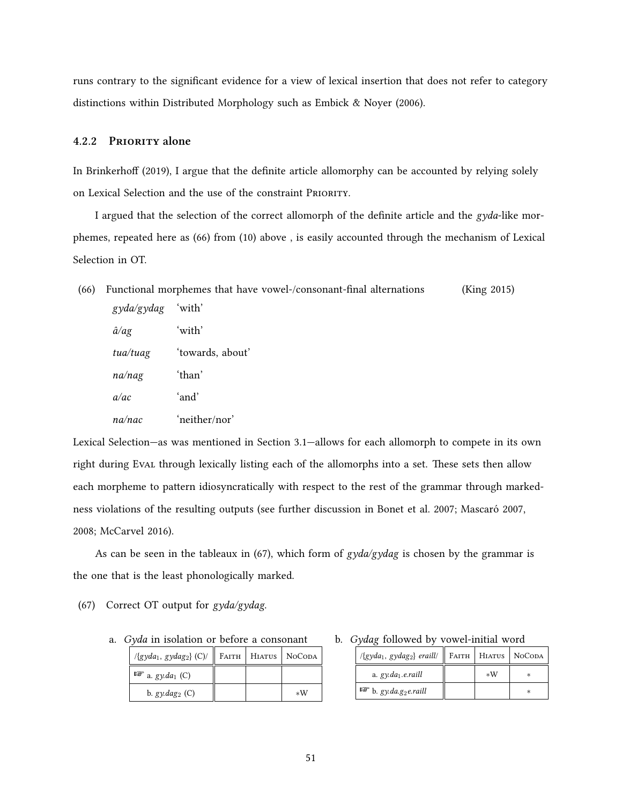runs contrary to the significant evidence for a view of lexical insertion that does not refer to category distinctions within Distributed Morphology such as [Embick & Noyer](#page-83-8) ([2006](#page-83-8)).

## <span id="page-60-0"></span>**4.2.2 PRioRity alone**

In [Brinkerhoff](#page-83-0) [\(2019\)](#page-83-0), I argue that the definite article allomorphy can be accounted by relying solely on Lexical Selection and the use of the constraint PRioRity.

I argued that the selection of the correct allomorph of the definite article and the *gyda*-like morphemes, repeated here as([66\)](#page-60-1) from([10](#page-20-0)) above , is easily accounted through the mechanism of Lexical Selection in OT.

<span id="page-60-1"></span>

| (66) |              | Functional morphemes that have vowel-/consonant-final alternations | (King 2015) |
|------|--------------|--------------------------------------------------------------------|-------------|
|      | gyda/gydag   | 'with'                                                             |             |
|      | $\hat{a}/ag$ | ʻwith'                                                             |             |
|      | tua/tuag     | 'towards, about'                                                   |             |
|      | na/nag       | ʻthan'                                                             |             |
|      | a/ac         | 'and'                                                              |             |
|      | na/nac       | 'neither/nor'                                                      |             |
|      |              |                                                                    |             |

Lexical Selection—as was mentioned in Section [3.1](#page-30-0)—allows for each allomorph to compete in its own right during Eval through lexically listing each of the allomorphs into a set. These sets then allow each morpheme to pattern idiosyncratically with respect to the rest of the grammar through markedness violations of the resulting outputs (see further discussion in [Bonet et al.](#page-83-1) [2007;](#page-83-1) [Mascaró](#page-85-0) [2007](#page-85-0), [2008](#page-85-12); [McCarvel](#page-85-13) [2016\)](#page-85-13).

As can be seen in the tableaux in [\(67](#page-60-2)), which form of *gyda/gydag* is chosen by the grammar is the one that is the least phonologically marked.

<span id="page-60-2"></span>(67) Correct OT output for *gyda/gydag*.

a. *Gyda* in isolation or before a consonant

| $\log{d}a_1$ , gydag <sub>2</sub> } (C)/    FAITH   HIATUS   NOCODA |  |    |
|---------------------------------------------------------------------|--|----|
| $\mathbb{F}$ a. gy.da <sub>1</sub> (C)                              |  |    |
| b. $gy.$ <i>dag</i> <sub>2</sub> (C)                                |  | ∗W |

b. *Gydag* followed by vowel-initial word

| $\langle \{gyda_1, gydag_2\} \text{ eraill}\rangle$ |      | FAITH   HIATUS   NOCODA |
|-----------------------------------------------------|------|-------------------------|
| a. $gyda_1.e.$ raill                                | $*W$ |                         |
| $\mathbb{F}$ b. gy.da.g <sub>2</sub> e.raill        |      |                         |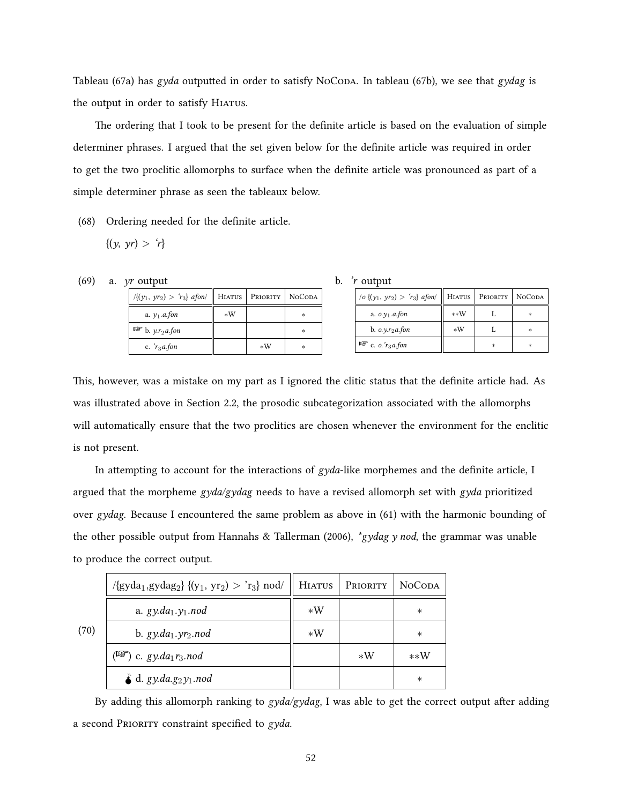Tableau([67a](#page-60-2)) has *gyda* outputted in order to satisfy NoConA. In tableau ([67b](#page-60-2)), we see that *gydag* is the output in order to satisfy HIATUS.

The ordering that I took to be present for the definite article is based on the evaluation of simple determiner phrases. I argued that the set given below for the definite article was required in order to get the two proclitic allomorphs to surface when the definite article was pronounced as part of a simple determiner phrase as seen the tableaux below.

(68) Ordering needed for the definite article.

$$
\{(y, yr) > r\}
$$

(69) a. *yr* output

| $\sqrt{(y_1, yr_2)} > r_3$ afon/              | HIATUS | PRIORITY | <b>NOCODA</b> |
|-----------------------------------------------|--------|----------|---------------|
| a. $y_1$ . <i>a.fon</i>                       | $*W$   |          | *             |
| $\mathbb{F}$ b. y.r <sub>2</sub> <i>a.fon</i> |        |          | *             |
| c. $r_3$ <i>a.fon</i>                         |        | $*W$     | *             |

| <i>r</i> output | b. |  |  |
|-----------------|----|--|--|
|-----------------|----|--|--|

| /o { $(y_1, yr_2) > r_3$ } afon/ | HIATUS | PRIORITY | <b>NOCODA</b> |
|----------------------------------|--------|----------|---------------|
| a. $0. \gamma_1$ . <i>a.fon</i>  | **W    |          | ж             |
| b. $o.y.r_2a$ fon                | $*W$   |          | ж             |
| $\mathbb{F}$ c. o. $r_3$ a.fon   |        | ×        | ж             |

This, however, was a mistake on my part as I ignored the clitic status that the definite article had. As was illustrated above in Section [2.2,](#page-19-0) the prosodic subcategorization associated with the allomorphs will automatically ensure that the two proclitics are chosen whenever the environment for the enclitic is not present.

In attempting to account for the interactions of *gyda*-like morphemes and the definite article, I argued that the morpheme *gyda/gydag* needs to have a revised allomorph set with *gyda* prioritized over *gydag*. Because I encountered the same problem as above in [\(61](#page-55-0)) with the harmonic bounding of the other possible output from [Hannahs & Tallerman](#page-84-3) ([2006](#page-84-3)), *\*gydag y nod*, the grammar was unable to produce the correct output.

|      | /{gyda <sub>1</sub> ,gydag <sub>2</sub> } {(y <sub>1</sub> , yr <sub>2</sub> ) > 'r <sub>3</sub> } nod/ | <b>HIATUS</b> | <b>PRIORITY</b> | <b>NOCODA</b> |
|------|---------------------------------------------------------------------------------------------------------|---------------|-----------------|---------------|
|      | a. $gy.da_1.y_1.nod$                                                                                    | $*W$          |                 | $\ast$        |
| (70) | b. $gy.da_1.yr_2.nod$                                                                                   | $*W$          |                 | $\ast$        |
|      | $(\mathbb{F}^2)$ c. gy.da <sub>1</sub> r <sub>3</sub> .nod                                              |               | $*W$            | $**W$         |
|      | $\ddot{\bullet}$ d. gy.da.g <sub>2</sub> y <sub>1</sub> .nod                                            |               |                 | $\ast$        |

By adding this allomorph ranking to *gyda/gydag*, I was able to get the correct output after adding a second PRioRity constraint specified to *gyda*.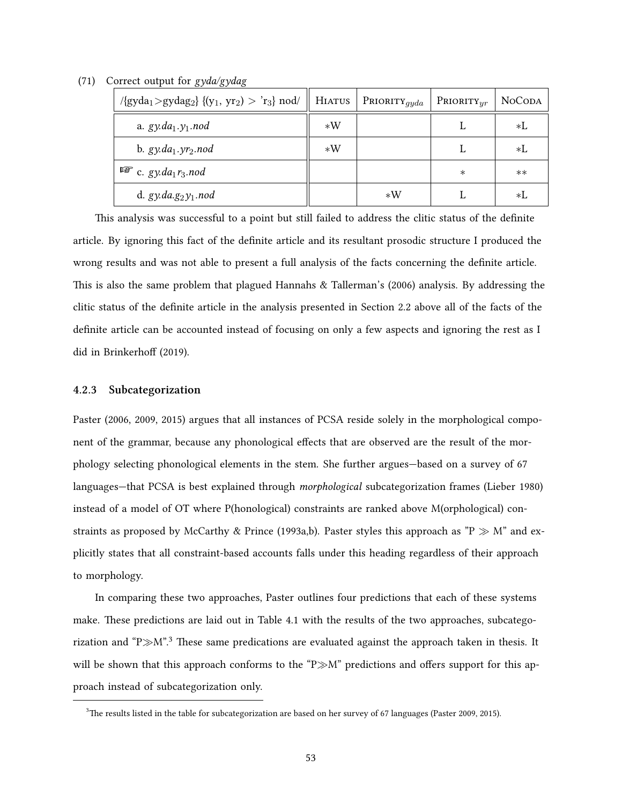| $\gamma$ {gyda <sub>1</sub> >gydag <sub>2</sub> } {(y <sub>1</sub> , yr <sub>2</sub> ) > 'r <sub>3</sub> } nod/    HIATUS   PRIORITY <sub>qyda</sub> |      |      | $P_{\rm RIORITY}_{yr}$ | <b>NOCODA</b> |
|------------------------------------------------------------------------------------------------------------------------------------------------------|------|------|------------------------|---------------|
| a. $gy.da_1.y_1.nod$                                                                                                                                 | $*W$ |      |                        | *L            |
| b. $gy.da_1.yr_2.nod$                                                                                                                                | $*W$ |      |                        | *L            |
| $\mathbb{F}$ c. gy.da <sub>1</sub> r <sub>3</sub> .nod                                                                                               |      |      | $\ast$                 | $**$          |
| d. gy.da.g $_2y_1$ .nod                                                                                                                              |      | $*W$ |                        | *L            |

(71) Correct output for *gyda/gydag*

This analysis was successful to a point but still failed to address the clitic status of the definite article. By ignoring this fact of the definite article and its resultant prosodic structure I produced the wrong results and was not able to present a full analysis of the facts concerning the definite article. This is also the same problem that plagued [Hannahs & Tallerman](#page-84-3)'s [\(2006\)](#page-84-3) analysis. By addressing the clitic status of the definite article in the analysis presented in Section [2.2](#page-19-0) above all of the facts of the definite article can be accounted instead of focusing on only a few aspects and ignoring the rest as I did in [Brinkerhoff](#page-83-0) ([2019\)](#page-83-0).

#### <span id="page-62-0"></span>**4.2.3 Subcategorization**

[Paster](#page-85-9) [\(2006,](#page-85-9) [2009](#page-85-10), [2015](#page-85-7)) argues that all instances of PCSA reside solely in the morphological component of the grammar, because any phonological effects that are observed are the result of the morphology selecting phonological elements in the stem. She further argues—based on a survey of 67 languages—that PCSA is best explained through *morphological* subcategorization frames([Lieber](#page-85-4) [1980\)](#page-85-4) instead of a model of OT where P(honological) constraints are ranked above M(orphological) constraints as proposed by [McCarthy & Prince](#page-85-5) [\(1993a,](#page-85-5)[b](#page-85-14)). [Paster](#page-85-7) styles this approach as "P *≫* M" and explicitly states that all constraint-based accounts falls under this heading regardless of their approach to morphology.

In comparing these two approaches, [Paster](#page-85-7) outlines four predictions that each of these systems make. These predictions are laid out in Table [4.1](#page-63-0) with the results of the two approaches, subcategorization and "P*≫*M".[3](#page-62-1) These same predications are evaluated against the approach taken in thesis. It will be shown that this approach conforms to the "P*≫*M" predictions and offers support for this approach instead of subcategorization only.

<span id="page-62-1"></span><sup>3</sup>The results listed in the table for subcategorization are based on her survey of 67 languages([Paster](#page-85-10) [2009](#page-85-10), [2015](#page-85-7)).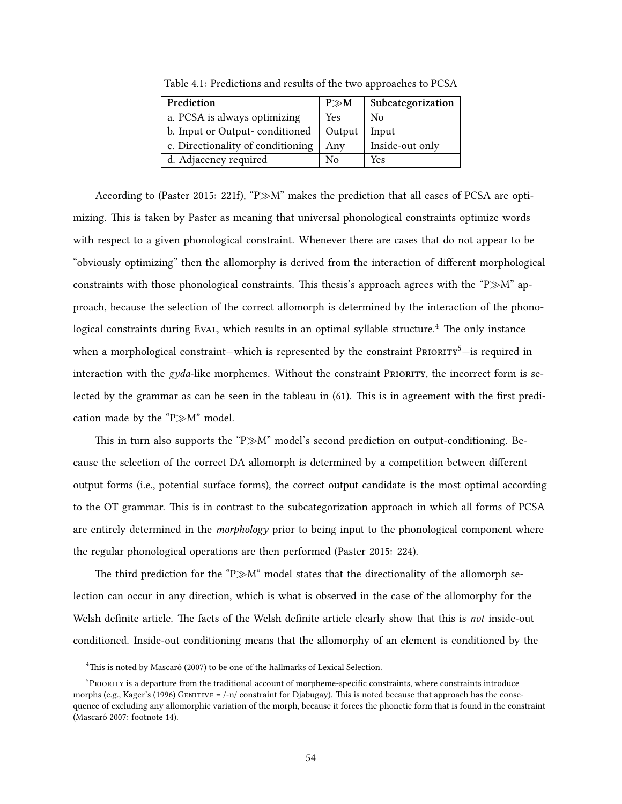| Prediction                        | $P \gg M$ | Subcategorization |
|-----------------------------------|-----------|-------------------|
| a. PCSA is always optimizing      | Yes       | No                |
| b. Input or Output-conditioned    | Output    | Input             |
| c. Directionality of conditioning | Anv       | Inside-out only   |
| d. Adjacency required             | N٥        | Yes               |

<span id="page-63-0"></span>Table 4.1: Predictions and results of the two approaches to PCSA

According to [\(Paster](#page-85-7) [2015:](#page-85-7) 221f), "P*≫*M" makes the prediction that all cases of PCSA are optimizing. This is taken by [Paster](#page-85-7) as meaning that universal phonological constraints optimize words with respect to a given phonological constraint. Whenever there are cases that do not appear to be "obviously optimizing" then the allomorphy is derived from the interaction of different morphological constraints with those phonological constraints. This thesis's approach agrees with the "P*≫*M" approach, because the selection of the correct allomorph is determined by the interaction of the phono-logical constraints during Eval, which results in an optimal syllable structure.<sup>[4](#page-63-1)</sup> The only instance when a morphological constraint—which is represented by the constraint PRIORITY<sup>[5](#page-63-2)</sup>—is required in interaction with the *gyda*-like morphemes. Without the constraint PRIORITY, the incorrect form is selected by the grammar as can be seen in the tableau in([61\)](#page-55-0). This is in agreement with the first predication made by the "P*≫*M" model.

This in turn also supports the "P*≫*M" model's second prediction on output-conditioning. Because the selection of the correct DA allomorph is determined by a competition between different output forms (i.e., potential surface forms), the correct output candidate is the most optimal according to the OT grammar. This is in contrast to the subcategorization approach in which all forms of PCSA are entirely determined in the *morphology* prior to being input to the phonological component where the regular phonological operations are then performed([Paster](#page-85-7) [2015:](#page-85-7) 224).

The third prediction for the "P*≫*M" model states that the directionality of the allomorph selection can occur in any direction, which is what is observed in the case of the allomorphy for the Welsh definite article. The facts of the Welsh definite article clearly show that this is *not* inside-out conditioned. Inside-out conditioning means that the allomorphy of an element is conditioned by the

<span id="page-63-2"></span><span id="page-63-1"></span><sup>&</sup>lt;sup>4</sup>This is noted by [Mascaró](#page-85-0) [\(2007\)](#page-85-0) to be one of the hallmarks of Lexical Selection.

 $^5$ PRIORITY is a departure from the traditional account of morpheme-specific constraints, where constraints introduce morphs (e.g., [Kager'](#page-84-9)s([1996](#page-84-9)) GENITIVE =  $\frac{1-n}{\text{constant}}$  for Djabugay). This is noted because that approach has the consequence of excluding any allomorphic variation of the morph, because it forces the phonetic form that is found in the constraint ([Mascaró](#page-85-0) [2007](#page-85-0): footnote 14).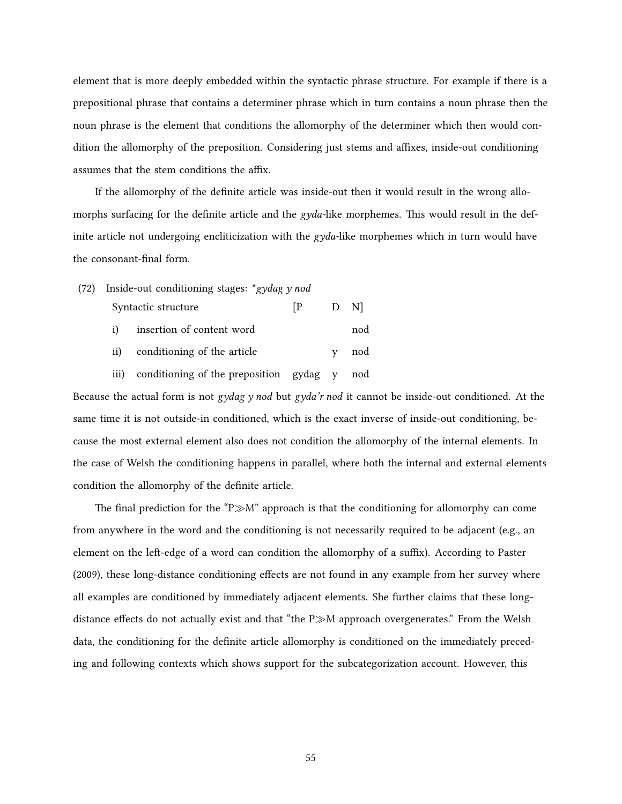element that is more deeply embedded within the syntactic phrase structure. For example if there is a prepositional phrase that contains a determiner phrase which in turn contains a noun phrase then the noun phrase is the element that conditions the allomorphy of the determiner which then would condition the allomorphy of the preposition. Considering just stems and affixes, inside-out conditioning assumes that the stem conditions the affix.

If the allomorphy of the definite article was inside-out then it would result in the wrong allomorphs surfacing for the definite article and the *gyda-*like morphemes. This would result in the definite article not undergoing encliticization with the *gyda-*like morphemes which in turn would have the consonant-final form.

- (72) Inside-out conditioning stages: \**gydag y nod*
	- Syntactic structure [P D N] i) insertion of content word nod
	- ii) conditioning of the article y nod
	- iii) conditioning of the preposition gydag y nod

Because the actual form is not *gydag y nod* but *gyda'r nod* it cannot be inside-out conditioned. At the same time it is not outside-in conditioned, which is the exact inverse of inside-out conditioning, because the most external element also does not condition the allomorphy of the internal elements. In the case of Welsh the conditioning happens in parallel, where both the internal and external elements condition the allomorphy of the definite article.

The final prediction for the "P*≫*M" approach is that the conditioning for allomorphy can come from anywhere in the word and the conditioning is not necessarily required to be adjacent (e.g., an element on the left-edge of a word can condition the allomorphy of a suffix). According to [Paster](#page-85-10) [\(2009\)](#page-85-10), these long-distance conditioning effects are not found in any example from her survey where all examples are conditioned by immediately adjacent elements. She further claims that these longdistance effects do not actually exist and that "the P*≫*M approach overgenerates." From the Welsh data, the conditioning for the definite article allomorphy is conditioned on the immediately preceding and following contexts which shows support for the subcategorization account. However, this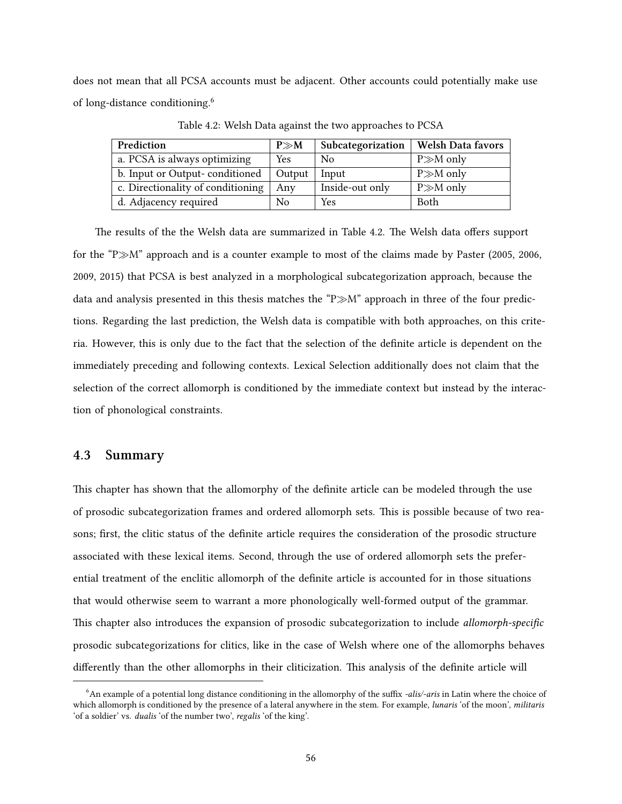does not mean that all PCSA accounts must be adjacent. Other accounts could potentially make use of long-distance conditioning.[6](#page-65-1)

| Prediction                        | $P \gg M$  | Subcategorization | <b>Welsh Data favors</b> |
|-----------------------------------|------------|-------------------|--------------------------|
| a. PCSA is always optimizing      | <b>Yes</b> | No                | $P \gg M$ only           |
| b. Input or Output-conditioned    | Output     | Input             | $P \gg M$ only           |
| c. Directionality of conditioning | Anv        | Inside-out only   | $P \gg M$ only           |
| d. Adjacency required             | No         | Yes               | <b>Both</b>              |

<span id="page-65-2"></span>Table 4.2: Welsh Data against the two approaches to PCSA

The results of the the Welsh data are summarized in Table [4.2.](#page-65-2) The Welsh data offers support for the "P*≫*M" approach and is a counter example to most of the claims made by [Paster](#page-85-8) [\(2005,](#page-85-8) [2006,](#page-85-9) [2009](#page-85-10), [2015\)](#page-85-7) that PCSA is best analyzed in a morphological subcategorization approach, because the data and analysis presented in this thesis matches the "P*≫*M" approach in three of the four predictions. Regarding the last prediction, the Welsh data is compatible with both approaches, on this criteria. However, this is only due to the fact that the selection of the definite article is dependent on the immediately preceding and following contexts. Lexical Selection additionally does not claim that the selection of the correct allomorph is conditioned by the immediate context but instead by the interaction of phonological constraints.

## <span id="page-65-0"></span>**4.3 Summary**

This chapter has shown that the allomorphy of the definite article can be modeled through the use of prosodic subcategorization frames and ordered allomorph sets. This is possible because of two reasons; first, the clitic status of the definite article requires the consideration of the prosodic structure associated with these lexical items. Second, through the use of ordered allomorph sets the preferential treatment of the enclitic allomorph of the definite article is accounted for in those situations that would otherwise seem to warrant a more phonologically well-formed output of the grammar. This chapter also introduces the expansion of prosodic subcategorization to include *allomorph-specific* prosodic subcategorizations for clitics, like in the case of Welsh where one of the allomorphs behaves differently than the other allomorphs in their cliticization. This analysis of the definite article will

<span id="page-65-1"></span><sup>6</sup>An example of a potential long distance conditioning in the allomorphy of the suffix *-alis/-aris* in Latin where the choice of which allomorph is conditioned by the presence of a lateral anywhere in the stem. For example, *lunaris* 'of the moon', *militaris* 'of a soldier' vs. *dualis* 'of the number two', *regalis* 'of the king'.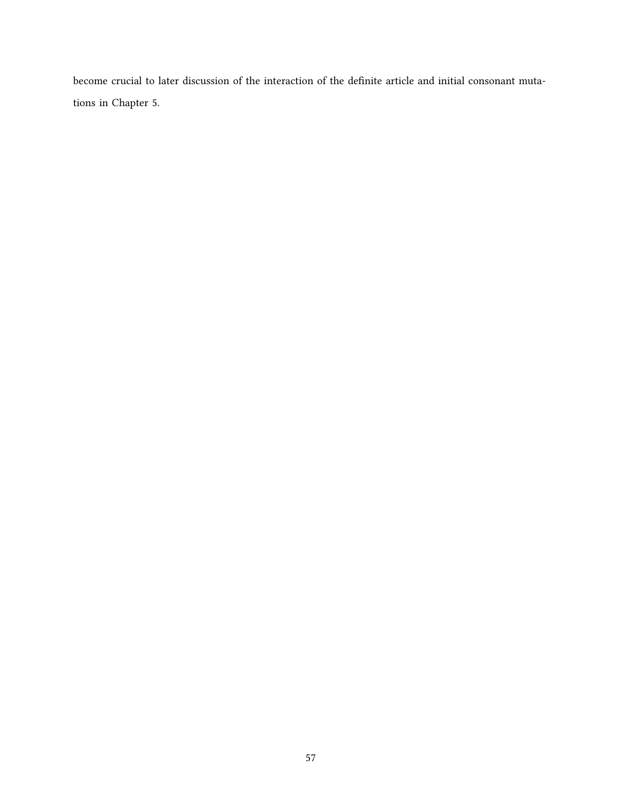become crucial to later discussion of the interaction of the definite article and initial consonant mutations in Chapter [5.](#page-67-0)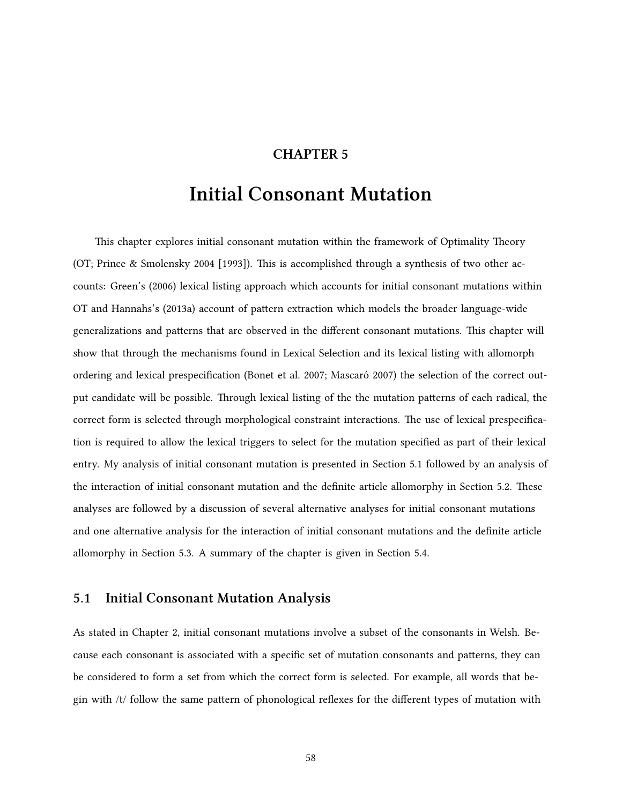## **CHAPTER 5**

# <span id="page-67-0"></span>**Initial Consonant Mutation**

This chapter explores initial consonant mutation within the framework of Optimality Theory (OT; [Prince & Smolensky](#page-86-6) [2004 \[1993\]\)](#page-86-6). This is accomplished through a synthesis of two other accounts: [Green'](#page-83-9)s([2006](#page-83-9)) lexical listing approach which accounts for initial consonant mutations within OT and [Hannahs'](#page-84-10)s([2013a](#page-84-10)) account of pattern extraction which models the broader language-wide generalizations and patterns that are observed in the different consonant mutations. This chapter will show that through the mechanisms found in Lexical Selection and its lexical listing with allomorph ordering and lexical prespecification([Bonet et al.](#page-83-1) [2007;](#page-83-1) [Mascaró](#page-85-0) [2007](#page-85-0)) the selection of the correct output candidate will be possible. Through lexical listing of the the mutation patterns of each radical, the correct form is selected through morphological constraint interactions. The use of lexical prespecification is required to allow the lexical triggers to select for the mutation specified as part of their lexical entry. My analysis of initial consonant mutation is presented in Section [5.1](#page-67-1) followed by an analysis of the interaction of initial consonant mutation and the definite article allomorphy in Section [5.2.](#page-71-0) These analyses are followed by a discussion of several alternative analyses for initial consonant mutations and one alternative analysis for the interaction of initial consonant mutations and the definite article allomorphy in Section [5.3.](#page-73-0) A summary of the chapter is given in Section [5.4](#page-80-0).

## <span id="page-67-1"></span>**5.1 Initial Consonant Mutation Analysis**

As stated in Chapter [2,](#page-12-0) initial consonant mutations involve a subset of the consonants in Welsh. Because each consonant is associated with a specific set of mutation consonants and patterns, they can be considered to form a set from which the correct form is selected. For example, all words that begin with /t/ follow the same pattern of phonological reflexes for the different types of mutation with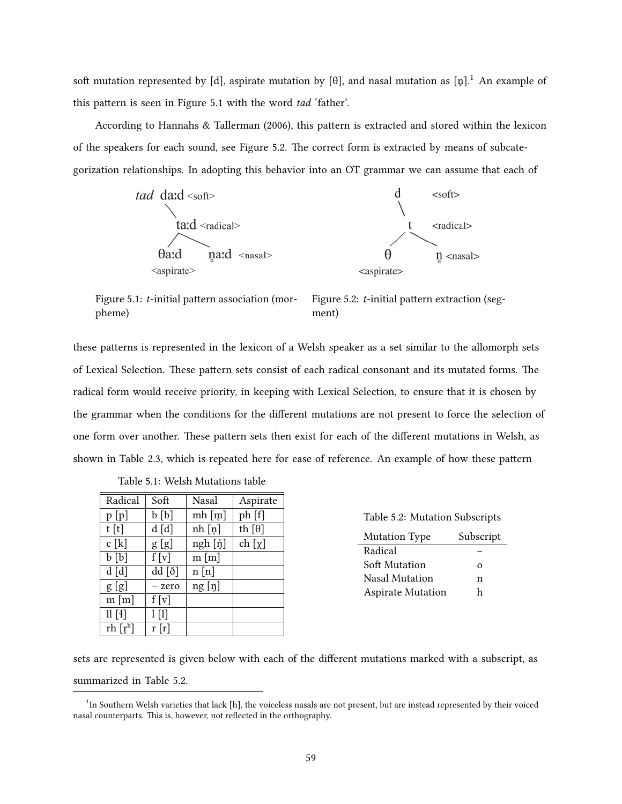soft mutation represented by [d], aspirate mutation by [ $\theta$ ], and nasal mutation as [n̥].<sup>[1](#page-68-0)</sup> An example of this pattern is seen in Figure [5.1](#page-68-1) with the word *tad* 'father'.

According to [Hannahs & Tallerman](#page-84-3) ([2006](#page-84-3)), this pattern is extracted and stored within the lexicon of the speakers for each sound, see Figure [5.2](#page-68-2). The correct form is extracted by means of subcategorization relationships. In adopting this behavior into an OT grammar we can assume that each of



<span id="page-68-1"></span>Figure 5.1: *t*-initial pattern association (morpheme) Figure 5.2: *t*-initial pattern extraction (segment)

these patterns is represented in the lexicon of a Welsh speaker as a set similar to the allomorph sets of Lexical Selection. These pattern sets consist of each radical consonant and its mutated forms. The radical form would receive priority, in keeping with Lexical Selection, to ensure that it is chosen by the grammar when the conditions for the different mutations are not present to force the selection of one form over another. These pattern sets then exist for each of the different mutations in Welsh, as shown in Table [2.3](#page-23-0), which is repeated here for ease of reference. An example of how these pattern

| Radical         | Soft    | Nasal     | Aspirate      |
|-----------------|---------|-----------|---------------|
| p[p]            | b [b]   | $m h$ [m] | ph [f]        |
| t[t]            | d [d]   | nh [n]    | th $[\theta]$ |
| c[k]            | g[g]    | ngh [ŋ̃]  | ch $[\chi]$   |
| b[b]            | f[v]    | m[m]      |               |
| d[d]            | dd [ð]  | n[n]      |               |
| g[g]            | - zero  | ng [n]    |               |
| $m \,[m]$       | f[v]    |           |               |
| $\text{ll}$ [4] | $1$ [1] |           |               |
| rh $[r^h]$      | r[r]    |           |               |

|  |  | Table 5.1: Welsh Mutations table |  |
|--|--|----------------------------------|--|
|--|--|----------------------------------|--|

<span id="page-68-3"></span><span id="page-68-2"></span>

| Table 5.2: Mutation Subscripts |           |  |  |
|--------------------------------|-----------|--|--|
| <b>Mutation Type</b>           | Subscript |  |  |
| Radical                        |           |  |  |
| Soft Mutation                  | $\Omega$  |  |  |
| Nasal Mutation                 | n         |  |  |
| <b>Aspirate Mutation</b>       | h         |  |  |

sets are represented is given below with each of the different mutations marked with a subscript, as summarized in Table [5.2.](#page-68-3)

<span id="page-68-0"></span><sup>&</sup>lt;sup>1</sup>In Southern Welsh varieties that lack [h], the voiceless nasals are not present, but are instead represented by their voiced nasal counterparts. This is, however, not reflected in the orthography.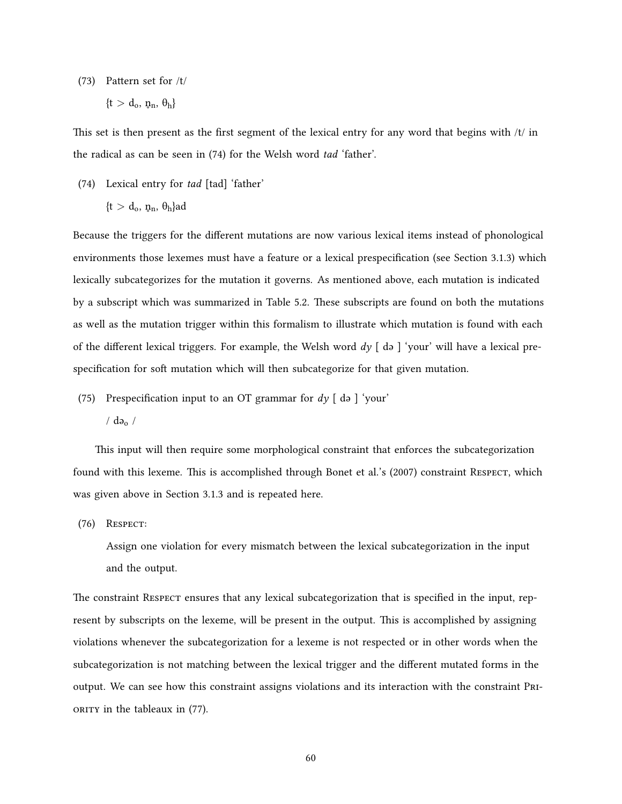(73) Pattern set for /t/

$$
\{t>d_o,\,n_n,\,\theta_h\}
$$

This set is then present as the first segment of the lexical entry for any word that begins with /t/ in the radical as can be seen in([74](#page-69-0)) for the Welsh word *tad* 'father'.

<span id="page-69-0"></span>(74) Lexical entry for *tad* [tad] 'father'

$$
\{t > d_o, \, \eta_n, \, \theta_h\} ad
$$

Because the triggers for the different mutations are now various lexical items instead of phonological environments those lexemes must have a feature or a lexical prespecification (see Section [3.1.3\)](#page-37-1) which lexically subcategorizes for the mutation it governs. As mentioned above, each mutation is indicated by a subscript which was summarized in Table [5.2](#page-68-3). These subscripts are found on both the mutations as well as the mutation trigger within this formalism to illustrate which mutation is found with each of the different lexical triggers. For example, the Welsh word  $dy \upharpoonright ds$   $\upharpoonright$  your' will have a lexical prespecification for soft mutation which will then subcategorize for that given mutation.

(75) Prespecification input to an OT grammar for *dy* [ də ] 'your'

 $/$  də $\sim$  /

This input will then require some morphological constraint that enforces the subcategorization found with this lexeme. This is accomplished through [Bonet et al.](#page-83-1)'s [\(2007](#page-83-1)) constraint RESPECT, which was given above in Section [3.1.3](#page-37-1) and is repeated here.

(76) Respect:

Assign one violation for every mismatch between the lexical subcategorization in the input and the output.

The constraint Respect ensures that any lexical subcategorization that is specified in the input, represent by subscripts on the lexeme, will be present in the output. This is accomplished by assigning violations whenever the subcategorization for a lexeme is not respected or in other words when the subcategorization is not matching between the lexical trigger and the different mutated forms in the output. We can see how this constraint assigns violations and its interaction with the constraint PRioRity in the tableaux in [\(77](#page-70-0)).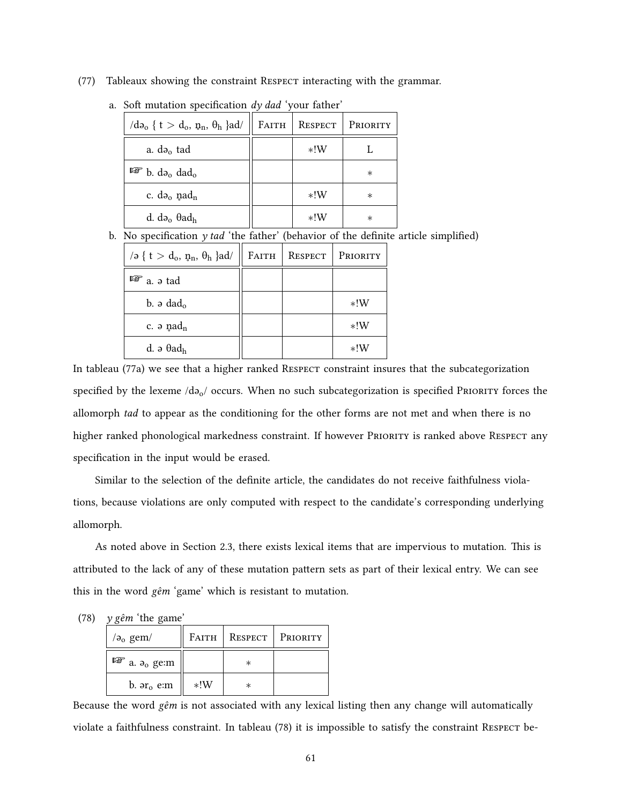<span id="page-70-0"></span>(77) Tableaux showing the constraint RESPECT interacting with the grammar.

| $\log \{ t > d_0, \eta_n, \theta_h \}$ ad/       | FAITH | RESPECT | PRIORITY |
|--------------------------------------------------|-------|---------|----------|
| a. $d_{\theta_0}$ tad                            |       | $*!W$   |          |
| $\mathbb{F}$ b. d <sub>20</sub> dad <sub>0</sub> |       |         | $^\ast$  |
| c. $d_{\theta_0}$ nad <sub>n</sub>               |       | $*!W$   | $^\ast$  |
| d. də $_{0}$ $\theta$ ad <sub>h</sub>            |       | $*!W$   | $\ast$   |

a. Soft mutation specification *dy dad* 'your father'

b. No specification *y tad* 'the father' (behavior of the definite article simplified)

| /ə { $t > d_o$ , $p_n$ , $\theta_h$ }ad/ | FAITH | RESPECT | PRIORITY |
|------------------------------------------|-------|---------|----------|
| $\mathbb{F}$ a. $\vartheta$ tad          |       |         |          |
| b. $\partial$ dad <sub>o</sub>           |       |         | $*!W$    |
| c. $\varphi$ nad <sub>n</sub>            |       |         | $*!W$    |
| d. $\partial$ $\theta$ ad <sub>h</sub>   |       |         | $*!W$    |

In tableau [\(77](#page-70-0)a) we see that a higher ranked RESPECT constraint insures that the subcategorization specified by the lexeme  $/d_{\theta_0}/$  occurs. When no such subcategorization is specified PRIORITY forces the allomorph *tad* to appear as the conditioning for the other forms are not met and when there is no higher ranked phonological markedness constraint. If however PRIORITY is ranked above RESPECT any specification in the input would be erased.

Similar to the selection of the definite article, the candidates do not receive faithfulness violations, because violations are only computed with respect to the candidate's corresponding underlying allomorph.

As noted above in Section [2.3](#page-22-0), there exists lexical items that are impervious to mutation. This is attributed to the lack of any of these mutation pattern sets as part of their lexical entry. We can see this in the word *gêm* 'game' which is resistant to mutation.

<span id="page-70-1"></span>(78) *y gêm* 'the game'

| $\sigma$ <sub>o</sub> gem/ | FATTH |         | RESPECT PRIORITY |
|----------------------------|-------|---------|------------------|
| $\mathbb{F}$ a. $a_0$ ge:m |       | $^\ast$ |                  |
| b. $ar_0$ e:m              | $*!W$ | ж       |                  |

Because the word *gêm* is not associated with any lexical listing then any change will automatically violate a faithfulness constraint. In tableau [\(78](#page-70-1)) it is impossible to satisfy the constraint Respect be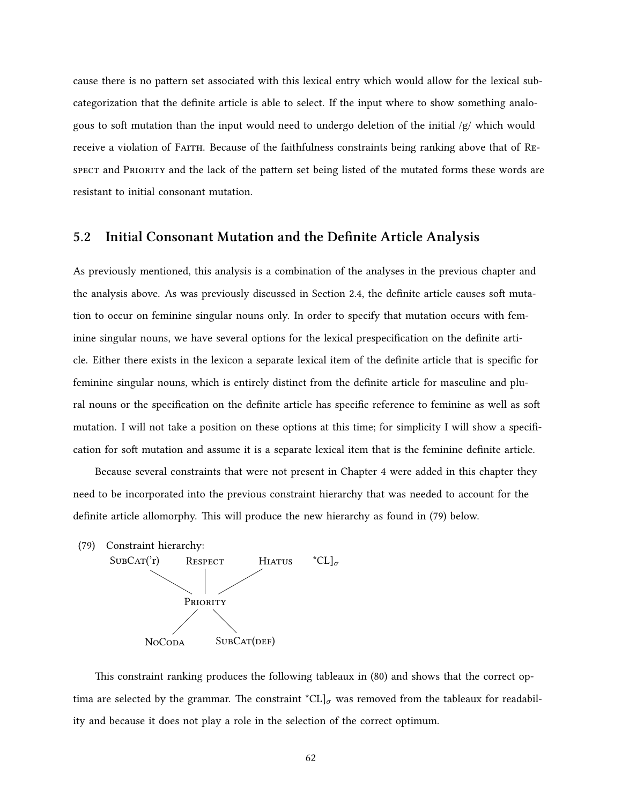cause there is no pattern set associated with this lexical entry which would allow for the lexical subcategorization that the definite article is able to select. If the input where to show something analogous to soft mutation than the input would need to undergo deletion of the initial /g/ which would receive a violation of FAITH. Because of the faithfulness constraints being ranking above that of REspect and PRioRity and the lack of the pattern set being listed of the mutated forms these words are resistant to initial consonant mutation.

## <span id="page-71-0"></span>**5.2 Initial Consonant Mutation and the Definite Article Analysis**

As previously mentioned, this analysis is a combination of the analyses in the previous chapter and the analysis above. As was previously discussed in Section [2.4](#page-27-0), the definite article causes soft mutation to occur on feminine singular nouns only. In order to specify that mutation occurs with feminine singular nouns, we have several options for the lexical prespecification on the definite article. Either there exists in the lexicon a separate lexical item of the definite article that is specific for feminine singular nouns, which is entirely distinct from the definite article for masculine and plural nouns or the specification on the definite article has specific reference to feminine as well as soft mutation. I will not take a position on these options at this time; for simplicity I will show a specification for soft mutation and assume it is a separate lexical item that is the feminine definite article.

Because several constraints that were not present in Chapter [4](#page-47-1) were added in this chapter they need to be incorporated into the previous constraint hierarchy that was needed to account for the definite article allomorphy. This will produce the new hierarchy as found in [\(79\)](#page-71-1) below.

<span id="page-71-1"></span>

This constraint ranking produces the following tableaux in [\(80](#page-72-0)) and shows that the correct optima are selected by the grammar. The constraint  ${}^{\star}CL$ ]<sub>*σ*</sub> was removed from the tableaux for readability and because it does not play a role in the selection of the correct optimum.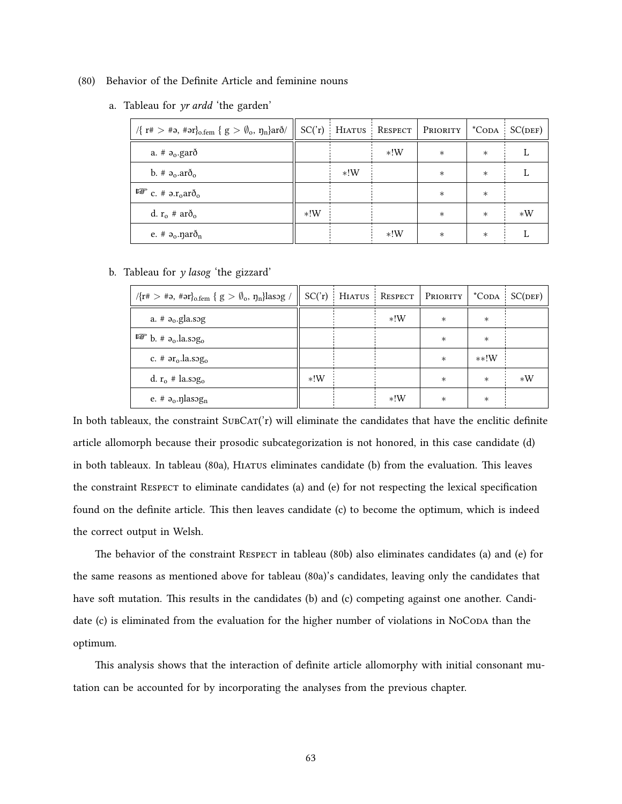- <span id="page-72-0"></span>(80) Behavior of the Definite Article and feminine nouns
	- a. Tableau for *yr ardd* 'the garden'

| $\sqrt{\{r^* > *a, *ar\}}$ <sub>0.fem</sub> $\{g > \emptyset_o, \eta_n\}$ arð/ |       |       |       | $SC('r)$ HIATUS RESPECT PRIORITY |        | $^*$ CODA $SC(DEF)$ |
|--------------------------------------------------------------------------------|-------|-------|-------|----------------------------------|--------|---------------------|
| a. # $a_0$ .garð                                                               |       |       | $*!W$ | $\ast$                           | $\ast$ |                     |
| b. # $a_0$ . $ar\delta_0$                                                      |       | $*!W$ |       | $\ast$                           | $\ast$ |                     |
| $\mathbb{F}$ c. # $\partial \cdot r_0$ arð <sub>o</sub>                        |       |       |       | $\ast$                           | $\ast$ |                     |
| d. $r_o \# ar\delta_o$                                                         | $*!W$ |       |       | $\ast$                           | $\ast$ | $*W$                |
| e. # $a_0$ . nar $\delta_n$                                                    |       |       | $*!W$ | $\ast$                           | $\ast$ |                     |

b. Tableau for *y lasog* 'the gizzard'

| $\sqrt{\{r^*} > \#a, \#ar\}_{o. \text{fem}} \{ g > \emptyset_o, \eta_n \}$ lasog / |       |       | $SC('r)$ HIATUS RESPECT PRIORITY |        | $^*$ CODA $SC(DEF)$ |
|------------------------------------------------------------------------------------|-------|-------|----------------------------------|--------|---------------------|
| a. $#a_0$ .gla.sog                                                                 |       | $*!W$ | $\ast$                           | $\ast$ |                     |
| $\mathbb{F}$ b. # $a_0$ .la.sog <sub>o</sub>                                       |       |       | $\ast$                           | $\ast$ |                     |
| c. # $ar_0$ . la.sog <sub>o</sub>                                                  |       |       | $\ast$                           | $**!W$ |                     |
| d. $r_o \#$ la.sog <sub>o</sub>                                                    | $*!W$ |       | $\ast$                           | $\ast$ | $*W$                |
| e. # $a_0$ . nasog <sub>n</sub>                                                    |       | $*!W$ | $\ast$                           | $\ast$ |                     |

In both tableaux, the constraint  $SUBCAT('r)$  will eliminate the candidates that have the enclitic definite article allomorph because their prosodic subcategorization is not honored, in this case candidate (d) in both tableaux. In tableau [\(80](#page-72-0)a), Hiatus eliminates candidate (b) from the evaluation. This leaves the constraint Respect to eliminate candidates (a) and (e) for not respecting the lexical specification found on the definite article. This then leaves candidate (c) to become the optimum, which is indeed the correct output in Welsh.

The behavior of the constraint RESPECT in tableau [\(80](#page-72-0)b) also eliminates candidates (a) and (e) for the same reasons as mentioned above for tableau [\(80](#page-72-0)a)'s candidates, leaving only the candidates that have soft mutation. This results in the candidates (b) and (c) competing against one another. Candidate (c) is eliminated from the evaluation for the higher number of violations in NoCoda than the optimum.

This analysis shows that the interaction of definite article allomorphy with initial consonant mutation can be accounted for by incorporating the analyses from the previous chapter.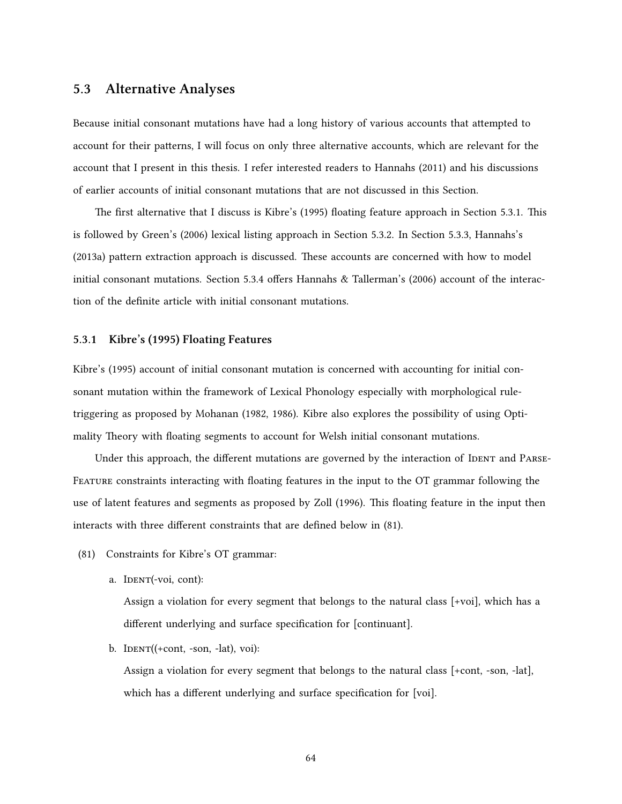## **5.3 Alternative Analyses**

Because initial consonant mutations have had a long history of various accounts that attempted to account for their patterns, I will focus on only three alternative accounts, which are relevant for the account that I present in this thesis. I refer interested readers to [Hannahs](#page-84-0) ([2011](#page-84-0)) and his discussions of earlier accounts of initial consonant mutations that are not discussed in this Section.

The first alternative that I discuss is [Kibre](#page-84-1)'s [\(1995](#page-84-1)) floating feature approach in Section [5.3.1.](#page-73-0) This is followed by [Green'](#page-83-0)s([2006](#page-83-0)) lexical listing approach in Section [5.3.2.](#page-75-0) In Section [5.3.3,](#page-77-0) [Hannahs'](#page-84-2)s [\(2013a\)](#page-84-2) pattern extraction approach is discussed. These accounts are concerned with how to model initial consonant mutations. Section [5.3.4](#page-78-0) offers [Hannahs & Tallerman](#page-84-3)'s [\(2006](#page-84-3)) account of the interaction of the definite article with initial consonant mutations.

#### <span id="page-73-0"></span>**5.3.1 [Kibre'](#page-84-1)s([1995](#page-84-1)) Floating Features**

[Kibre](#page-84-1)'s [\(1995](#page-84-1)) account of initial consonant mutation is concerned with accounting for initial consonant mutation within the framework of Lexical Phonology especially with morphological ruletriggering as proposed by [Mohanan](#page-85-0) ([1982,](#page-85-0) [1986](#page-85-1)). [Kibre](#page-84-1) also explores the possibility of using Optimality Theory with floating segments to account for Welsh initial consonant mutations.

Under this approach, the different mutations are governed by the interaction of IDENT and PARSE-FEATURE constraints interacting with floating features in the input to the OT grammar following the use of latent features and segments as proposed by [Zoll](#page-87-0) ([1996](#page-87-0)). This floating feature in the input then interacts with three different constraints that are defined below in [\(81](#page-73-1)).

- <span id="page-73-1"></span>(81) Constraints for Kibre's OT grammar:
	- a. IDENT(-voi, cont):

Assign a violation for every segment that belongs to the natural class [+voi], which has a different underlying and surface specification for [continuant].

b.  $IDENT((+cont, -son, -lat), void):$ 

Assign a violation for every segment that belongs to the natural class [+cont, -son, -lat], which has a different underlying and surface specification for [voi].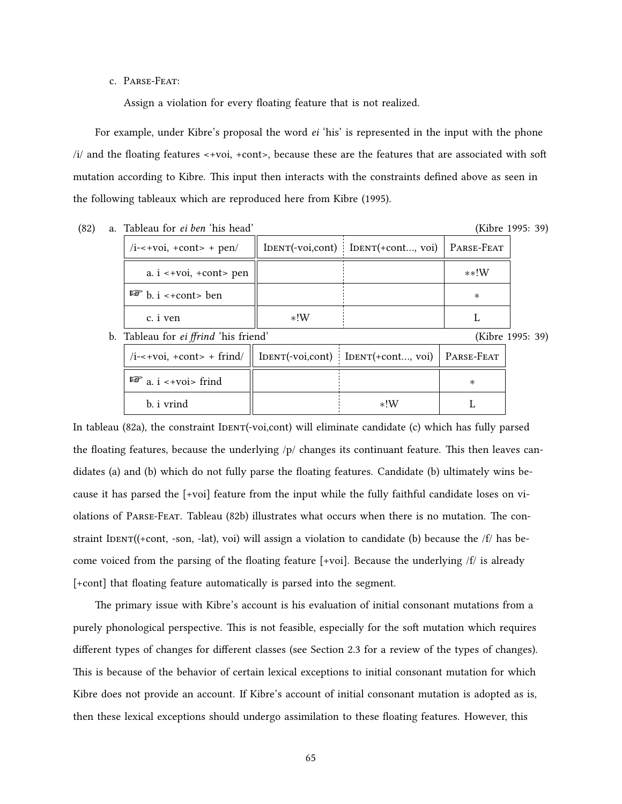c. PaRse-Feat:

Assign a violation for every floating feature that is not realized.

For example, under [Kibre](#page-84-1)'s proposal the word *ei* 'his' is represented in the input with the phone /i/ and the floating features <+voi, +cont>, because these are the features that are associated with soft mutation according to Kibre. This input then interacts with the constraints defined above as seen in the following tableaux which are reproduced here from [Kibre](#page-84-1) [\(1995\)](#page-84-1).

<span id="page-74-0"></span>

| (82) | a. Tableau for <i>ei ben</i> 'his hea |  |  |
|------|---------------------------------------|--|--|
|      |                                       |  |  |

d' [\(Kibre](#page-84-1) [1995](#page-84-1): 39)

| $/i$ -<+voi, +cont> + pen/       |       | IDENT(-voi,cont)   IDENT(+cont, voi)   PARSE-FEAT |        |
|----------------------------------|-------|---------------------------------------------------|--------|
| a. $i \leq voi$ , $+cont$ pen    |       |                                                   | $**!W$ |
| $\mathbb{R}$ b. i < + cont > ben |       |                                                   | ∗      |
| c. <i>i</i> ven                  | $*!W$ |                                                   |        |

<span id="page-74-1"></span>b. Tableau for *ei ffrind* 'his friend' [\(Kibre](#page-84-1) [1995](#page-84-1): 39)

| /i-<+voi, +cont> + frind/    IDENT(-voi,cont)   IDENT(+cont, voi)   PARSE-FEAT |       |  |
|--------------------------------------------------------------------------------|-------|--|
| $\mathbb{F}$ a. i <+voi> frind                                                 |       |  |
| b. <i>i</i> vrind                                                              | $*!W$ |  |

In tableau [\(82a](#page-74-0)), the constraint IDENT(-voi,cont) will eliminate candidate (c) which has fully parsed the floating features, because the underlying /p/ changes its continuant feature. This then leaves candidates (a) and (b) which do not fully parse the floating features. Candidate (b) ultimately wins because it has parsed the [+voi] feature from the input while the fully faithful candidate loses on violations of PaRse-Feat. Tableau([82b](#page-74-1)) illustrates what occurs when there is no mutation. The constraint IDENT((+cont, -son, -lat), voi) will assign a violation to candidate (b) because the  $/f$  has become voiced from the parsing of the floating feature  $[+voi]$ . Because the underlying /f/ is already [+cont] that floating feature automatically is parsed into the segment.

The primary issue with [Kibre](#page-84-1)'s account is his evaluation of initial consonant mutations from a purely phonological perspective. This is not feasible, especially for the soft mutation which requires different types of changes for different classes (see Section [2.3](#page-22-0) for a review of the types of changes). This is because of the behavior of certain lexical exceptions to initial consonant mutation for which [Kibre](#page-84-1) does not provide an account. If [Kibre](#page-84-1)'s account of initial consonant mutation is adopted as is, then these lexical exceptions should undergo assimilation to these floating features. However, this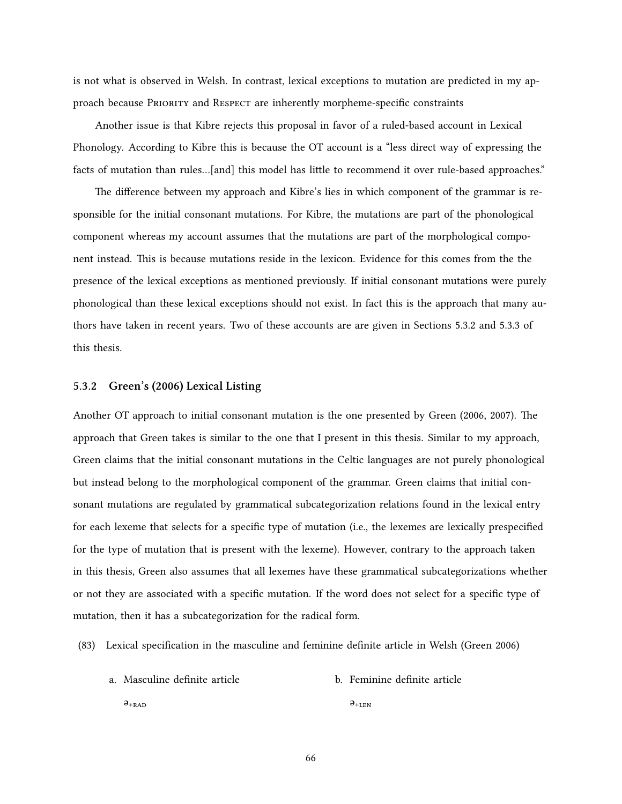is not what is observed in Welsh. In contrast, lexical exceptions to mutation are predicted in my approach because PRioRity and Respect are inherently morpheme-specific constraints

Another issue is that Kibre rejects this proposal in favor of a ruled-based account in Lexical Phonology. According to Kibre this is because the OT account is a "less direct way of expressing the facts of mutation than rules…[and] this model has little to recommend it over rule-based approaches."

The difference between my approach and Kibre's lies in which component of the grammar is responsible for the initial consonant mutations. For Kibre, the mutations are part of the phonological component whereas my account assumes that the mutations are part of the morphological component instead. This is because mutations reside in the lexicon. Evidence for this comes from the the presence of the lexical exceptions as mentioned previously. If initial consonant mutations were purely phonological than these lexical exceptions should not exist. In fact this is the approach that many authors have taken in recent years. Two of these accounts are are given in Sections [5.3.2](#page-75-0) and [5.3.3](#page-77-0) of this thesis.

#### <span id="page-75-0"></span>**5.3.2 [Green'](#page-83-0)s [\(2006\)](#page-83-0) Lexical Listing**

Another OT approach to initial consonant mutation is the one presented by [Green](#page-83-0) [\(2006,](#page-83-0) [2007\)](#page-83-1). The approach that Green takes is similar to the one that I present in this thesis. Similar to my approach, [Green](#page-83-0) claims that the initial consonant mutations in the Celtic languages are not purely phonological but instead belong to the morphological component of the grammar. Green claims that initial consonant mutations are regulated by grammatical subcategorization relations found in the lexical entry for each lexeme that selects for a specific type of mutation (i.e., the lexemes are lexically prespecified for the type of mutation that is present with the lexeme). However, contrary to the approach taken in this thesis, [Green](#page-83-0) also assumes that all lexemes have these grammatical subcategorizations whether or not they are associated with a specific mutation. If the word does not select for a specific type of mutation, then it has a subcategorization for the radical form.

(83) Lexical specification in the masculine and feminine definite article in Welsh [\(Green](#page-83-0) [2006](#page-83-0))

| a. Masculine definite article | b. Feminine definite article |
|-------------------------------|------------------------------|
|                               |                              |

 $\vartheta_{+RAD}$ 

 $\vartheta_{\rm +LEN}$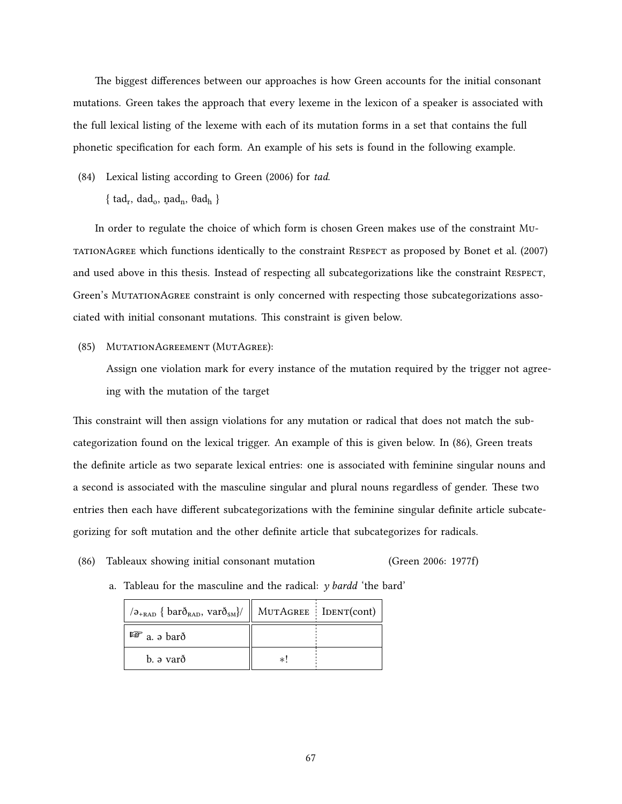The biggest differences between our approaches is how Green accounts for the initial consonant mutations. Green takes the approach that every lexeme in the lexicon of a speaker is associated with the full lexical listing of the lexeme with each of its mutation forms in a set that contains the full phonetic specification for each form. An example of his sets is found in the following example.

- (84) Lexical listing according to [Green](#page-83-0) [\(2006](#page-83-0)) for *tad*.
	- $\{ \text{ tad}_r, \text{ dad}_o, \text{ pad}_n, \text{Bad}_h \}$

In order to regulate the choice of which form is chosen [Green](#page-83-0) makes use of the constraint MutationAgRee which functions identically to the constraint Respect as proposed by [Bonet et al.](#page-83-2) ([2007](#page-83-2)) and used above in this thesis. Instead of respecting all subcategorizations like the constraint Respect, [Green](#page-83-0)'s MutationAgRee constraint is only concerned with respecting those subcategorizations associated with initial consonant mutations. This constraint is given below.

#### (85) MutationAgReement (MutAgRee):

Assign one violation mark for every instance of the mutation required by the trigger not agreeing with the mutation of the target

This constraint will then assign violations for any mutation or radical that does not match the subcategorization found on the lexical trigger. An example of this is given below. In [\(86](#page-76-0)), Green treats the definite article as two separate lexical entries: one is associated with feminine singular nouns and a second is associated with the masculine singular and plural nouns regardless of gender. These two entries then each have different subcategorizations with the feminine singular definite article subcategorizing for soft mutation and the other definite article that subcategorizes for radicals.

- <span id="page-76-0"></span>(86) Tableaux showing initial consonant mutation ([Green](#page-83-0) [2006](#page-83-0): 1977f)
	- a. Tableau for the masculine and the radical:  $y$  bardd 'the bard'

| $\langle \sigma_{\text{+RAD}} \{ \text{bar} \delta_{\text{RAD}} \}$ , var $\delta_{\text{SM}} \rangle /    \text{MUTAGREE} \}$ [DENT(cont) |  |
|--------------------------------------------------------------------------------------------------------------------------------------------|--|
| $\mathbb{F}$ a. a barð                                                                                                                     |  |
| b. ə varð                                                                                                                                  |  |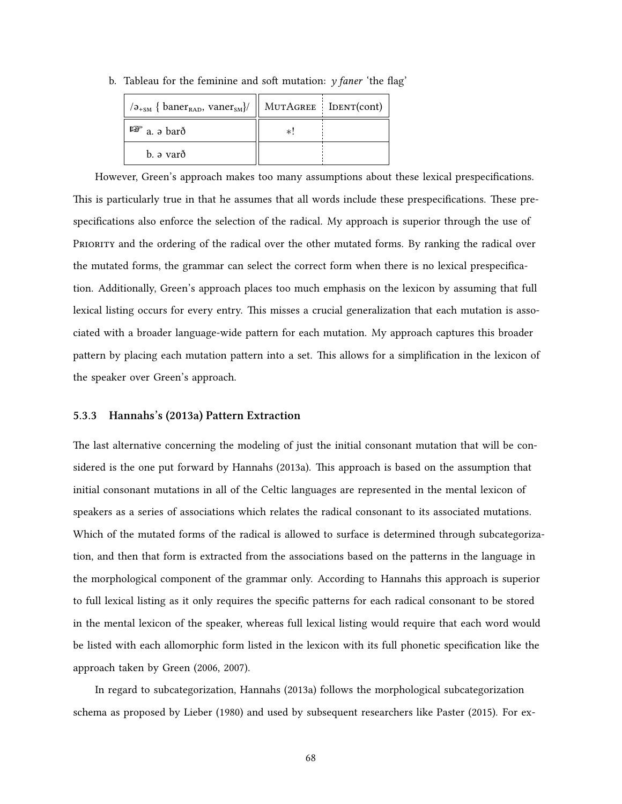| $\lambda_{\rm 45M}$ { baner <sub>RAD</sub> , vaner <sub>SM</sub> }/ | $\parallel$ MUTAGREE $\parallel$ IDENT(cont) |  |
|---------------------------------------------------------------------|----------------------------------------------|--|
| $\mathbb{F}$ a. a barð                                              | *!                                           |  |
| b. ə varð                                                           |                                              |  |

b. Tableau for the feminine and soft mutation: *y faner* 'the flag'

However, Green's approach makes too many assumptions about these lexical prespecifications. This is particularly true in that he assumes that all words include these prespecifications. These prespecifications also enforce the selection of the radical. My approach is superior through the use of PRioRity and the ordering of the radical over the other mutated forms. By ranking the radical over the mutated forms, the grammar can select the correct form when there is no lexical prespecification. Additionally, Green's approach places too much emphasis on the lexicon by assuming that full lexical listing occurs for every entry. This misses a crucial generalization that each mutation is associated with a broader language-wide pattern for each mutation. My approach captures this broader pattern by placing each mutation pattern into a set. This allows for a simplification in the lexicon of the speaker over [Green](#page-83-0)'s approach.

#### <span id="page-77-0"></span>**5.3.3 [Hannahs](#page-84-2)'s([2013a](#page-84-2)) Pattern Extraction**

The last alternative concerning the modeling of just the initial consonant mutation that will be considered is the one put forward by [Hannahs](#page-84-2) ([2013a\)](#page-84-2). This approach is based on the assumption that initial consonant mutations in all of the Celtic languages are represented in the mental lexicon of speakers as a series of associations which relates the radical consonant to its associated mutations. Which of the mutated forms of the radical is allowed to surface is determined through subcategorization, and then that form is extracted from the associations based on the patterns in the language in the morphological component of the grammar only. According to [Hannahs](#page-84-2) this approach is superior to full lexical listing as it only requires the specific patterns for each radical consonant to be stored in the mental lexicon of the speaker, whereas full lexical listing would require that each word would be listed with each allomorphic form listed in the lexicon with its full phonetic specification like the approach taken by [Green](#page-83-0) [\(2006](#page-83-0), [2007\)](#page-83-1).

In regard to subcategorization, [Hannahs](#page-84-2) [\(2013a](#page-84-2)) follows the morphological subcategorization schema as proposed by [Lieber](#page-85-2) [\(1980](#page-85-2)) and used by subsequent researchers like [Paster](#page-85-3) [\(2015\)](#page-85-3). For ex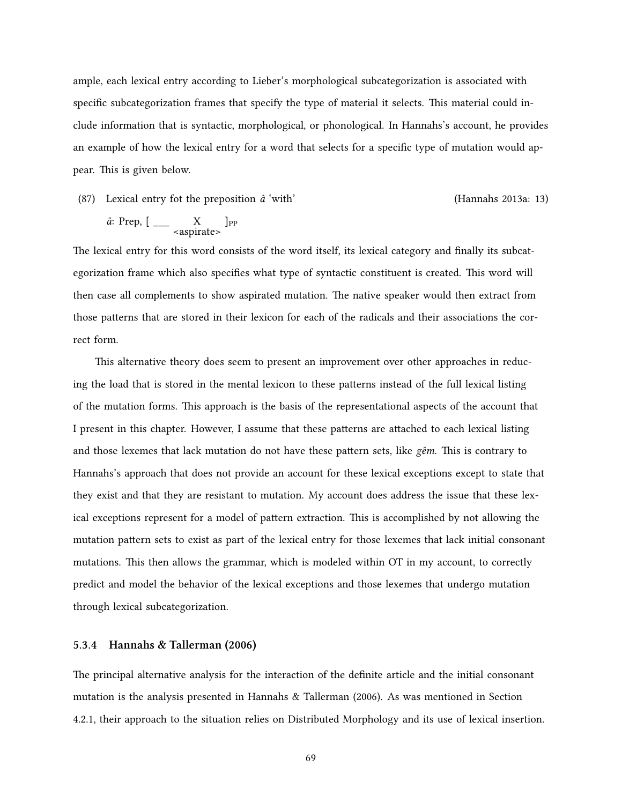ample, each lexical entry according to [Lieber'](#page-85-2)s morphological subcategorization is associated with specific subcategorization frames that specify the type of material it selects. This material could include information that is syntactic, morphological, or phonological. In [Hannahs'](#page-84-2)s account, he provides an example of how the lexical entry for a word that selects for a specific type of mutation would appear. This is given below.

(87) Lexical entry fot the preposition *â* 'with' ([Hannahs](#page-84-2) [2013a](#page-84-2): 13)

$$
\hat{a}: \text{Prep, } [\_\_\_\_\_ \text{capirate>} ]_{\text{PP}}
$$

The lexical entry for this word consists of the word itself, its lexical category and finally its subcategorization frame which also specifies what type of syntactic constituent is created. This word will then case all complements to show aspirated mutation. The native speaker would then extract from those patterns that are stored in their lexicon for each of the radicals and their associations the correct form.

This alternative theory does seem to present an improvement over other approaches in reducing the load that is stored in the mental lexicon to these patterns instead of the full lexical listing of the mutation forms. This approach is the basis of the representational aspects of the account that I present in this chapter. However, I assume that these patterns are attached to each lexical listing and those lexemes that lack mutation do not have these pattern sets, like *gêm*. This is contrary to Hannahs's approach that does not provide an account for these lexical exceptions except to state that they exist and that they are resistant to mutation. My account does address the issue that these lexical exceptions represent for a model of pattern extraction. This is accomplished by not allowing the mutation pattern sets to exist as part of the lexical entry for those lexemes that lack initial consonant mutations. This then allows the grammar, which is modeled within OT in my account, to correctly predict and model the behavior of the lexical exceptions and those lexemes that undergo mutation through lexical subcategorization.

#### <span id="page-78-0"></span>**5.3.4 [Hannahs & Tallerman](#page-84-3) [\(2006\)](#page-84-3)**

The principal alternative analysis for the interaction of the definite article and the initial consonant mutation is the analysis presented in [Hannahs & Tallerman](#page-84-3) ([2006](#page-84-3)). As was mentioned in Section [4.2.1](#page-57-0), their approach to the situation relies on Distributed Morphology and its use of lexical insertion.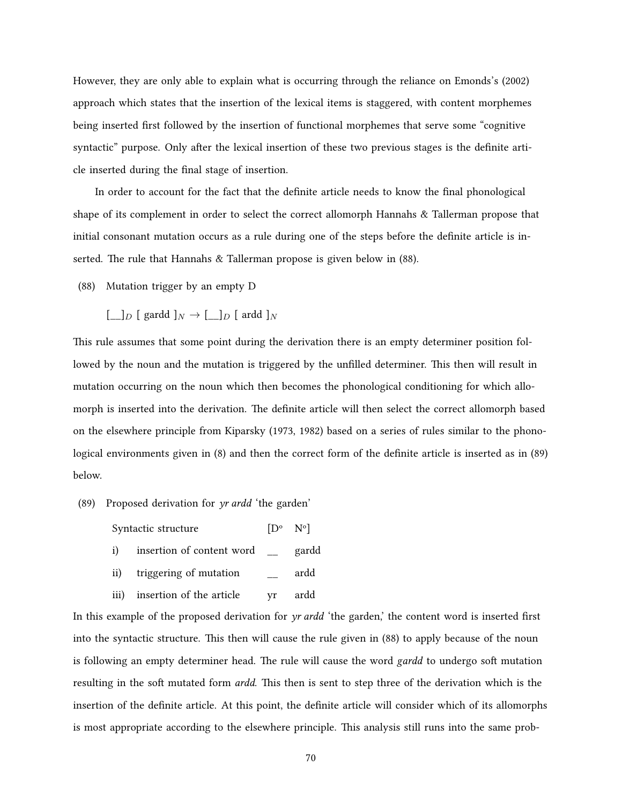However, they are only able to explain what is occurring through the reliance on [Emonds'](#page-83-3)s([2002\)](#page-83-3) approach which states that the insertion of the lexical items is staggered, with content morphemes being inserted first followed by the insertion of functional morphemes that serve some "cognitive syntactic" purpose. Only after the lexical insertion of these two previous stages is the definite article inserted during the final stage of insertion.

In order to account for the fact that the definite article needs to know the final phonological shape of its complement in order to select the correct allomorph [Hannahs & Tallerman](#page-84-3) propose that initial consonant mutation occurs as a rule during one of the steps before the definite article is inserted. The rule that [Hannahs & Tallerman](#page-84-3) propose is given below in([88\)](#page-79-0).

- <span id="page-79-0"></span>(88) Mutation trigger by an empty D
	- $[\_]D$  [ gardd  $]N \to [\_]D$  [ ardd  $]N$

This rule assumes that some point during the derivation there is an empty determiner position followed by the noun and the mutation is triggered by the unfilled determiner. This then will result in mutation occurring on the noun which then becomes the phonological conditioning for which allomorph is inserted into the derivation. The definite article will then select the correct allomorph based on the elsewhere principle from [Kiparsky](#page-84-4) [\(1973,](#page-84-4) [1982\)](#page-85-4) based on a series of rules similar to the phonological environments given in [\(8](#page-19-0)) and then the correct form of the definite article is inserted as in [\(89](#page-79-1)) below.

- <span id="page-79-1"></span>(89) Proposed derivation for *yr ardd* 'the garden'
	- Syntactic structure  $[D^{\circ} N^{\circ}]$ i) insertion of content word \_\_ gardd ii) triggering of mutation \_\_ ardd
	- iii) insertion of the article yr ardd

In this example of the proposed derivation for *yr ardd* 'the garden,' the content word is inserted first into the syntactic structure. This then will cause the rule given in([88\)](#page-79-0) to apply because of the noun is following an empty determiner head. The rule will cause the word *gardd* to undergo soft mutation resulting in the soft mutated form *ardd*. This then is sent to step three of the derivation which is the insertion of the definite article. At this point, the definite article will consider which of its allomorphs is most appropriate according to the elsewhere principle. This analysis still runs into the same prob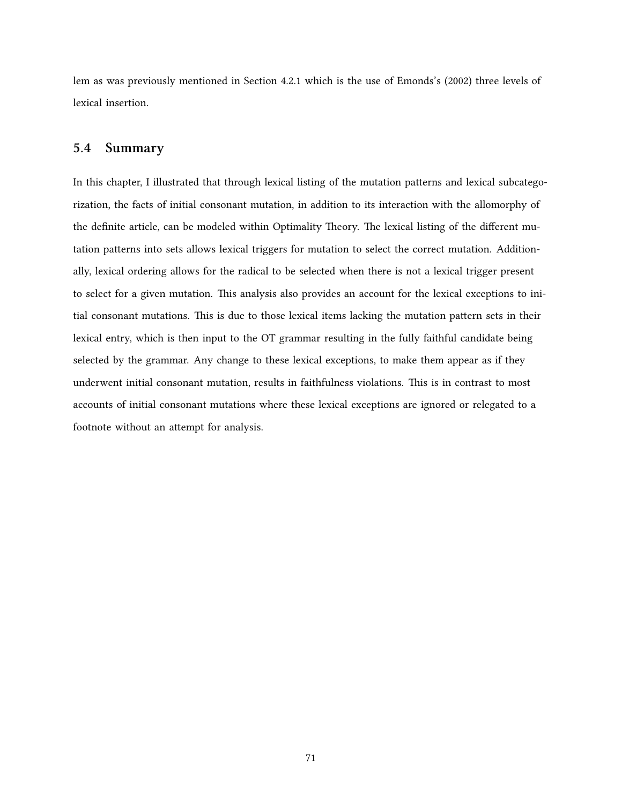lem as was previously mentioned in Section [4.2.1](#page-57-0) which is the use of [Emonds'](#page-83-3)s [\(2002](#page-83-3)) three levels of lexical insertion.

### **5.4 Summary**

In this chapter, I illustrated that through lexical listing of the mutation patterns and lexical subcategorization, the facts of initial consonant mutation, in addition to its interaction with the allomorphy of the definite article, can be modeled within Optimality Theory. The lexical listing of the different mutation patterns into sets allows lexical triggers for mutation to select the correct mutation. Additionally, lexical ordering allows for the radical to be selected when there is not a lexical trigger present to select for a given mutation. This analysis also provides an account for the lexical exceptions to initial consonant mutations. This is due to those lexical items lacking the mutation pattern sets in their lexical entry, which is then input to the OT grammar resulting in the fully faithful candidate being selected by the grammar. Any change to these lexical exceptions, to make them appear as if they underwent initial consonant mutation, results in faithfulness violations. This is in contrast to most accounts of initial consonant mutations where these lexical exceptions are ignored or relegated to a footnote without an attempt for analysis.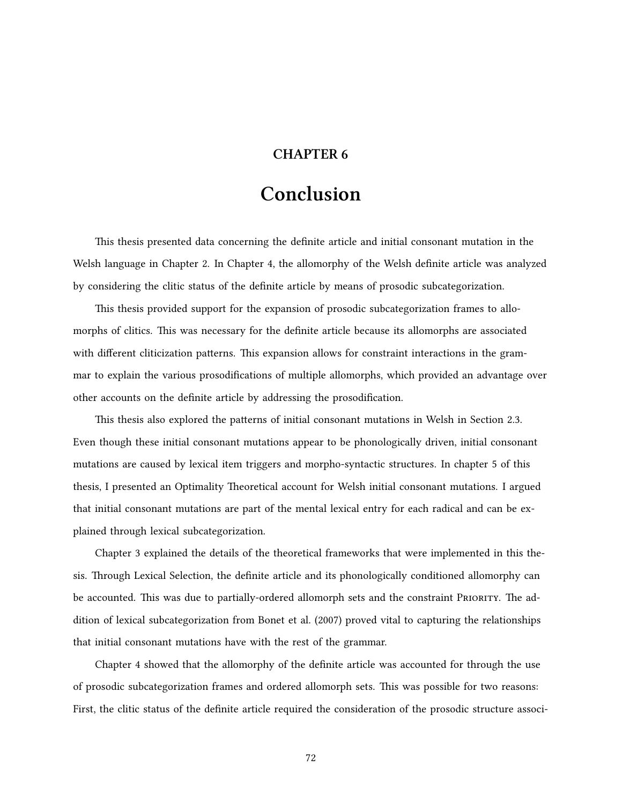# **CHAPTER 6**

# **Conclusion**

This thesis presented data concerning the definite article and initial consonant mutation in the Welsh language in Chapter [2](#page-12-0). In Chapter [4,](#page-47-0) the allomorphy of the Welsh definite article was analyzed by considering the clitic status of the definite article by means of prosodic subcategorization.

This thesis provided support for the expansion of prosodic subcategorization frames to allomorphs of clitics. This was necessary for the definite article because its allomorphs are associated with different cliticization patterns. This expansion allows for constraint interactions in the grammar to explain the various prosodifications of multiple allomorphs, which provided an advantage over other accounts on the definite article by addressing the prosodification.

This thesis also explored the patterns of initial consonant mutations in Welsh in Section [2.3](#page-22-0). Even though these initial consonant mutations appear to be phonologically driven, initial consonant mutations are caused by lexical item triggers and morpho-syntactic structures. In chapter [5](#page-67-0) of this thesis, I presented an Optimality Theoretical account for Welsh initial consonant mutations. I argued that initial consonant mutations are part of the mental lexical entry for each radical and can be explained through lexical subcategorization.

Chapter [3](#page-30-0) explained the details of the theoretical frameworks that were implemented in this thesis. Through Lexical Selection, the definite article and its phonologically conditioned allomorphy can be accounted. This was due to partially-ordered allomorph sets and the constraint PRIORITY. The addition of lexical subcategorization from [Bonet et al.](#page-83-2) [\(2007](#page-83-2)) proved vital to capturing the relationships that initial consonant mutations have with the rest of the grammar.

Chapter [4](#page-47-0) showed that the allomorphy of the definite article was accounted for through the use of prosodic subcategorization frames and ordered allomorph sets. This was possible for two reasons: First, the clitic status of the definite article required the consideration of the prosodic structure associ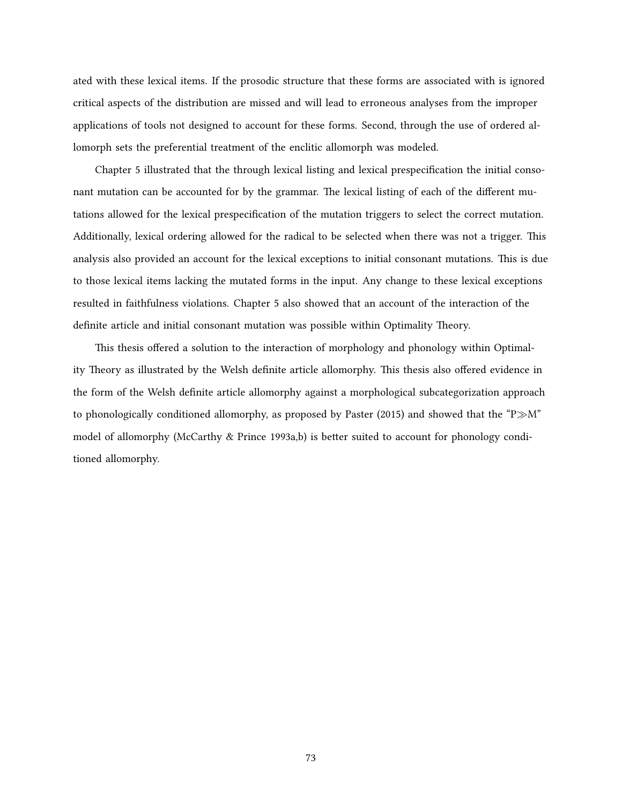ated with these lexical items. If the prosodic structure that these forms are associated with is ignored critical aspects of the distribution are missed and will lead to erroneous analyses from the improper applications of tools not designed to account for these forms. Second, through the use of ordered allomorph sets the preferential treatment of the enclitic allomorph was modeled.

Chapter [5](#page-67-0) illustrated that the through lexical listing and lexical prespecification the initial consonant mutation can be accounted for by the grammar. The lexical listing of each of the different mutations allowed for the lexical prespecification of the mutation triggers to select the correct mutation. Additionally, lexical ordering allowed for the radical to be selected when there was not a trigger. This analysis also provided an account for the lexical exceptions to initial consonant mutations. This is due to those lexical items lacking the mutated forms in the input. Any change to these lexical exceptions resulted in faithfulness violations. Chapter [5](#page-67-0) also showed that an account of the interaction of the definite article and initial consonant mutation was possible within Optimality Theory.

This thesis offered a solution to the interaction of morphology and phonology within Optimality Theory as illustrated by the Welsh definite article allomorphy. This thesis also offered evidence in the form of the Welsh definite article allomorphy against a morphological subcategorization approach to phonologically conditioned allomorphy, as proposed by [Paster](#page-85-3) ([2015\)](#page-85-3) and showed that the "P*≫*M" model of allomorphy [\(McCarthy & Prince](#page-85-5) [1993a](#page-85-5),[b\)](#page-85-6) is better suited to account for phonology conditioned allomorphy.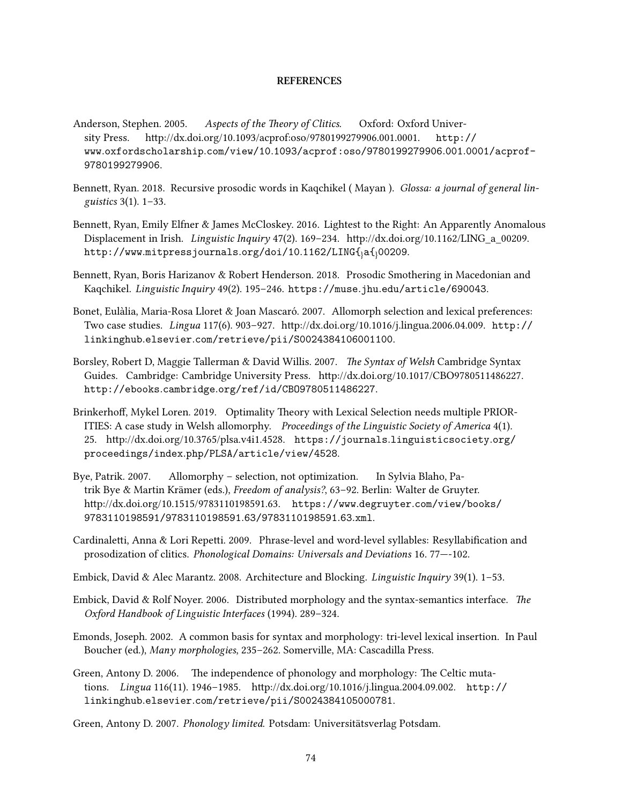#### **REFERENCES**

- Anderson, Stephen. 2005. *Aspects of the Theory of Clitics*. Oxford: Oxford University Press. <http://dx.doi.org/10.1093/acprof:oso/9780199279906.001.0001>. [http://](http://www.oxfordscholarship.com/view/10.1093/acprof:oso/9780199279906.001.0001/acprof-9780199279906) www*.*oxfordscholarship*.*com/view/10*.*[1093/acprof:oso/9780199279906](http://www.oxfordscholarship.com/view/10.1093/acprof:oso/9780199279906.001.0001/acprof-9780199279906)*.*001*.*0001/acprof-[9780199279906](http://www.oxfordscholarship.com/view/10.1093/acprof:oso/9780199279906.001.0001/acprof-9780199279906).
- Bennett, Ryan. 2018. Recursive prosodic words in Kaqchikel ( Mayan ). *Glossa: a journal of general linguistics* 3(1). 1–33.
- Bennett, Ryan, Emily Elfner & James McCloskey. 2016. Lightest to the Right: An Apparently Anomalous Displacement in Irish. *Linguistic Inquiry* 47(2). 169–234. [http://dx.doi.org/10.1162/LING\\_a\\_00209.](http://dx.doi.org/10.1162/LING_a_00209) http://www*.*[mitpressjournals](http://www.mitpressjournals.org/doi/10.1162/LING{_}a{_}00209)*.*org/doi/10*.*1162/LING{}a{}00209.
- Bennett, Ryan, Boris Harizanov & Robert Henderson. 2018. Prosodic Smothering in Macedonian and Kaqchikel. *Linguistic Inquiry* 49(2). 195–246. https://muse*.*jhu*.*[edu/article/690043](https://muse.jhu.edu/article/690043).
- <span id="page-83-2"></span>Bonet, Eulàlia, Maria-Rosa Lloret & Joan Mascaró. 2007. Allomorph selection and lexical preferences: Two case studies. *Lingua* 117(6). 903–927. [http://dx.doi.org/10.1016/j.lingua.2006.04.009.](http://dx.doi.org/10.1016/j.lingua.2006.04.009) [http://](http://linkinghub.elsevier.com/retrieve/pii/S0024384106001100) linkinghub*.*elsevier*.*[com/retrieve/pii/S0024384106001100](http://linkinghub.elsevier.com/retrieve/pii/S0024384106001100).
- Borsley, Robert D, Maggie Tallerman & David Willis. 2007. *The Syntax of Welsh* Cambridge Syntax Guides. Cambridge: Cambridge University Press. <http://dx.doi.org/10.1017/CBO9780511486227>. http://ebooks*.*cambridge*.*[org/ref/id/CBO9780511486227](http://ebooks.cambridge.org/ref/id/CBO9780511486227).
- Brinkerhoff, Mykel Loren. 2019. Optimality Theory with Lexical Selection needs multiple PRIOR-ITIES: A case study in Welsh allomorphy. *Proceedings of the Linguistic Society of America* 4(1). 25. <http://dx.doi.org/10.3765/plsa.v4i1.4528>. https://journals*.*[linguisticsociety](https://journals.linguisticsociety.org/proceedings/index.php/PLSA/article/view/4528)*.*org/ proceedings/index*.*[php/PLSA/article/view/4528](https://journals.linguisticsociety.org/proceedings/index.php/PLSA/article/view/4528).
- Bye, Patrik. 2007. Allomorphy selection, not optimization. In Sylvia Blaho, Patrik Bye & Martin Krämer (eds.), *Freedom of analysis?*, 63–92. Berlin: Walter de Gruyter. [http://dx.doi.org/10.1515/9783110198591.63.](http://dx.doi.org/10.1515/9783110198591.63) https://www*.*degruyter*.*[com/view/books/](https://www.degruyter.com/view/books/9783110198591/9783110198591.63/9783110198591.63.xml) [9783110198591/9783110198591](https://www.degruyter.com/view/books/9783110198591/9783110198591.63/9783110198591.63.xml)*.*63/9783110198591*.*63*.*xml.
- Cardinaletti, Anna & Lori Repetti. 2009. Phrase-level and word-level syllables: Resyllabification and prosodization of clitics. *Phonological Domains: Universals and Deviations* 16. 77—-102.
- Embick, David & Alec Marantz. 2008. Architecture and Blocking. *Linguistic Inquiry* 39(1). 1–53.
- Embick, David & Rolf Noyer. 2006. Distributed morphology and the syntax-semantics interface. *The Oxford Handbook of Linguistic Interfaces* (1994). 289–324.
- <span id="page-83-3"></span>Emonds, Joseph. 2002. A common basis for syntax and morphology: tri-level lexical insertion. In Paul Boucher (ed.), *Many morphologies*, 235–262. Somerville, MA: Cascadilla Press.
- <span id="page-83-0"></span>Green, Antony D. 2006. The independence of phonology and morphology: The Celtic mutations. *Lingua* 116(11). 1946–1985. <http://dx.doi.org/10.1016/j.lingua.2004.09.002>. [http://](http://linkinghub.elsevier.com/retrieve/pii/S0024384105000781) linkinghub*.*elsevier*.*[com/retrieve/pii/S0024384105000781](http://linkinghub.elsevier.com/retrieve/pii/S0024384105000781).
- <span id="page-83-1"></span>Green, Antony D. 2007. *Phonology limited*. Potsdam: Universitätsverlag Potsdam.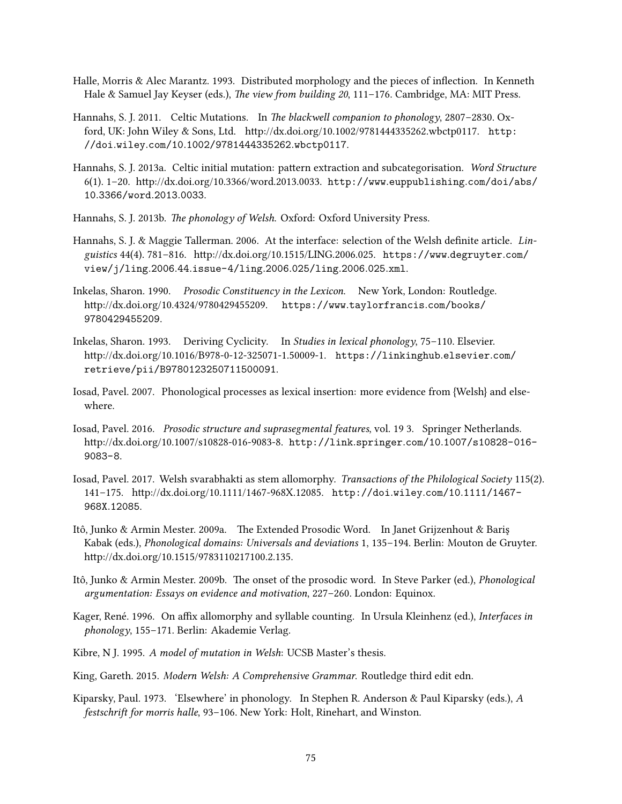- Halle, Morris & Alec Marantz. 1993. Distributed morphology and the pieces of inflection. In Kenneth Hale & Samuel Jay Keyser (eds.), *The view from building 20*, 111–176. Cambridge, MA: MIT Press.
- <span id="page-84-0"></span>Hannahs, S. J. 2011. Celtic Mutations. In *The blackwell companion to phonology*, 2807–2830. Oxford, UK: John Wiley & Sons, Ltd. [http://dx.doi.org/10.1002/9781444335262.wbctp0117.](http://dx.doi.org/10.1002/9781444335262.wbctp0117) [http:](http://doi.wiley.com/10.1002/9781444335262.wbctp0117) //doi*.*wiley*.*com/10*.*[1002/9781444335262](http://doi.wiley.com/10.1002/9781444335262.wbctp0117)*.*wbctp0117.
- <span id="page-84-2"></span>Hannahs, S. J. 2013a. Celtic initial mutation: pattern extraction and subcategorisation. *Word Structure* 6(1). 1–20. [http://dx.doi.org/10.3366/word.2013.0033.](http://dx.doi.org/10.3366/word.2013.0033) http://www*.*[euppublishing](http://www.euppublishing.com/doi/abs/10.3366/word.2013.0033)*.*com/doi/abs/ 10*.*[3366/word](http://www.euppublishing.com/doi/abs/10.3366/word.2013.0033)*.*2013*.*0033.
- Hannahs, S. J. 2013b. *The phonology of Welsh*. Oxford: Oxford University Press.
- <span id="page-84-3"></span>Hannahs, S. J. & Maggie Tallerman. 2006. At the interface: selection of the Welsh definite article. *Linguistics* 44(4). 781–816. [http://dx.doi.org/10.1515/LING.2006.025.](http://dx.doi.org/10.1515/LING.2006.025) [https://www](https://www.degruyter.com/view/j/ling.2006.44.issue-4/ling.2006.025/ling.2006.025.xml)*.*degruyter*.*com/ view/j/ling*.*2006*.*44*.*[issue-4/ling](https://www.degruyter.com/view/j/ling.2006.44.issue-4/ling.2006.025/ling.2006.025.xml)*.*2006*.*025/ling*.*2006*.*025*.*xml.
- Inkelas, Sharon. 1990. *Prosodic Constituency in the Lexicon*. New York, London: Routledge. <http://dx.doi.org/10.4324/9780429455209>. https://www*.*[taylorfrancis](https://www.taylorfrancis.com/books/9780429455209)*.*com/books/ [9780429455209](https://www.taylorfrancis.com/books/9780429455209).
- Inkelas, Sharon. 1993. Deriving Cyclicity. In *Studies in lexical phonology*, 75–110. Elsevier. [http://dx.doi.org/10.1016/B978-0-12-325071-1.50009-1.](http://dx.doi.org/10.1016/B978-0-12-325071-1.50009-1) [https://linkinghub](https://linkinghub.elsevier.com/retrieve/pii/B9780123250711500091)*.*elsevier*.*com/ [retrieve/pii/B9780123250711500091](https://linkinghub.elsevier.com/retrieve/pii/B9780123250711500091).
- Iosad, Pavel. 2007. Phonological processes as lexical insertion: more evidence from {Welsh} and elsewhere.
- Iosad, Pavel. 2016. *Prosodic structure and suprasegmental features*, vol. 19 3. Springer Netherlands. [http://dx.doi.org/10.1007/s10828-016-9083-8.](http://dx.doi.org/10.1007/s10828-016-9083-8) http://link*.*springer*.*com/10*.*[1007/s10828-016-](http://link.springer.com/10.1007/s10828-016-9083-8) [9083-8](http://link.springer.com/10.1007/s10828-016-9083-8).
- Iosad, Pavel. 2017. Welsh svarabhakti as stem allomorphy. *Transactions of the Philological Society* 115(2). 141–175. <http://dx.doi.org/10.1111/1467-968X.12085>. [http://doi](http://doi.wiley.com/10.1111/1467-968X.12085)*.*wiley*.*com/10*.*1111/1467- 968X*.*[12085](http://doi.wiley.com/10.1111/1467-968X.12085).
- Itô, Junko & Armin Mester. 2009a. The Extended Prosodic Word. In Janet Grijzenhout & Bariş Kabak (eds.), *Phonological domains: Universals and deviations* 1, 135–194. Berlin: Mouton de Gruyter. <http://dx.doi.org/10.1515/9783110217100.2.135>.
- Itô, Junko & Armin Mester. 2009b. The onset of the prosodic word. In Steve Parker (ed.), *Phonological argumentation: Essays on evidence and motivation*, 227–260. London: Equinox.
- Kager, René. 1996. On affix allomorphy and syllable counting. In Ursula Kleinhenz (ed.), *Interfaces in phonology*, 155–171. Berlin: Akademie Verlag.
- <span id="page-84-1"></span>Kibre, N J. 1995. *A model of mutation in Welsh*: UCSB Master's thesis.
- King, Gareth. 2015. *Modern Welsh: A Comprehensive Grammar*. Routledge third edit edn.
- <span id="page-84-4"></span>Kiparsky, Paul. 1973. 'Elsewhere' in phonology. In Stephen R. Anderson & Paul Kiparsky (eds.), *A festschrift for morris halle*, 93–106. New York: Holt, Rinehart, and Winston.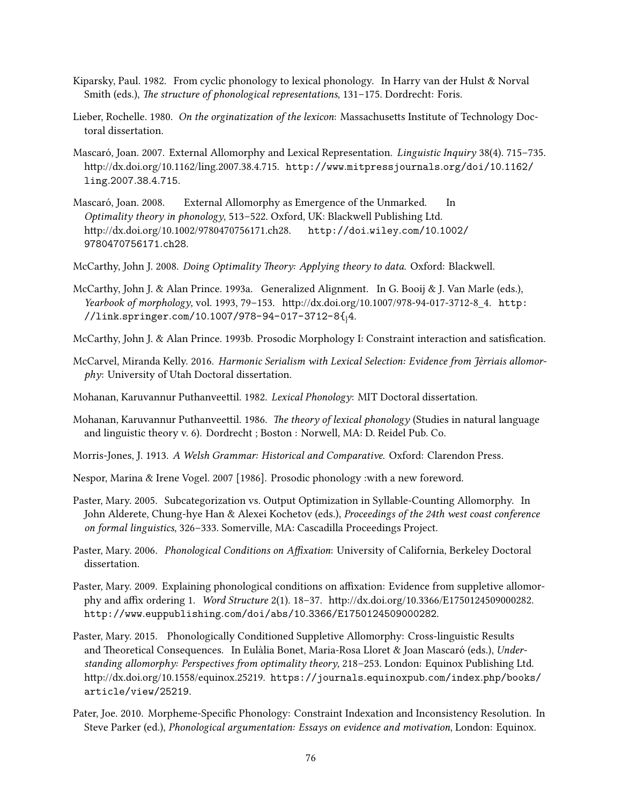- <span id="page-85-4"></span>Kiparsky, Paul. 1982. From cyclic phonology to lexical phonology. In Harry van der Hulst & Norval Smith (eds.), *The structure of phonological representations*, 131–175. Dordrecht: Foris.
- <span id="page-85-2"></span>Lieber, Rochelle. 1980. *On the orginatization of the lexicon*: Massachusetts Institute of Technology Doctoral dissertation.
- Mascaró, Joan. 2007. External Allomorphy and Lexical Representation. *Linguistic Inquiry* 38(4). 715–735. [http://dx.doi.org/10.1162/ling.2007.38.4.715.](http://dx.doi.org/10.1162/ling.2007.38.4.715) http://www*.*[mitpressjournals](http://www.mitpressjournals.org/doi/10.1162/ling.2007.38.4.715)*.*org/doi/10*.*1162/ ling*.*[2007](http://www.mitpressjournals.org/doi/10.1162/ling.2007.38.4.715)*.*38*.*4*.*715.
- Mascaró, Joan. 2008. External Allomorphy as Emergence of the Unmarked. In *Optimality theory in phonology*, 513–522. Oxford, UK: Blackwell Publishing Ltd. <http://dx.doi.org/10.1002/9780470756171.ch28>. [http://doi](http://doi.wiley.com/10.1002/9780470756171.ch28)*.*wiley*.*com/10*.*1002/ [9780470756171](http://doi.wiley.com/10.1002/9780470756171.ch28)*.*ch28.

McCarthy, John J. 2008. *Doing Optimality Theory: Applying theory to data*. Oxford: Blackwell.

- <span id="page-85-5"></span>McCarthy, John J. & Alan Prince. 1993a. Generalized Alignment. In G. Booij & J. Van Marle (eds.), *Yearbook of morphology*, vol. 1993, 79–153. [http://dx.doi.org/10.1007/978-94-017-3712-8\\_4](http://dx.doi.org/10.1007/978-94-017-3712-8_4). [http:](http://link.springer.com/10.1007/978-94-017-3712-8{_}4) //link*.*springer*.*com/10*.*[1007/978-94-017-3712-8{](http://link.springer.com/10.1007/978-94-017-3712-8{_}4)}4.
- <span id="page-85-6"></span>McCarthy, John J. & Alan Prince. 1993b. Prosodic Morphology I: Constraint interaction and satisfication.
- McCarvel, Miranda Kelly. 2016. *Harmonic Serialism with Lexical Selection: Evidence from Jèrriais allomorphy*: University of Utah Doctoral dissertation.
- <span id="page-85-0"></span>Mohanan, Karuvannur Puthanveettil. 1982. *Lexical Phonology*: MIT Doctoral dissertation.
- <span id="page-85-1"></span>Mohanan, Karuvannur Puthanveettil. 1986. *The theory of lexical phonology* (Studies in natural language and linguistic theory v. 6). Dordrecht ; Boston : Norwell, MA: D. Reidel Pub. Co.
- Morris-Jones, J. 1913. *A Welsh Grammar: Historical and Comparative*. Oxford: Clarendon Press.
- Nespor, Marina & Irene Vogel. 2007 [1986]. Prosodic phonology :with a new foreword.
- Paster, Mary. 2005. Subcategorization vs. Output Optimization in Syllable-Counting Allomorphy. In John Alderete, Chung-hye Han & Alexei Kochetov (eds.), *Proceedings of the 24th west coast conference on formal linguistics*, 326–333. Somerville, MA: Cascadilla Proceedings Project.
- Paster, Mary. 2006. *Phonological Conditions on Affixation*: University of California, Berkeley Doctoral dissertation.
- Paster, Mary. 2009. Explaining phonological conditions on affixation: Evidence from suppletive allomorphy and affix ordering 1. *Word Structure* 2(1). 18–37. <http://dx.doi.org/10.3366/E1750124509000282>. http://www*.*euppublishing*.*com/doi/abs/10*.*[3366/E1750124509000282](http://www.euppublishing.com/doi/abs/10.3366/E1750124509000282).
- <span id="page-85-3"></span>Paster, Mary. 2015. Phonologically Conditioned Suppletive Allomorphy: Cross-linguistic Results and Theoretical Consequences. In Eulàlia Bonet, Maria-Rosa Lloret & Joan Mascaró (eds.), *Understanding allomorphy: Perspectives from optimality theory*, 218–253. London: Equinox Publishing Ltd. [http://dx.doi.org/10.1558/equinox.25219.](http://dx.doi.org/10.1558/equinox.25219) [https://journals](https://journals.equinoxpub.com/index.php/books/article/view/25219)*.*equinoxpub*.*com/index*.*php/books/ [article/view/25219](https://journals.equinoxpub.com/index.php/books/article/view/25219).
- Pater, Joe. 2010. Morpheme-Specific Phonology: Constraint Indexation and Inconsistency Resolution. In Steve Parker (ed.), *Phonological argumentation: Essays on evidence and motivation*, London: Equinox.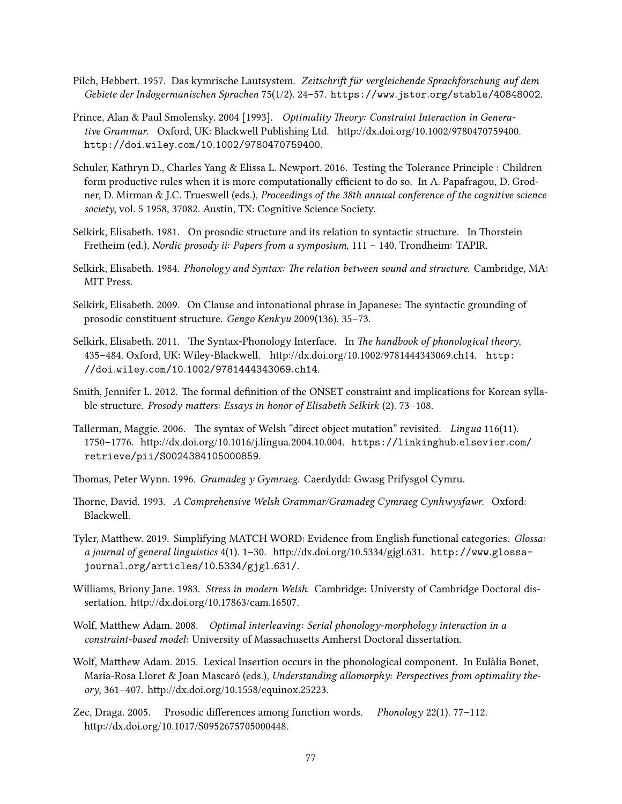- Pilch, Hebbert. 1957. Das kymrische Lautsystem. *Zeitschrift für vergleichende Sprachforschung auf dem Gebiete der Indogermanischen Sprachen* 75(1/2). 24–57. https://www*.*jstor*.*[org/stable/40848002](https://www.jstor.org/stable/40848002).
- Prince, Alan & Paul Smolensky. 2004 [1993]. *Optimality Theory: Constraint Interaction in Generative Grammar*. Oxford, UK: Blackwell Publishing Ltd. [http://dx.doi.org/10.1002/9780470759400.](http://dx.doi.org/10.1002/9780470759400) http://doi*.*wiley*.*com/10*.*[1002/9780470759400](http://doi.wiley.com/10.1002/9780470759400).
- Schuler, Kathryn D., Charles Yang & Elissa L. Newport. 2016. Testing the Tolerance Principle : Children form productive rules when it is more computationally efficient to do so. In A. Papafragou, D. Grodner, D. Mirman & J.C. Trueswell (eds.), *Proceedings of the 38th annual conference of the cognitive science society*, vol. 5 1958, 37082. Austin, TX: Cognitive Science Society.
- Selkirk, Elisabeth. 1981. On prosodic structure and its relation to syntactic structure. In Thorstein Fretheim (ed.), *Nordic prosody ii: Papers from a symposium*, 111 – 140. Trondheim: TAPIR.
- Selkirk, Elisabeth. 1984. *Phonology and Syntax: The relation between sound and structure.* Cambridge, MA: MIT Press.
- Selkirk, Elisabeth. 2009. On Clause and intonational phrase in Japanese: The syntactic grounding of prosodic constituent structure. *Gengo Kenkyu* 2009(136). 35–73.
- Selkirk, Elisabeth. 2011. The Syntax-Phonology Interface. In *The handbook of phonological theory*, 435–484. Oxford, UK: Wiley-Blackwell. <http://dx.doi.org/10.1002/9781444343069.ch14>. [http:](http://doi.wiley.com/10.1002/9781444343069.ch14) //doi*.*wiley*.*com/10*.*[1002/9781444343069](http://doi.wiley.com/10.1002/9781444343069.ch14)*.*ch14.
- Smith, Jennifer L. 2012. The formal definition of the ONSET constraint and implications for Korean syllable structure. *Prosody matters: Essays in honor of Elisabeth Selkirk* (2). 73–108.
- Tallerman, Maggie. 2006. The syntax of Welsh "direct object mutation" revisited. *Lingua* 116(11). 1750–1776. <http://dx.doi.org/10.1016/j.lingua.2004.10.004>. [https://linkinghub](https://linkinghub.elsevier.com/retrieve/pii/S0024384105000859)*.*elsevier*.*com/ [retrieve/pii/S0024384105000859](https://linkinghub.elsevier.com/retrieve/pii/S0024384105000859).
- Thomas, Peter Wynn. 1996. *Gramadeg y Gymraeg*. Caerdydd: Gwasg Prifysgol Cymru.
- Thorne, David. 1993. *A Comprehensive Welsh Grammar/Gramadeg Cymraeg Cynhwysfawr*. Oxford: Blackwell.
- Tyler, Matthew. 2019. Simplifying MATCH WORD: Evidence from English functional categories. *Glossa: a journal of general linguistics* 4(1). 1–30. [http://dx.doi.org/10.5334/gjgl.631.](http://dx.doi.org/10.5334/gjgl.631) [http://www](http://www.glossa-journal.org/articles/10.5334/gjgl.631/)*.*glossajournal*.*[org/articles/10](http://www.glossa-journal.org/articles/10.5334/gjgl.631/)*.*5334/gjgl*.*631/.
- Williams, Briony Jane. 1983. *Stress in modern Welsh*. Cambridge: Universty of Cambridge Doctoral dissertation. <http://dx.doi.org/10.17863/cam.16507>.
- Wolf, Matthew Adam. 2008. *Optimal interleaving: Serial phonology-morphology interaction in a constraint-based model*: University of Massachusetts Amherst Doctoral dissertation.
- Wolf, Matthew Adam. 2015. Lexical Insertion occurs in the phonological component. In Eulàlia Bonet, Maria-Rosa Lloret & Joan Mascaró (eds.), *Understanding allomorphy: Perspectives from optimality theory*, 361–407. <http://dx.doi.org/10.1558/equinox.25223>.
- Zec, Draga. 2005. Prosodic differences among function words. *Phonology* 22(1). 77–112. [http://dx.doi.org/10.1017/S0952675705000448.](http://dx.doi.org/10.1017/S0952675705000448)